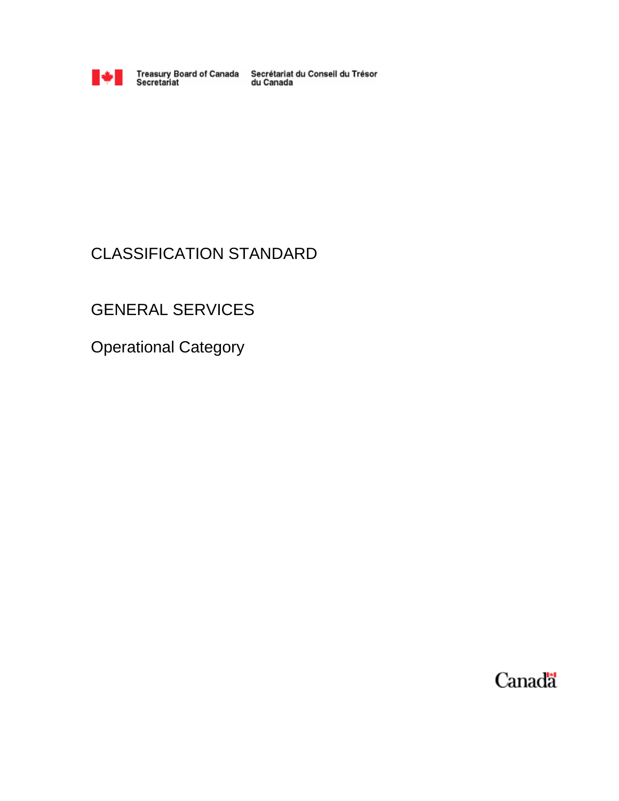

Treasury Board of Canada<br>Secretariat

Secrétariat du Conseil du Trésor<br>du Canada

# CLASSIFICATION STANDARD

# GENERAL SERVICES

Operational Category

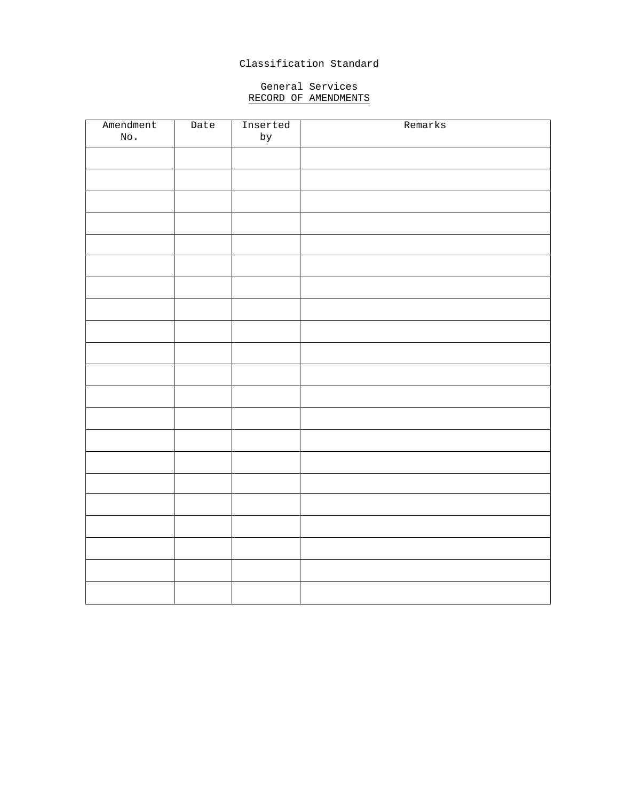# Classification Standard

### General Services RECORD OF AMENDMENTS

| Amendment | Date | Inserted  | Remarks |
|-----------|------|-----------|---------|
| No.       |      | $\rm{by}$ |         |
|           |      |           |         |
|           |      |           |         |
|           |      |           |         |
|           |      |           |         |
|           |      |           |         |
|           |      |           |         |
|           |      |           |         |
|           |      |           |         |
|           |      |           |         |
|           |      |           |         |
|           |      |           |         |
|           |      |           |         |
|           |      |           |         |
|           |      |           |         |
|           |      |           |         |
|           |      |           |         |
|           |      |           |         |
|           |      |           |         |
|           |      |           |         |
|           |      |           |         |
|           |      |           |         |
|           |      |           |         |
|           |      |           |         |
|           |      |           |         |
|           |      |           |         |
|           |      |           |         |
|           |      |           |         |
|           |      |           |         |
|           |      |           |         |
|           |      |           |         |
|           |      |           |         |
|           |      |           |         |
|           |      |           |         |
|           |      |           |         |
|           |      |           |         |
|           |      |           |         |
|           |      |           |         |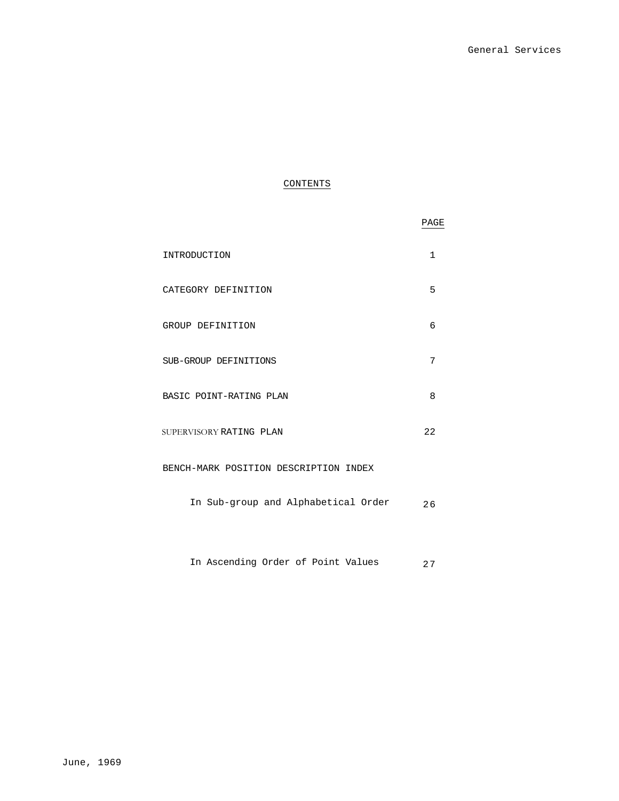# CONTENTS

|                                       | PAGE         |
|---------------------------------------|--------------|
| INTRODUCTION                          | $\mathbf{1}$ |
| CATEGORY DEFINITION                   | 5            |
| GROUP DEFINITION                      | 6            |
| SUB-GROUP DEFINITIONS                 | 7            |
| BASIC POINT-RATING PLAN               | 8            |
| SUPERVISORY RATING PLAN               | 22           |
| BENCH-MARK POSITION DESCRIPTION INDEX |              |
| In Sub-group and Alphabetical Order   | 26           |
|                                       |              |

In Ascending Order of Point Values 27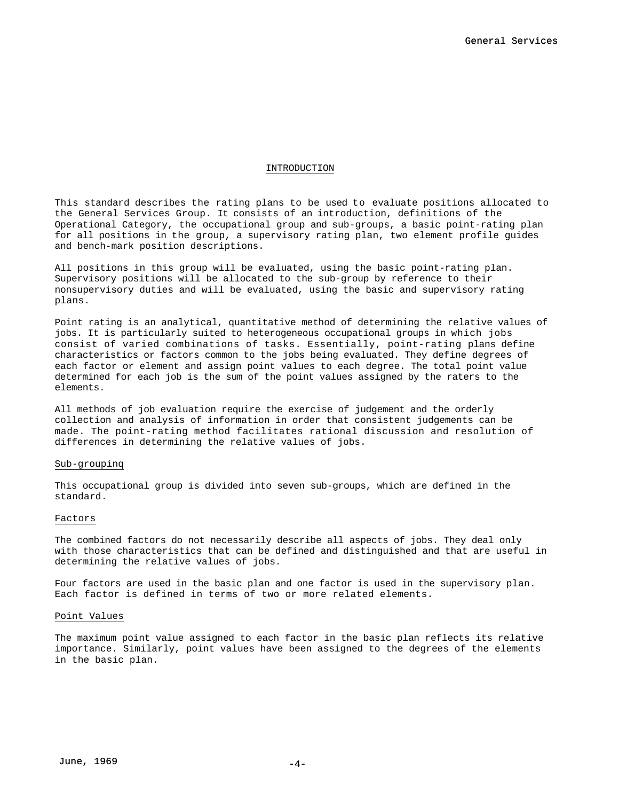#### INTRODUCTION

This standard describes the rating plans to be used to evaluate positions allocated to the General Services Group. It consists of an introduction, definitions of the Operational Category, the occupational group and sub-groups, a basic point-rating plan for all positions in the group, a supervisory rating plan, two element profile guides and bench-mark position descriptions.

All positions in this group will be evaluated, using the basic point-rating plan. Supervisory positions will be allocated to the sub-group by reference to their nonsupervisory duties and will be evaluated, using the basic and supervisory rating plans.

Point rating is an analytical, quantitative method of determining the relative values of jobs. It is particularly suited to heterogeneous occupational groups in which jobs consist of varied combinations of tasks. Essentially, point-rating plans define characteristics or factors common to the jobs being evaluated. They define degrees of each factor or element and assign point values to each degree. The total point value determined for each job is the sum of the point values assigned by the raters to the elements.

All methods of job evaluation require the exercise of judgement and the orderly collection and analysis of information in order that consistent judgements can be made. The point-rating method facilitates rational discussion and resolution of differences in determining the relative values of jobs.

#### Sub-groupinq

This occupational group is divided into seven sub-groups, which are defined in the standard.

#### Factors

The combined factors do not necessarily describe all aspects of jobs. They deal only with those characteristics that can be defined and distinguished and that are useful in determining the relative values of jobs.

Four factors are used in the basic plan and one factor is used in the supervisory plan. Each factor is defined in terms of two or more related elements.

#### Point Values

The maximum point value assigned to each factor in the basic plan reflects its relative importance. Similarly, point values have been assigned to the degrees of the elements in the basic plan.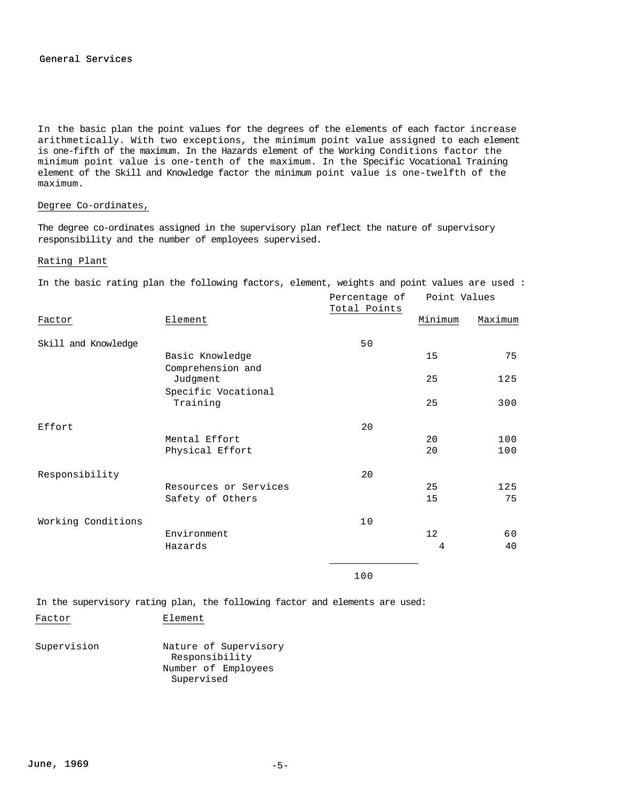In the basic plan the point values for the degrees of the elements of each factor increase arithmetically. With two exceptions, the minimum point value assigned to each element is one-fifth of the maximum. In the Hazards element of the Working Conditions factor the minimum point value is one-tenth of the maximum. In the Specific Vocational Training element of the Skill and Knowledge factor the minimum point value is one-twelfth of the maximum.

### Degree Co-ordinates,

The degree co-ordinates assigned in the supervisory plan reflect the nature of supervisory responsibility and the number of employees supervised.

### Rating Plant

In the basic rating plan the following factors, element, weights and point values are used :

|                     |                                 | Percentage of<br>Total Points | Point Values |         |
|---------------------|---------------------------------|-------------------------------|--------------|---------|
| Factor              | Element                         |                               | Minimum      | Maximum |
| Skill and Knowledge |                                 | 50                            |              |         |
|                     | Basic Knowledge                 |                               | 15           | 75      |
|                     | Comprehension and<br>Judgment   |                               | 25           | 125     |
|                     | Specific Vocational<br>Training |                               | 25           | 300     |
| Effort              |                                 | 20                            |              |         |
|                     | Mental Effort                   |                               | 20           | 100     |
|                     | Physical Effort                 |                               | 20           | 100     |
| Responsibility      |                                 | 20                            |              |         |
|                     | Resources or Services           |                               | 25           | 125     |
|                     | Safety of Others                |                               | 15           | 75      |
| Working Conditions  |                                 | 10                            |              |         |
|                     | Environment                     |                               | 12           | 60      |
|                     | Hazards                         |                               | 4            | 40      |
|                     |                                 | 100                           |              |         |

In the supervisory rating plan, the following factor and elements are used:

Factor Element

Supervision Nature of Supervisory Responsibility Number of Employees Supervised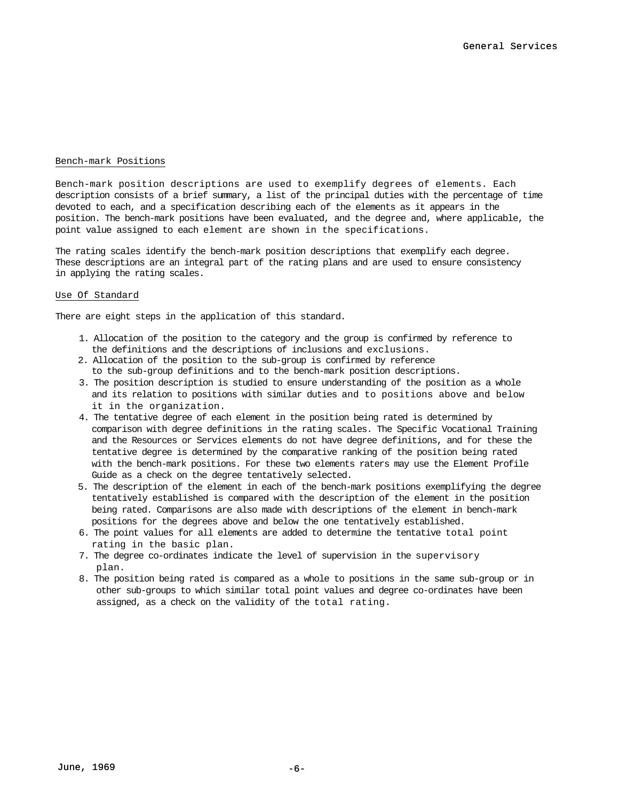### Bench-mark Positions

Bench-mark position descriptions are used to exemplify degrees of elements. Each description consists of a brief summary, a list of the principal duties with the percentage of time devoted to each, and a specification describing each of the elements as it appears in the position. The bench-mark positions have been evaluated, and the degree and, where applicable, the point value assigned to each element are shown in the specifications.

The rating scales identify the bench-mark position descriptions that exemplify each degree. These descriptions are an integral part of the rating plans and are used to ensure consistency in applying the rating scales.

### Use Of Standard

There are eight steps in the application of this standard.

- 1. Allocation of the position to the category and the group is confirmed by reference to the definitions and the descriptions of inclusions and exclusions.
- 2. Allocation of the position to the sub-group is confirmed by reference to the sub-group definitions and to the bench-mark position descriptions.
- 3. The position description is studied to ensure understanding of the position as a whole and its relation to positions with similar duties and to positions above and below it in the organization.
- 4. The tentative degree of each element in the position being rated is determined by comparison with degree definitions in the rating scales. The Specific Vocational Training and the Resources or Services elements do not have degree definitions, and for these the tentative degree is determined by the comparative ranking of the position being rated with the bench-mark positions. For these two elements raters may use the Element Profile Guide as a check on the degree tentatively selected.
- 5. The description of the element in each of the bench-mark positions exemplifying the degree tentatively established is compared with the description of the element in the position being rated. Comparisons are also made with descriptions of the element in bench-mark positions for the degrees above and below the one tentatively established.
- 6. The point values for all elements are added to determine the tentative total point rating in the basic plan.
- 7. The degree co-ordinates indicate the level of supervision in the supervisory plan.
- 8. The position being rated is compared as a whole to positions in the same sub-group or in other sub-groups to which similar total point values and degree co-ordinates have been assigned, as a check on the validity of the total rating.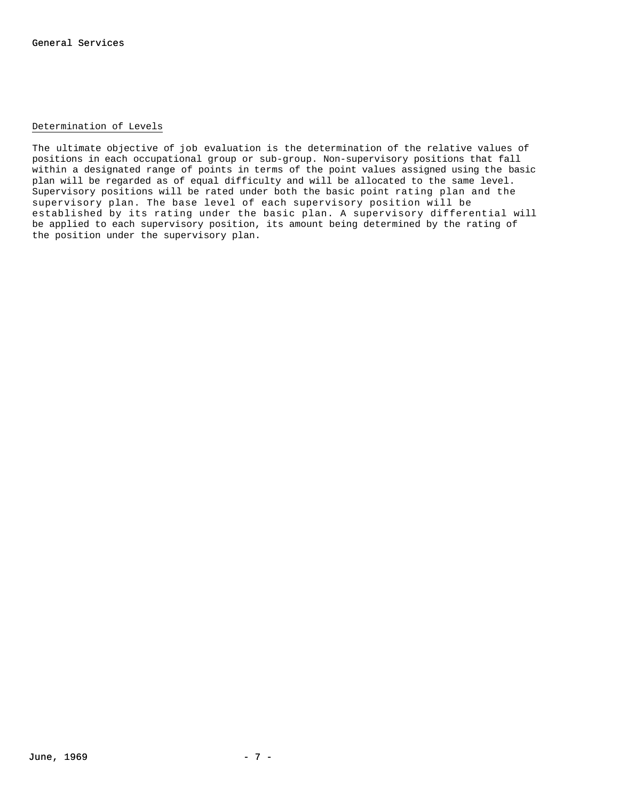### Determination of Levels

The ultimate objective of job evaluation is the determination of the relative values of positions in each occupational group or sub-group. Non-supervisory positions that fall within a designated range of points in terms of the point values assigned using the basic plan will be regarded as of equal difficulty and will be allocated to the same level. Supervisory positions will be rated under both the basic point rating plan and the supervisory plan. The base level of each supervisory position will be established by its rating under the basic plan. A supervisory differential will be applied to each supervisory position, its amount being determined by the rating of the position under the supervisory plan.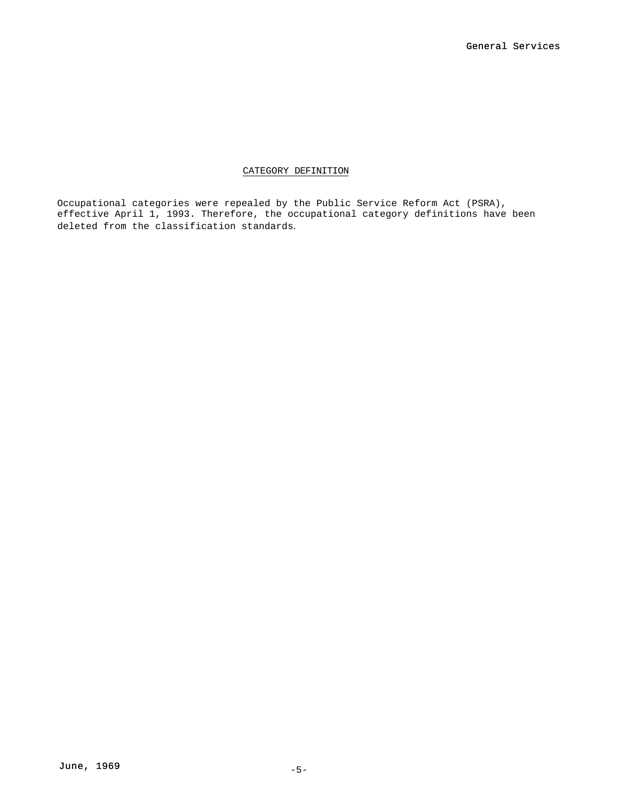### CATEGORY DEFINITION

Occupational categories were repealed by the Public Service Reform Act (PSRA), effective April 1, 1993. Therefore, the occupational category definitions have been deleted from the classification standards.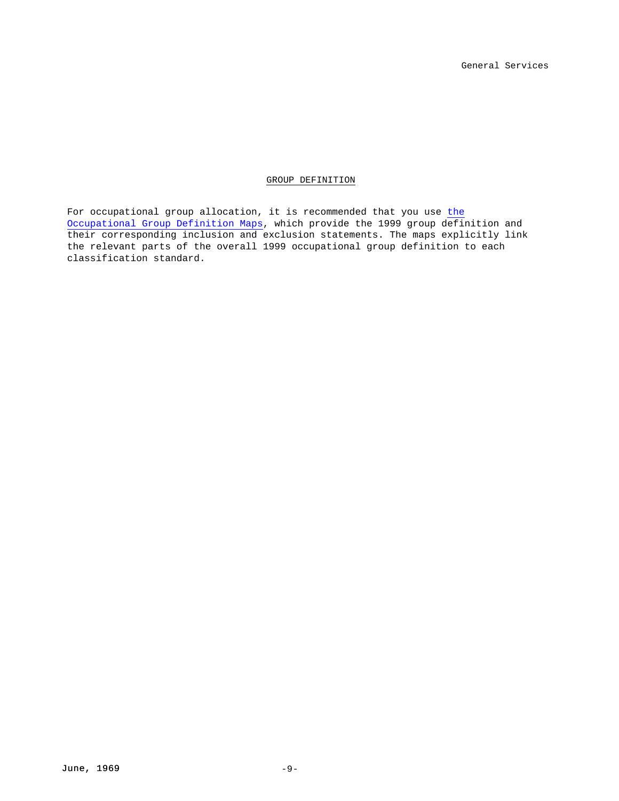GROUP DEFINITION

For occupational group allocation, it is recommended that you use the Occupational Group Definition Maps, which provide the 1999 group definition and their corresponding inclusion and exclusion statements. The maps explicitly link the relevant parts of the overall 1999 occupational group definition to each classification standard.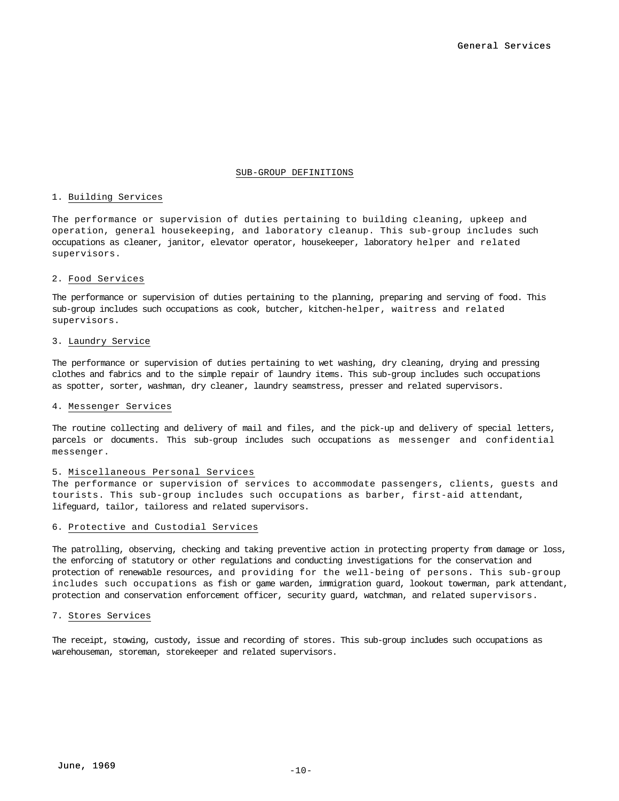#### SUB-GROUP DEFINITIONS

### 1. Building Services

The performance or supervision of duties pertaining to building cleaning, upkeep and operation, general housekeeping, and laboratory cleanup. This sub-group includes such occupations as cleaner, janitor, elevator operator, housekeeper, laboratory helper and related supervisors.

### 2. Food Services

The performance or supervision of duties pertaining to the planning, preparing and serving of food. This sub-group includes such occupations as cook, butcher, kitchen-helper, waitress and related supervisors.

#### 3. Laundry Service

The performance or supervision of duties pertaining to wet washing, dry cleaning, drying and pressing clothes and fabrics and to the simple repair of laundry items. This sub-group includes such occupations as spotter, sorter, washman, dry cleaner, laundry seamstress, presser and related supervisors.

#### 4. Messenger Services

The routine collecting and delivery of mail and files, and the pick-up and delivery of special letters, parcels or documents. This sub-group includes such occupations as messenger and confidential messenger.

### 5. Miscellaneous Personal Services

The performance or supervision of services to accommodate passengers, clients, guests and tourists. This sub-group includes such occupations as barber, first-aid attendant, lifeguard, tailor, tailoress and related supervisors.

### 6. Protective and Custodial Services

The patrolling, observing, checking and taking preventive action in protecting property from damage or loss, the enforcing of statutory or other regulations and conducting investigations for the conservation and protection of renewable resources, and providing for the well-being of persons. This sub-group includes such occupations as fish or game warden, immigration guard, lookout towerman, park attendant, protection and conservation enforcement officer, security guard, watchman, and related supervisors.

### 7. Stores Services

The receipt, stowing, custody, issue and recording of stores. This sub-group includes such occupations as warehouseman, storeman, storekeeper and related supervisors.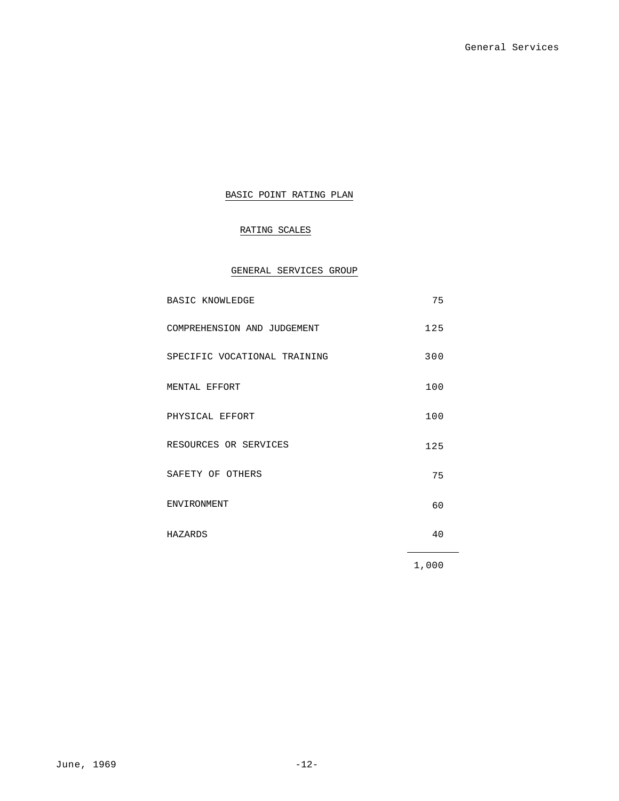# BASIC POINT RATING PLAN

# RATING SCALES

# GENERAL SERVICES GROUP

| <b>BASIC KNOWLEDGE</b>       | 75    |
|------------------------------|-------|
| COMPREHENSION AND JUDGEMENT  | 125   |
| SPECIFIC VOCATIONAL TRAINING | 300   |
| MENTAL EFFORT                | 100   |
| PHYSICAL EFFORT              | 100   |
| RESOURCES OR SERVICES        | 125   |
| SAFETY OF OTHERS             | 75    |
| <b>ENVIRONMENT</b>           | 60    |
| HAZARDS                      | 40    |
|                              | 1,000 |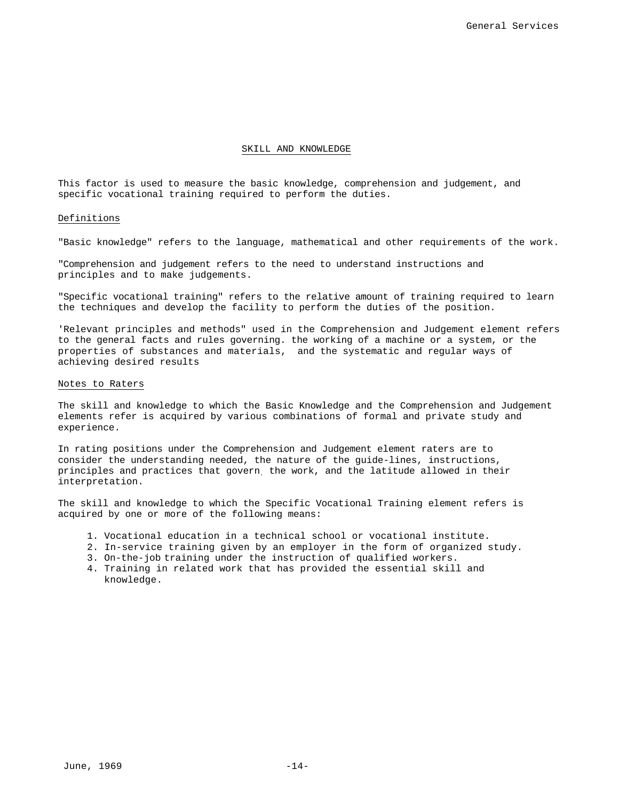#### SKILL AND KNOWLEDGE

This factor is used to measure the basic knowledge, comprehension and judgement, and specific vocational training required to perform the duties.

#### Definitions

"Basic knowledge" refers to the language, mathematical and other requirements of the work.

"Comprehension and judgement refers to the need to understand instructions and principles and to make judgements.

"Specific vocational training" refers to the relative amount of training required to learn the techniques and develop the facility to perform the duties of the position.

'Relevant principles and methods" used in the Comprehension and Judgement element refers to the general facts and rules governing. the working of a machine or a system, or the properties of substances and materials, and the systematic and regular ways of achieving desired results

### Notes to Raters

The skill and knowledge to which the Basic Knowledge and the Comprehension and Judgement elements refer is acquired by various combinations of formal and private study and experience.

In rating positions under the Comprehension and Judgement element raters are to consider the understanding needed, the nature of the guide-lines, instructions, principles and practices that govern. the work, and the latitude allowed in their interpretation.

The skill and knowledge to which the Specific Vocational Training element refers is acquired by one or more of the following means:

- 1. Vocational education in a technical school or vocational institute.
- 2. In-service training given by an employer in the form of organized study.
- 3. On-the-job training under the instruction of qualified workers.
- 4. Training in related work that has provided the essential skill and knowledge.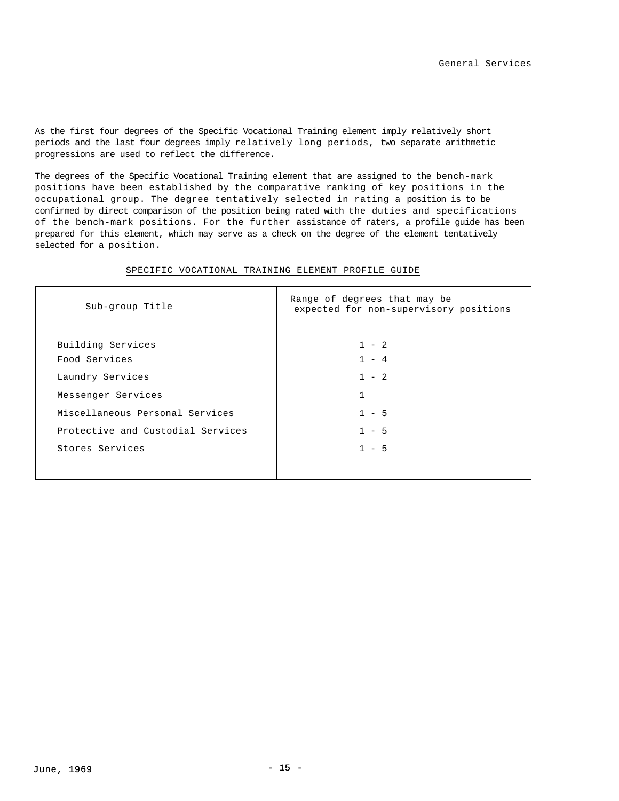As the first four degrees of the Specific Vocational Training element imply relatively short periods and the last four degrees imply relatively long periods, two separate arithmetic progressions are used to reflect the difference.

The degrees of the Specific Vocational Training element that are assigned to the bench-mark positions have been established by the comparative ranking of key positions in the occupational group. The degree tentatively selected in rating a position is to be confirmed by direct comparison of the position being rated with the duties and specifications of the bench-mark positions. For the further assistance of raters, a profile guide has been prepared for this element, which may serve as a check on the degree of the element tentatively selected for a position.

| Sub-group Title                   | Range of degrees that may be<br>expected for non-supervisory positions |
|-----------------------------------|------------------------------------------------------------------------|
| Building Services                 | $1 - 2$                                                                |
| Food Services                     | $1 - 4$                                                                |
| Laundry Services                  | $1 - 2$                                                                |
| Messenger Services                | $\mathbf{1}$                                                           |
| Miscellaneous Personal Services   | $1 - 5$                                                                |
| Protective and Custodial Services | $1 - 5$                                                                |
| Stores Services                   | $1 - 5$                                                                |

### SPECIFIC VOCATIONAL TRAINING ELEMENT PROFILE GUIDE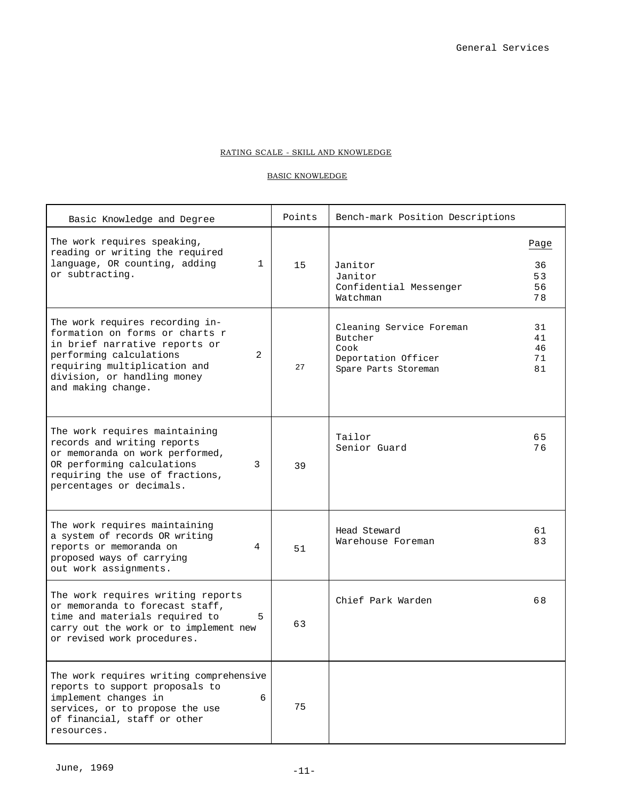### RATING SCALE - SKILL AND KNOWLEDGE

### BASIC KNOWLEDGE

| Basic Knowledge and Degree                                                                                                                                                                                              | Points | Bench-mark Position Descriptions                                                           |                              |
|-------------------------------------------------------------------------------------------------------------------------------------------------------------------------------------------------------------------------|--------|--------------------------------------------------------------------------------------------|------------------------------|
| The work requires speaking,<br>reading or writing the required<br>language, OR counting, adding<br>1<br>or subtracting.                                                                                                 | 15     | Janitor<br>Janitor<br>Confidential Messenger<br>Watchman                                   | Page<br>36<br>53<br>56<br>78 |
| The work requires recording in-<br>formation on forms or charts r<br>in brief narrative reports or<br>performing calculations<br>2<br>requiring multiplication and<br>division, or handling money<br>and making change. | 27     | Cleaning Service Foreman<br>Butcher<br>Cook<br>Deportation Officer<br>Spare Parts Storeman | 31<br>41<br>46<br>71<br>81   |
| The work requires maintaining<br>records and writing reports<br>or memoranda on work performed,<br>OR performing calculations<br>3<br>requiring the use of fractions,<br>percentages or decimals.                       | 39     | Tailor<br>Senior Guard                                                                     | 65<br>76                     |
| The work requires maintaining<br>a system of records OR writing<br>reports or memoranda on<br>4<br>proposed ways of carrying<br>out work assignments.                                                                   | 51     | Head Steward<br>Warehouse Foreman                                                          | 61<br>83                     |
| The work requires writing reports<br>or memoranda to forecast staff,<br>time and materials required to<br>5<br>carry out the work or to implement new<br>or revised work procedures.                                    | 63     | Chief Park Warden                                                                          | 68                           |
| The work requires writing comprehensive<br>reports to support proposals to<br>implement changes in<br>6<br>services, or to propose the use<br>of financial, staff or other<br>resources.                                | 75     |                                                                                            |                              |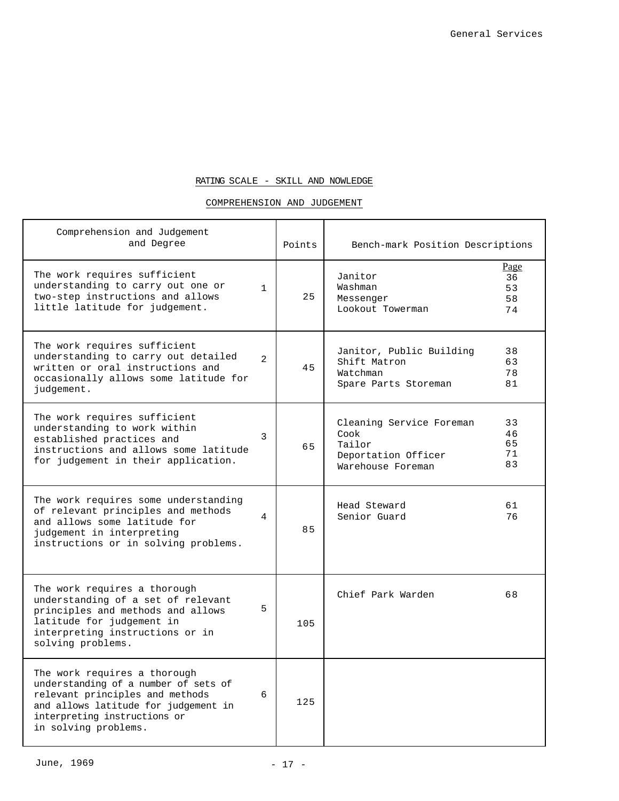# RATING SCALE - SKILL AND NOWLEDGE

### COMPREHENSION AND JUDGEMENT

| Comprehension and Judgement<br>and Degree                                                                                                                                                               |              | Points | Bench-mark Position Descriptions                                                                                     |
|---------------------------------------------------------------------------------------------------------------------------------------------------------------------------------------------------------|--------------|--------|----------------------------------------------------------------------------------------------------------------------|
| The work requires sufficient<br>understanding to carry out one or<br>two-step instructions and allows<br>little latitude for judgement.                                                                 | $\mathbf{1}$ | 25     | Page<br>Janitor<br>36<br>Washman<br>53<br>Messenger<br>58<br>Lookout Towerman<br>74                                  |
| The work requires sufficient<br>understanding to carry out detailed<br>written or oral instructions and<br>occasionally allows some latitude for<br>judgement.                                          | 2            | 45     | Janitor, Public Building<br>38<br>Shift Matron<br>63<br>Watchman<br>78<br>81<br>Spare Parts Storeman                 |
| The work requires sufficient<br>understanding to work within<br>established practices and<br>instructions and allows some latitude<br>for judgement in their application.                               | 3            | 65     | Cleaning Service Foreman<br>33<br>Cook<br>46<br>65<br>Tailor<br>71<br>Deportation Officer<br>83<br>Warehouse Foreman |
| The work requires some understanding<br>of relevant principles and methods<br>and allows some latitude for<br>judgement in interpreting<br>instructions or in solving problems.                         | 4            | 85     | Head Steward<br>61<br>Senior Guard<br>76                                                                             |
| The work requires a thorough<br>understanding of a set of relevant<br>principles and methods and allows<br>latitude for judgement in<br>interpreting instructions or in<br>solving problems.            | 5            | 105    | Chief Park Warden<br>68                                                                                              |
| The work requires a thorough<br>understanding of a number of sets of<br>relevant principles and methods<br>and allows latitude for judgement in<br>interpreting instructions or<br>in solving problems. | 6            | 125    |                                                                                                                      |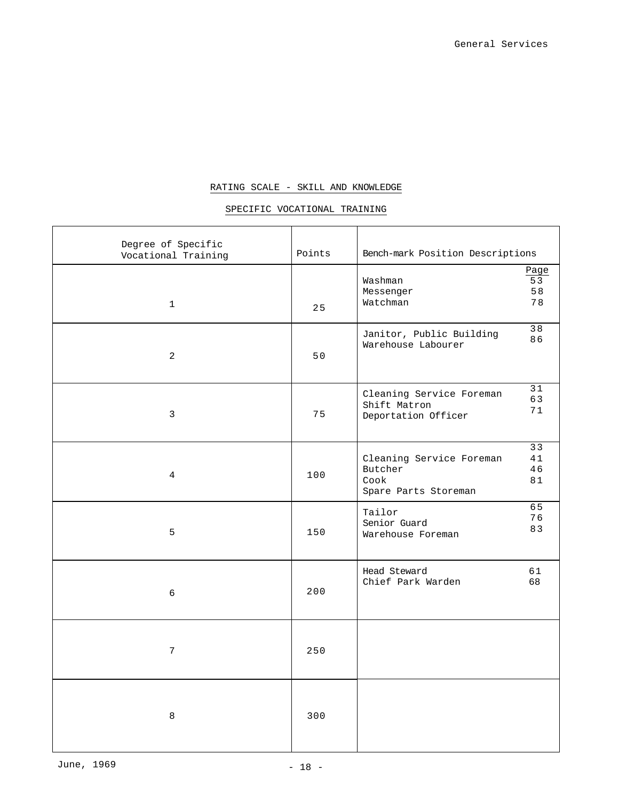# RATING SCALE - SKILL AND KNOWLEDGE

# SPECIFIC VOCATIONAL TRAINING

| Degree of Specific                  | Points |                                                                      |                        |
|-------------------------------------|--------|----------------------------------------------------------------------|------------------------|
| Vocational Training<br>$\mathbf{1}$ | 25     | Bench-mark Position Descriptions<br>Washman<br>Messenger<br>Watchman | Page<br>53<br>58<br>78 |
| 2                                   | 50     | Janitor, Public Building<br>Warehouse Labourer                       | 38<br>86               |
| 3                                   | 75     | Cleaning Service Foreman<br>Shift Matron<br>Deportation Officer      | 31<br>63<br>71         |
| 4                                   | 100    | Cleaning Service Foreman<br>Butcher<br>Cook<br>Spare Parts Storeman  | 33<br>41<br>46<br>81   |
| 5                                   | 150    | Tailor<br>Senior Guard<br>Warehouse Foreman                          | 65<br>76<br>83         |
| 6                                   | 200    | Head Steward<br>Chief Park Warden                                    | 61<br>68               |
| 7                                   | 250    |                                                                      |                        |
| $\,8\,$                             | 300    |                                                                      |                        |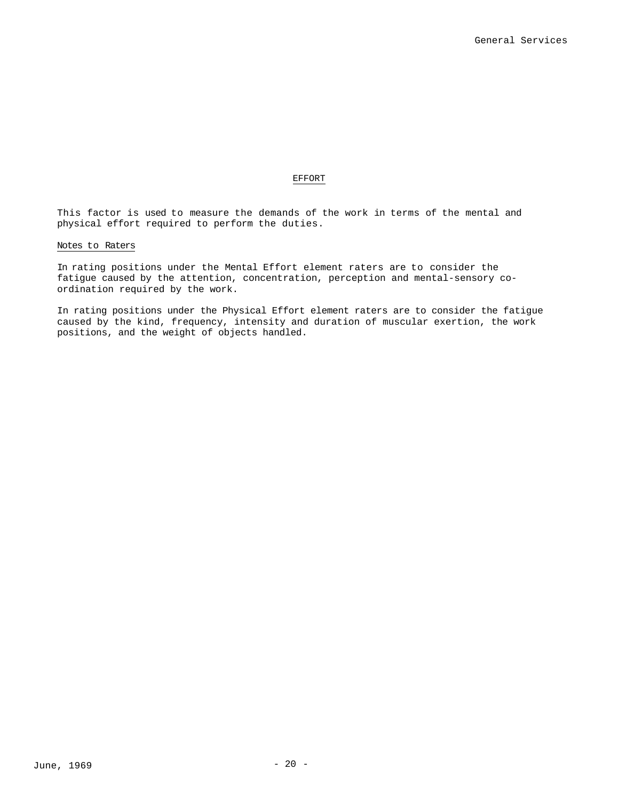### EFFORT

This factor is used to measure the demands of the work in terms of the mental and physical effort required to perform the duties.

### Notes to Raters

In rating positions under the Mental Effort element raters are to consider the fatigue caused by the attention, concentration, perception and mental-sensory coordination required by the work.

In rating positions under the Physical Effort element raters are to consider the fatigue caused by the kind, frequency, intensity and duration of muscular exertion, the work positions, and the weight of objects handled.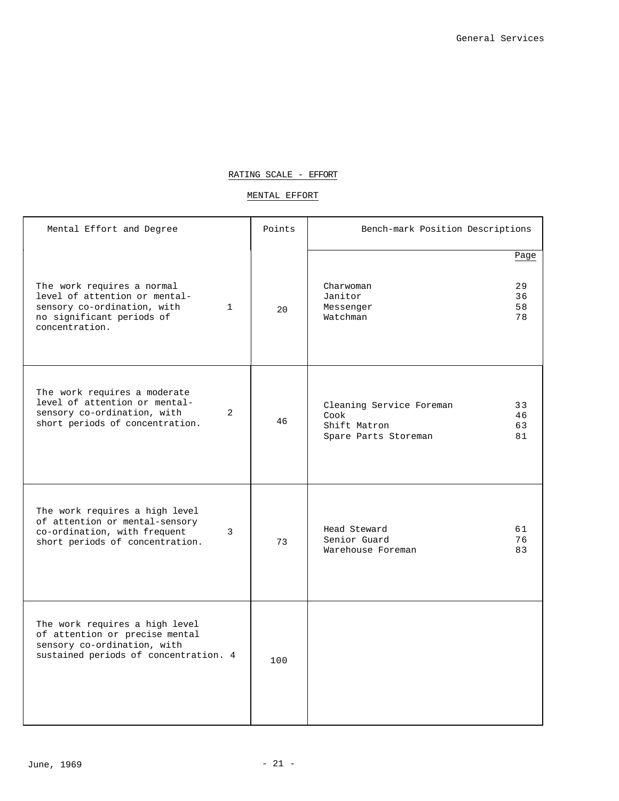# RATING SCALE - EFFORT

### MENTAL EFFORT

| Mental Effort and Degree                                                                                                                                  | Points | Bench-mark Position Descriptions                                         |                              |
|-----------------------------------------------------------------------------------------------------------------------------------------------------------|--------|--------------------------------------------------------------------------|------------------------------|
| The work requires a normal<br>level of attention or mental-<br>sensory co-ordination, with<br>$\mathbf{1}$<br>no significant periods of<br>concentration. | 20     | Charwoman<br>Janitor<br>Messenger<br>Watchman                            | Page<br>29<br>36<br>58<br>78 |
| The work requires a moderate<br>level of attention or mental-<br>sensory co-ordination, with<br>2<br>short periods of concentration.                      | 46     | Cleaning Service Foreman<br>Cook<br>Shift Matron<br>Spare Parts Storeman | 33<br>46<br>63<br>81         |
| The work requires a high level<br>of attention or mental-sensory<br>co-ordination, with frequent<br>3<br>short periods of concentration.                  | 73     | Head Steward<br>Senior Guard<br>Warehouse Foreman                        | 61<br>76<br>83               |
| The work requires a high level<br>of attention or precise mental<br>sensory co-ordination, with<br>sustained periods of concentration. 4                  | 100    |                                                                          |                              |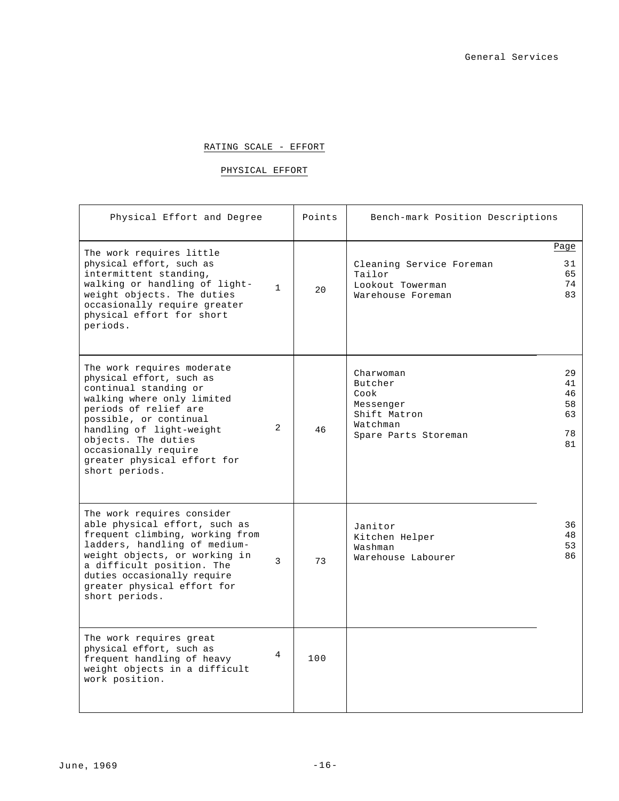### RATING SCALE - EFFORT

# PHYSICAL EFFORT

| Physical Effort and Degree                                                                                                                                                                                                                                                                   |                | Points | Bench-mark Position Descriptions                                                              |                                        |
|----------------------------------------------------------------------------------------------------------------------------------------------------------------------------------------------------------------------------------------------------------------------------------------------|----------------|--------|-----------------------------------------------------------------------------------------------|----------------------------------------|
|                                                                                                                                                                                                                                                                                              |                |        |                                                                                               | Page                                   |
| The work requires little<br>physical effort, such as<br>intermittent standing,<br>walking or handling of light-<br>weight objects. The duties<br>occasionally require greater<br>physical effort for short<br>periods.                                                                       | $\mathbf{1}$   | 2.0    | Cleaning Service Foreman<br>Tailor<br>Lookout Towerman<br>Warehouse Foreman                   | 31<br>65<br>74<br>83                   |
| The work requires moderate<br>physical effort, such as<br>continual standing or<br>walking where only limited<br>periods of relief are<br>possible, or continual<br>handling of light-weight<br>objects. The duties<br>occasionally require<br>greater physical effort for<br>short periods. | 2              | 46     | Charwoman<br>Butcher<br>Cook<br>Messenger<br>Shift Matron<br>Watchman<br>Spare Parts Storeman | 29<br>41<br>46<br>58<br>63<br>78<br>81 |
| The work requires consider<br>able physical effort, such as<br>frequent climbing, working from<br>ladders, handling of medium-<br>weight objects, or working in<br>a difficult position. The<br>duties occasionally require<br>greater physical effort for<br>short periods.                 | $\mathcal{L}$  | 73     | Janitor<br>Kitchen Helper<br>Washman<br>Warehouse Labourer                                    | 36<br>48<br>53<br>86                   |
| The work requires great<br>physical effort, such as<br>frequent handling of heavy<br>weight objects in a difficult<br>work position.                                                                                                                                                         | $\overline{4}$ | 100    |                                                                                               |                                        |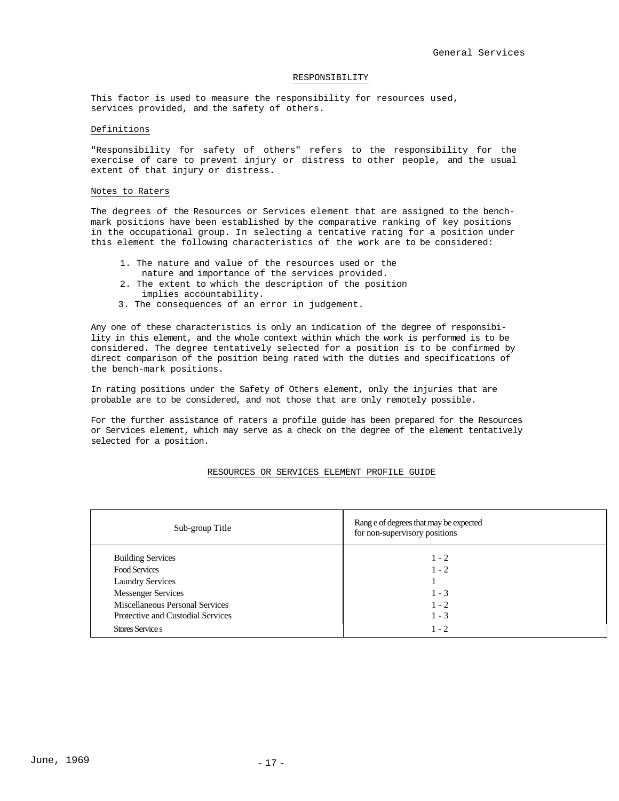### RESPONSIBILITY

This factor is used to measure the responsibility for resources used, services provided, and the safety of others.

### Definitions

"Responsibility for safety of others" refers to the responsibility for the exercise of care to prevent injury or distress to other people, and the usual extent of that injury or distress.

#### Notes to Raters

The degrees of the Resources or Services element that are assigned to the benchmark positions have been established by the comparative ranking of key positions in the occupational group. In selecting a tentative rating for a position under this element the following characteristics of the work are to be considered:

- 1. The nature and value of the resources used or the
- nature and importance of the services provided.
- 2. The extent to which the description of the position implies accountability.
- 3. The consequences of an error in judgement.

Any one of these characteristics is only an indication of the degree of responsibility in this element, and the whole context within which the work is performed is to be considered. The degree tentatively selected for a position is to be confirmed by direct comparison of the position being rated with the duties and specifications of the bench-mark positions.

In rating positions under the Safety of Others element, only the injuries that are probable are to be considered, and not those that are only remotely possible.

For the further assistance of raters a profile guide has been prepared for the Resources or Services element, which may serve as a check on the degree of the element tentatively selected for a position.

#### RESOURCES OR SERVICES ELEMENT PROFILE GUIDE

| Sub-group Title                   | Range of degrees that may be expected<br>for non-supervisory positions |
|-----------------------------------|------------------------------------------------------------------------|
| <b>Building Services</b>          | $1 - 2$                                                                |
| <b>Food Services</b>              | $1 - 2$                                                                |
| <b>Laundry Services</b>           |                                                                        |
| <b>Messenger Services</b>         | $1 - 3$                                                                |
| Miscellaneous Personal Services   | $1 - 2$                                                                |
| Protective and Custodial Services | $1 - 3$                                                                |
| Stores Service s                  | $1 - 2$                                                                |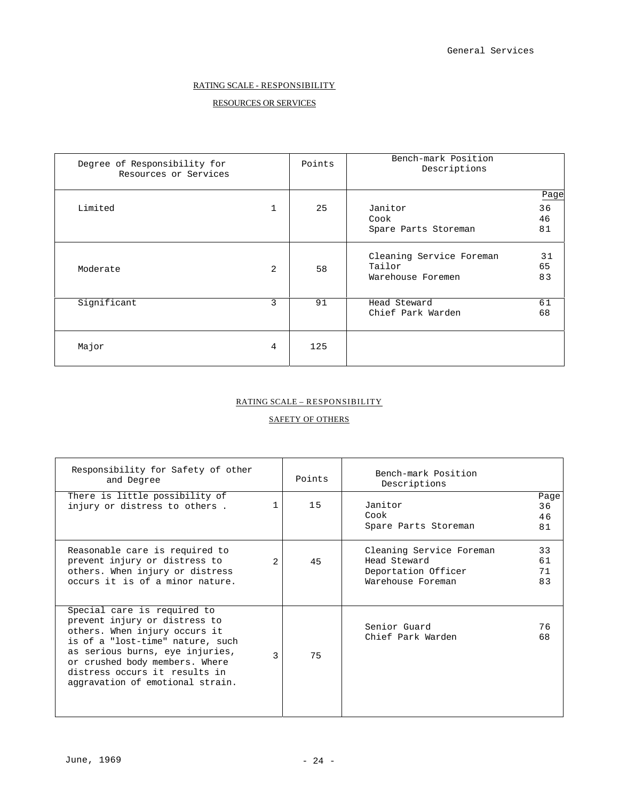# RATING SCALE - RESPONSIBILITY

# RESOURCES OR SERVICES

| Degree of Responsibility for<br>Resources or Services |                | Points | Bench-mark Position<br>Descriptions                     |                        |
|-------------------------------------------------------|----------------|--------|---------------------------------------------------------|------------------------|
| Limited                                               | $\mathbf 1$    | 25     | Janitor<br>Cook<br>Spare Parts Storeman                 | Page<br>36<br>46<br>81 |
| Moderate                                              | $\overline{2}$ | 58     | Cleaning Service Foreman<br>Tailor<br>Warehouse Foremen | 31<br>65<br>83         |
| Significant                                           | 3              | 91     | Head Steward<br>Chief Park Warden                       | 61<br>68               |
| Major                                                 | 4              | 125    |                                                         |                        |

### RATING SCALE – RESPONSIBILITY

# SAFETY OF OTHERS

| Responsibility for Safety of other<br>and Degree                                                                                                                                                                                                                            |   | Points | Bench-mark Position<br>Descriptions                                                  |                        |
|-----------------------------------------------------------------------------------------------------------------------------------------------------------------------------------------------------------------------------------------------------------------------------|---|--------|--------------------------------------------------------------------------------------|------------------------|
| There is little possibility of<br>injury or distress to others.                                                                                                                                                                                                             |   | 15     | Janitor<br>Cook<br>Spare Parts Storeman                                              | Page<br>36<br>46<br>81 |
| Reasonable care is required to<br>prevent injury or distress to<br>others. When injury or distress<br>occurs it is of a minor nature.                                                                                                                                       | 2 | 45     | Cleaning Service Foreman<br>Head Steward<br>Deportation Officer<br>Warehouse Foreman | 33<br>61<br>71<br>83   |
| Special care is required to<br>prevent injury or distress to<br>others. When injury occurs it<br>is of a "lost-time" nature, such<br>as serious burns, eye injuries,<br>or crushed body members. Where<br>distress occurs it results in<br>aggravation of emotional strain. | ς | 75     | Senior Guard<br>Chief Park Warden                                                    | 76<br>68               |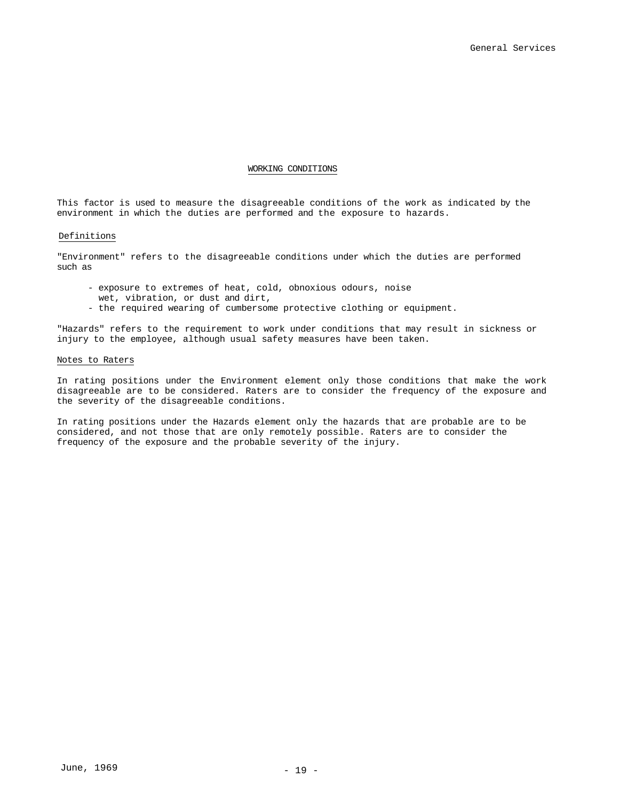### WORKING CONDITIONS

This factor is used to measure the disagreeable conditions of the work as indicated by the environment in which the duties are performed and the exposure to hazards.

#### Definitions

"Environment" refers to the disagreeable conditions under which the duties are performed such as

- exposure to extremes of heat, cold, obnoxious odours, noise
- wet, vibration, or dust and dirt,
- the required wearing of cumbersome protective clothing or equipment.

"Hazards" refers to the requirement to work under conditions that may result in sickness or injury to the employee, although usual safety measures have been taken.

#### Notes to Raters

In rating positions under the Environment element only those conditions that make the work disagreeable are to be considered. Raters are to consider the frequency of the exposure and the severity of the disagreeable conditions.

In rating positions under the Hazards element only the hazards that are probable are to be considered, and not those that are only remotely possible. Raters are to consider the frequency of the exposure and the probable severity of the injury.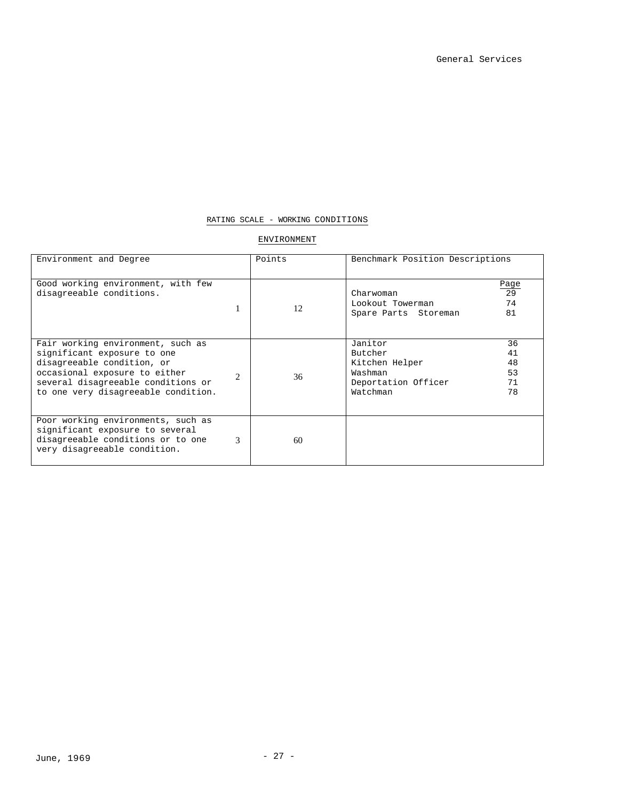### RATING SCALE - WORKING CONDITIONS

### ENVIRONMENT

| Environment and Degree                                                                                                                                                                                       |               | Points | Benchmark Position Descriptions                                                                                        |  |
|--------------------------------------------------------------------------------------------------------------------------------------------------------------------------------------------------------------|---------------|--------|------------------------------------------------------------------------------------------------------------------------|--|
| Good working environment, with few<br>disagreeable conditions.                                                                                                                                               |               | 12     | Page<br>29<br>Charwoman<br>74<br>Lookout Towerman<br>81<br>Spare Parts Storeman                                        |  |
| Fair working environment, such as<br>significant exposure to one<br>disagreeable condition, or<br>occasional exposure to either<br>several disagreeable conditions or<br>to one very disagreeable condition. | $\mathcal{D}$ | 36     | Janitor<br>36<br>Butcher<br>41<br>48<br>Kitchen Helper<br>53<br>Washman<br>Deportation Officer<br>71<br>Watchman<br>78 |  |
| Poor working environments, such as<br>significant exposure to several<br>disagreeable conditions or to one<br>very disagreeable condition.                                                                   | $\mathcal{R}$ | 60     |                                                                                                                        |  |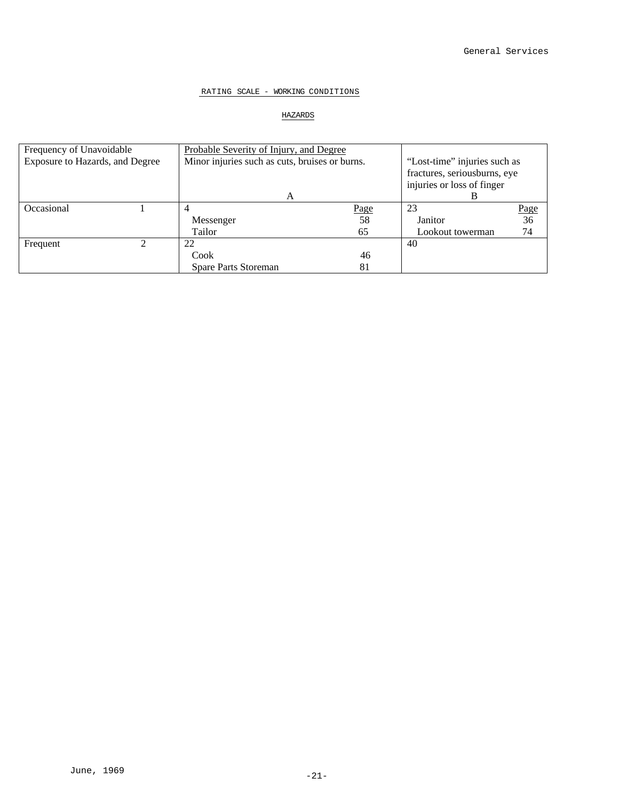### RATING SCALE - WORKING CONDITIONS

# HAZARDS

| Frequency of Unavoidable        |  | Probable Severity of Injury, and Degree        |      |                              |                          |
|---------------------------------|--|------------------------------------------------|------|------------------------------|--------------------------|
| Exposure to Hazards, and Degree |  | Minor injuries such as cuts, bruises or burns. |      | "Lost-time" injuries such as |                          |
|                                 |  |                                                |      | fractures, seriousburns, eye |                          |
|                                 |  |                                                |      | injuries or loss of finger   |                          |
|                                 |  | A                                              |      | в                            |                          |
| Occasional                      |  |                                                | Page | 23                           |                          |
|                                 |  | Messenger                                      | 58   | Janitor                      | $\frac{\text{Page}}{36}$ |
|                                 |  | Tailor                                         | 65   | Lookout towerman             | 74                       |
| Frequent                        |  | 22                                             |      | 40                           |                          |
|                                 |  | Cook                                           | 46   |                              |                          |
|                                 |  | <b>Spare Parts Storeman</b>                    | 81   |                              |                          |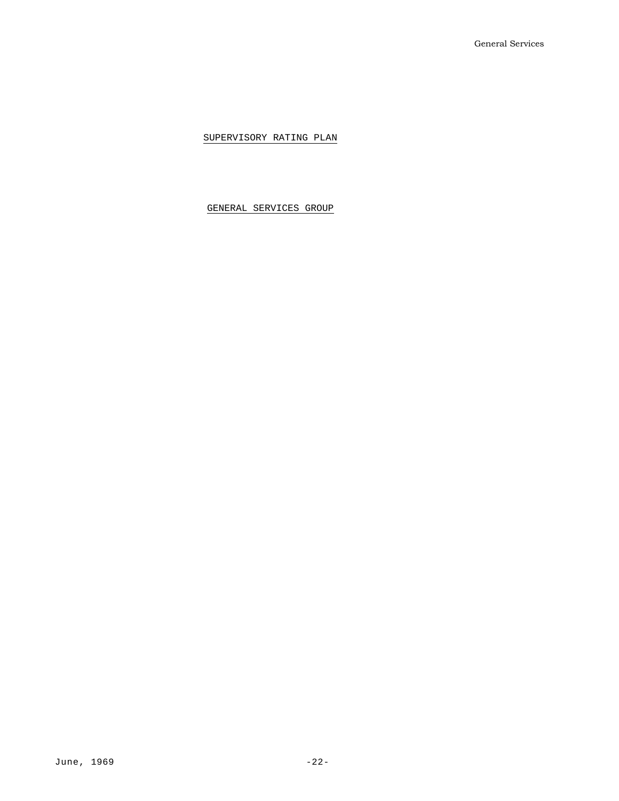SUPERVISORY RATING PLAN

GENERAL SERVICES GROUP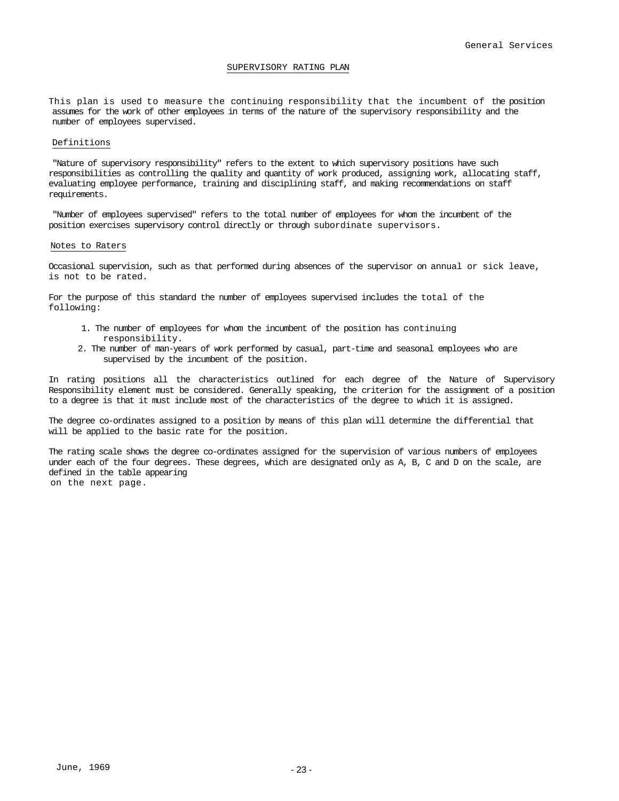#### SUPERVISORY RATING PLAN

This plan is used to measure the continuing responsibility that the incumbent of the position assumes for the work of other employees in terms of the nature of the supervisory responsibility and the number of employees supervised.

#### Definitions

"Nature of supervisory responsibility" refers to the extent to which supervisory positions have such responsibilities as controlling the quality and quantity of work produced, assigning work, allocating staff, evaluating employee performance, training and disciplining staff, and making recommendations on staff requirements.

"Number of employees supervised" refers to the total number of employees for whom the incumbent of the position exercises supervisory control directly or through subordinate supervisors.

#### Notes to Raters

Occasional supervision, such as that performed during absences of the supervisor on annual or sick leave, is not to be rated.

For the purpose of this standard the number of employees supervised includes the total of the following:

- 1. The number of employees for whom the incumbent of the position has continuing responsibility.
- 2. The number of man-years of work performed by casual, part-time and seasonal employees who are supervised by the incumbent of the position.

In rating positions all the characteristics outlined for each degree of the Nature of Supervisory Responsibility element must be considered. Generally speaking, the criterion for the assignment of a position to a degree is that it must include most of the characteristics of the degree to which it is assigned.

The degree co-ordinates assigned to a position by means of this plan will determine the differential that will be applied to the basic rate for the position.

The rating scale shows the degree co-ordinates assigned for the supervision of various numbers of employees under each of the four degrees. These degrees, which are designated only as A, B, C and D on the scale, are defined in the table appearing on the next page.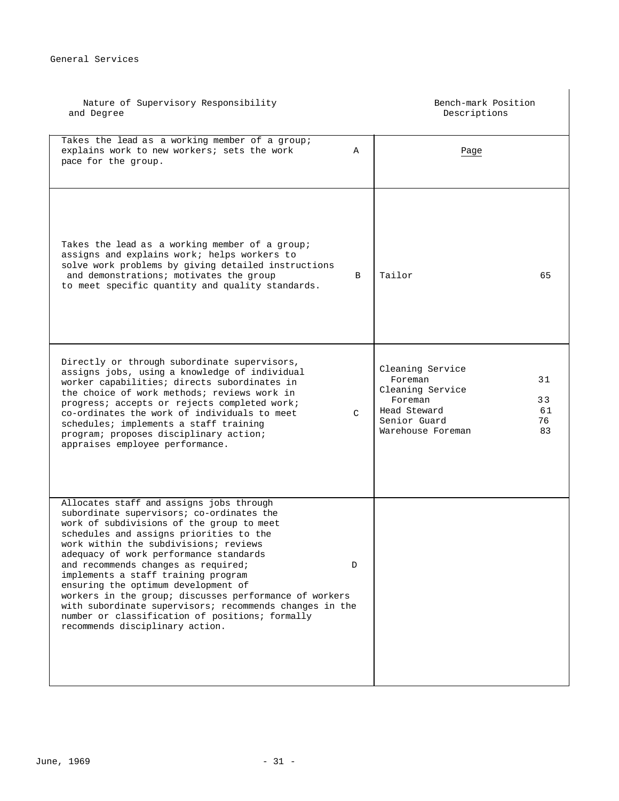| Nature of Supervisory Responsibility<br>and Degree                                                                                                                                                                                                                                                                                                                                                                                                                                                                                                                                               |   | Bench-mark Position<br>Descriptions                                                                             |                            |  |
|--------------------------------------------------------------------------------------------------------------------------------------------------------------------------------------------------------------------------------------------------------------------------------------------------------------------------------------------------------------------------------------------------------------------------------------------------------------------------------------------------------------------------------------------------------------------------------------------------|---|-----------------------------------------------------------------------------------------------------------------|----------------------------|--|
| Takes the lead as a working member of a group;<br>explains work to new workers; sets the work<br>pace for the group.                                                                                                                                                                                                                                                                                                                                                                                                                                                                             | Α | Page                                                                                                            |                            |  |
| Takes the lead as a working member of a group;<br>assigns and explains work; helps workers to<br>solve work problems by giving detailed instructions<br>and demonstrations; motivates the group<br>to meet specific quantity and quality standards.                                                                                                                                                                                                                                                                                                                                              | B | Tailor                                                                                                          | 65                         |  |
| Directly or through subordinate supervisors,<br>assigns jobs, using a knowledge of individual<br>worker capabilities; directs subordinates in<br>the choice of work methods; reviews work in<br>progress; accepts or rejects completed work;<br>co-ordinates the work of individuals to meet<br>schedules; implements a staff training<br>program; proposes disciplinary action;<br>appraises employee performance.                                                                                                                                                                              | C | Cleaning Service<br>Foreman<br>Cleaning Service<br>Foreman<br>Head Steward<br>Senior Guard<br>Warehouse Foreman | 31<br>33<br>61<br>76<br>83 |  |
| Allocates staff and assigns jobs through<br>subordinate supervisors; co-ordinates the<br>work of subdivisions of the group to meet<br>schedules and assigns priorities to the<br>work within the subdivisions; reviews<br>adequacy of work performance standards<br>and recommends changes as required;<br>implements a staff training program<br>ensuring the optimum development of<br>workers in the group; discusses performance of workers<br>with subordinate supervisors; recommends changes in the<br>number or classification of positions; formally<br>recommends disciplinary action. | D |                                                                                                                 |                            |  |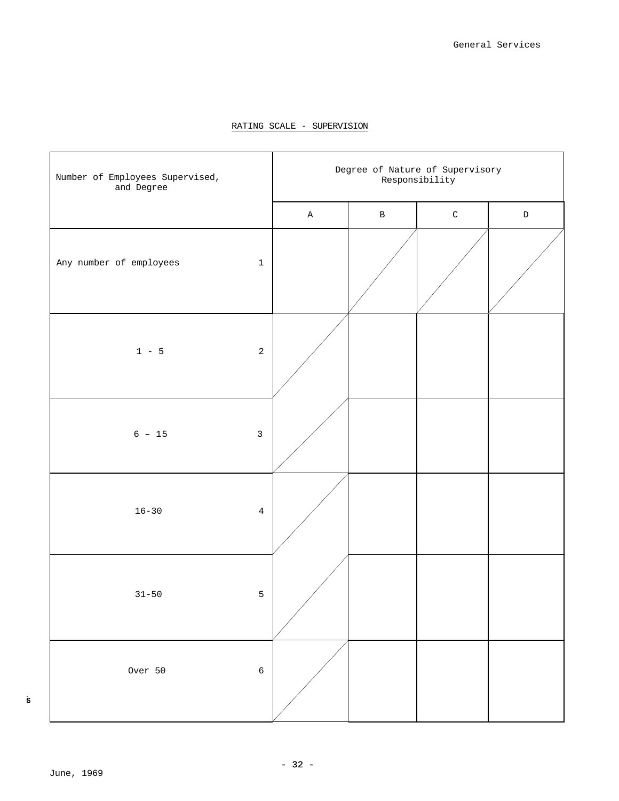



is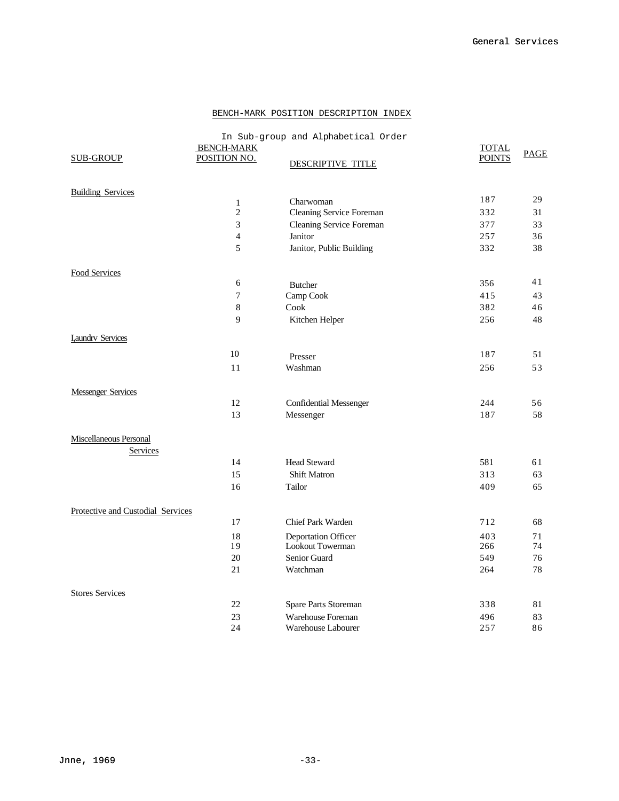### BENCH-MARK POSITION DESCRIPTION INDEX

| <b>SUB-GROUP</b>                  | <b>BENCH-MARK</b><br>POSITION NO. | In Sub-group and Alphabetical Order<br>DESCRIPTIVE TITLE | <b>TOTAL</b><br><b>POINTS</b> | <b>PAGE</b> |
|-----------------------------------|-----------------------------------|----------------------------------------------------------|-------------------------------|-------------|
| <b>Building Services</b>          |                                   |                                                          |                               |             |
|                                   | $\mathbf{1}$                      | Charwoman                                                | 187                           | 29          |
|                                   | $\overline{2}$                    | Cleaning Service Foreman                                 | 332                           | 31          |
|                                   | $\overline{3}$                    | Cleaning Service Foreman                                 | 377                           | 33          |
|                                   | $\overline{4}$                    | Janitor                                                  | 257                           | 36          |
|                                   | 5                                 | Janitor, Public Building                                 | 332                           | 38          |
| Food Services                     |                                   |                                                          |                               |             |
|                                   | 6                                 | <b>Butcher</b>                                           | 356                           | 41          |
|                                   | $\overline{7}$                    | Camp Cook                                                | 415                           | 43          |
|                                   | $\,8\,$                           | Cook                                                     | 382                           | 46          |
|                                   | 9                                 | Kitchen Helper                                           | 256                           | 48          |
| <b>I</b> , aundry Services        |                                   |                                                          |                               |             |
|                                   | 10                                | Presser                                                  | 187                           | 51          |
|                                   | 11                                | Washman                                                  | 256                           | 53          |
| <b>Messenger Services</b>         |                                   |                                                          |                               |             |
|                                   | 12                                | Confidential Messenger                                   | 244                           | 56          |
|                                   | 13                                | Messenger                                                | 187                           | 58          |
| Miscellaneous Personal            |                                   |                                                          |                               |             |
| Services                          |                                   |                                                          |                               |             |
|                                   | 14                                | <b>Head Steward</b>                                      | 581                           | 61          |
|                                   | 15                                | <b>Shift Matron</b>                                      | 313                           | 63          |
|                                   | 16                                | Tailor                                                   | 409                           | 65          |
| Protective and Custodial Services |                                   |                                                          |                               |             |
|                                   | 17                                | <b>Chief Park Warden</b>                                 | 712                           | 68          |
|                                   | 18                                | <b>Deportation Officer</b>                               | 403                           | 71          |
|                                   | 19                                | Lookout Towerman                                         | 266                           | 74          |
|                                   | 20                                | Senior Guard                                             | 549                           | 76          |
|                                   | 21                                | Watchman                                                 | 264                           | 78          |
| <b>Stores Services</b>            |                                   |                                                          |                               |             |
|                                   | 22                                | Spare Parts Storeman                                     | 338                           | 81          |
|                                   | 23                                | Warehouse Foreman                                        | 496                           | 83          |
|                                   | 24                                | Warehouse Labourer                                       | 257                           | 86          |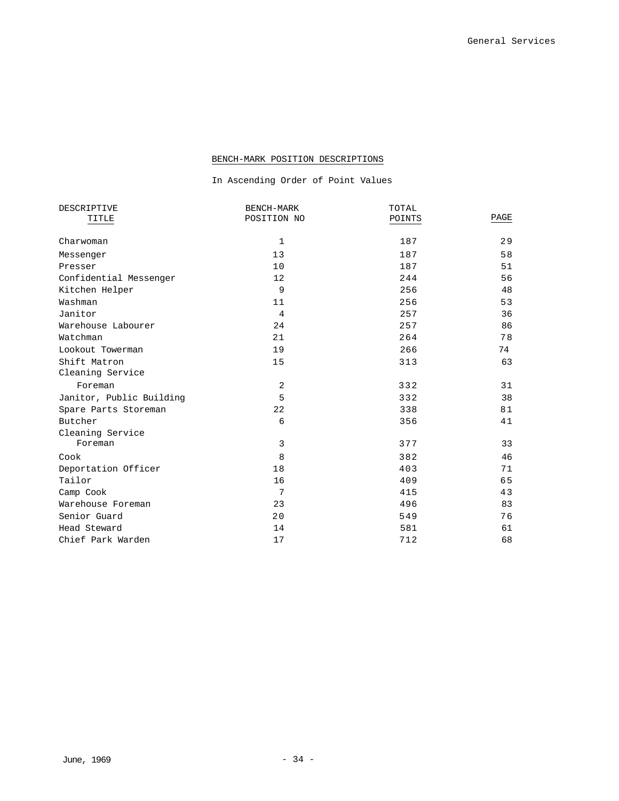### BENCH-MARK POSITION DESCRIPTIONS

# In Ascending Order of Point Values

| POSITION NO | POINTS     | PAGE  |
|-------------|------------|-------|
|             |            |       |
| $\mathbf 1$ | 187        | 29    |
| 13          | 187        | 58    |
| 10          | 187        | 51    |
| 12          | 244        | 56    |
| 9           | 256        | 48    |
| 11          | 256        | 53    |
| 4           | 257        | 36    |
| 24          | 257        | 86    |
| 21          | 264        | 78    |
| 19          | 266        | 74    |
| 15          | 313        | 63    |
|             |            |       |
| 2           | 332        | 31    |
| 5           | 332        | 38    |
| 22          | 338        | 81    |
| 6           | 356        | 41    |
|             |            |       |
| 3           | 377        | 33    |
| 8           | 382        | 46    |
| 18          | 403        | 71    |
| 16          | 409        | 65    |
| 7           | 415        | 43    |
| 23          | 496        | 83    |
| 20          | 549        | 76    |
| 14          | 581        | 61    |
| 17          | 712        | 68    |
|             | BENCH-MARK | TOTAL |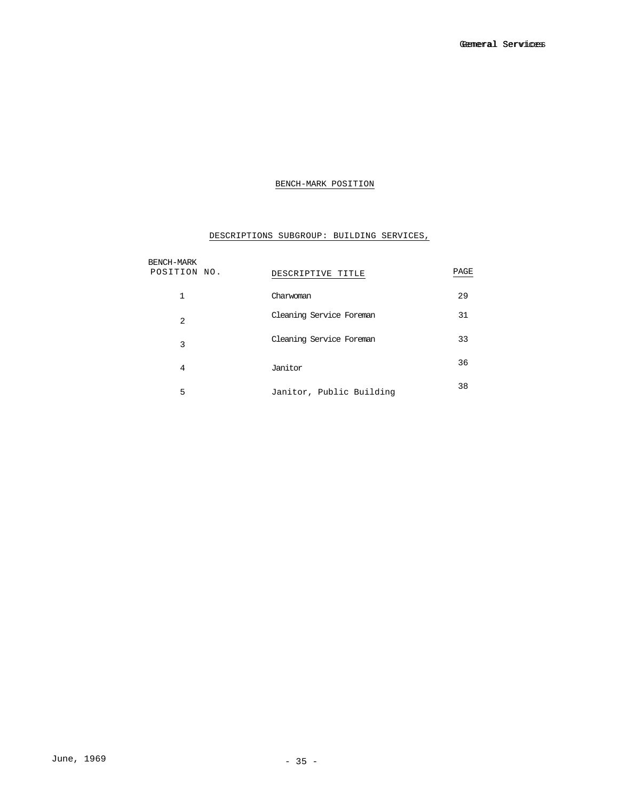# BENCH-MARK POSITION

# DESCRIPTIONS SUBGROUP: BUILDING SERVICES,

| BENCH-MARK   |                          |      |
|--------------|--------------------------|------|
| POSITION NO. | DESCRIPTIVE TITLE        | PAGE |
| $\mathbf{1}$ | Charwoman                | 29   |
| 2            | Cleaning Service Foreman | 31   |
|              | Cleaning Service Foreman | 33   |
| 3            |                          |      |
| 4            | Janitor                  | 36   |
| 5            | Janitor, Public Building | 38   |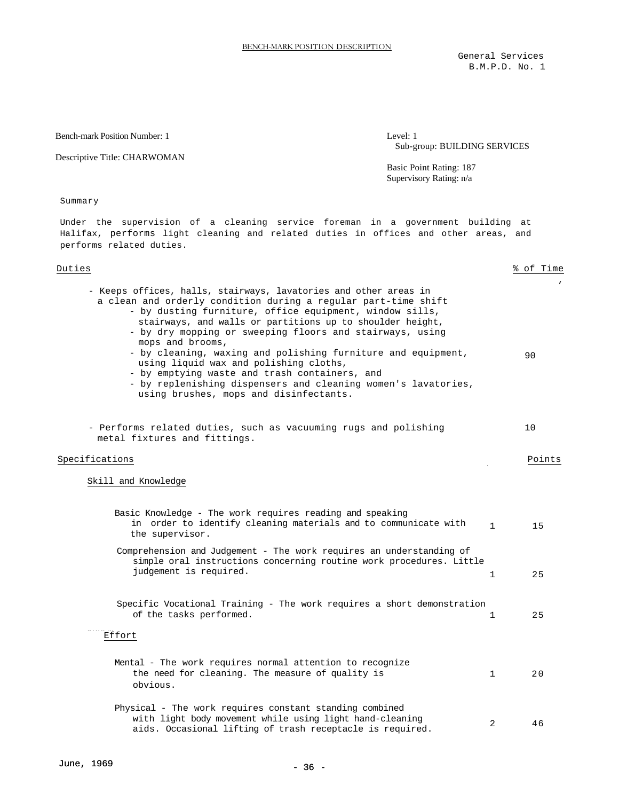General Services B.M.P.D. No. 1

Bench-mark Position Number: 1

Descriptive Title: CHARWOMAN

Level: 1 Sub-group: BUILDING SERVICES

Supervisory Rating: n/a Basic Point Rating: 187

Summary

Under the supervision of a cleaning service foreman in a government building at Halifax, performs light cleaning and related duties in offices and other areas, and performs related duties.

| Duties                                                                                                                                                                                                                                                                                                                                                                                                                                                                                                                                                                                                           |              | % of Time |
|------------------------------------------------------------------------------------------------------------------------------------------------------------------------------------------------------------------------------------------------------------------------------------------------------------------------------------------------------------------------------------------------------------------------------------------------------------------------------------------------------------------------------------------------------------------------------------------------------------------|--------------|-----------|
| - Keeps offices, halls, stairways, lavatories and other areas in<br>a clean and orderly condition during a regular part-time shift<br>- by dusting furniture, office equipment, window sills,<br>stairways, and walls or partitions up to shoulder height,<br>- by dry mopping or sweeping floors and stairways, using<br>mops and brooms,<br>- by cleaning, waxing and polishing furniture and equipment,<br>using liquid wax and polishing cloths,<br>- by emptying waste and trash containers, and<br>- by replenishing dispensers and cleaning women's lavatories,<br>using brushes, mops and disinfectants. |              | 90        |
| - Performs related duties, such as vacuuming rugs and polishing<br>metal fixtures and fittings.                                                                                                                                                                                                                                                                                                                                                                                                                                                                                                                  |              | 10        |
| Specifications                                                                                                                                                                                                                                                                                                                                                                                                                                                                                                                                                                                                   |              | Points    |
| Skill and Knowledge<br>Basic Knowledge - The work requires reading and speaking<br>in order to identify cleaning materials and to communicate with<br>the supervisor.                                                                                                                                                                                                                                                                                                                                                                                                                                            | $\mathbf{1}$ | 15        |
| Comprehension and Judgement - The work requires an understanding of<br>simple oral instructions concerning routine work procedures. Little<br>judgement is required.                                                                                                                                                                                                                                                                                                                                                                                                                                             | $\mathbf{1}$ | 25        |
| Specific Vocational Training - The work requires a short demonstration<br>of the tasks performed.<br>Effort                                                                                                                                                                                                                                                                                                                                                                                                                                                                                                      | $\mathbf{1}$ | 25        |
| Mental - The work requires normal attention to recognize<br>the need for cleaning. The measure of quality is<br>obvious.                                                                                                                                                                                                                                                                                                                                                                                                                                                                                         | 1            | 20        |
| Physical - The work requires constant standing combined<br>with light body movement while using light hand-cleaning<br>aids. Occasional lifting of trash receptacle is required.                                                                                                                                                                                                                                                                                                                                                                                                                                 | 2            | 46        |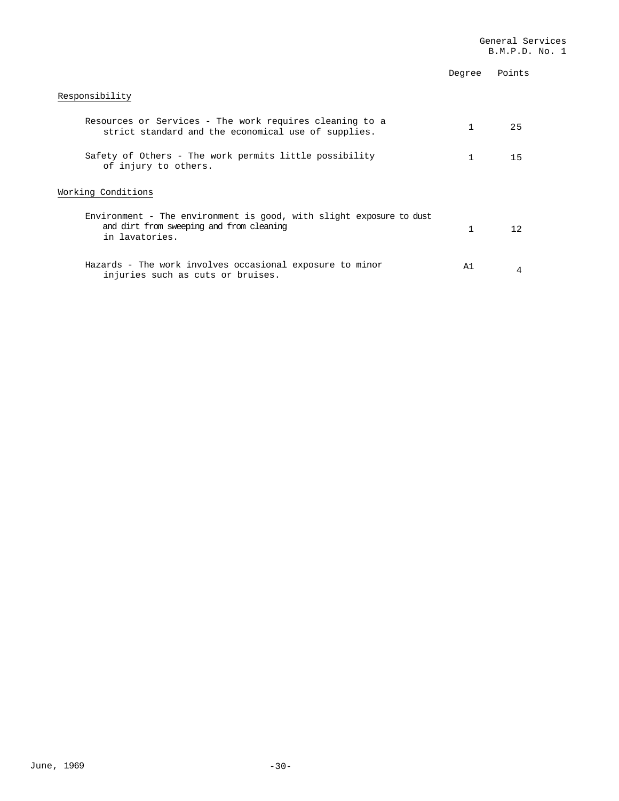|                                                                                                                                   | Degree | Points |
|-----------------------------------------------------------------------------------------------------------------------------------|--------|--------|
| Responsibility                                                                                                                    |        |        |
| Resources or Services - The work requires cleaning to a<br>strict standard and the economical use of supplies.                    |        | 25     |
| Safety of Others - The work permits little possibility<br>of injury to others.                                                    | 1      | 15     |
| Working Conditions                                                                                                                |        |        |
| Environment - The environment is good, with slight exposure to dust<br>and dirt from sweeping and from cleaning<br>in lavatories. |        | 12     |
| Hazards - The work involves occasional exposure to minor<br>injuries such as cuts or bruises.                                     | Α1     |        |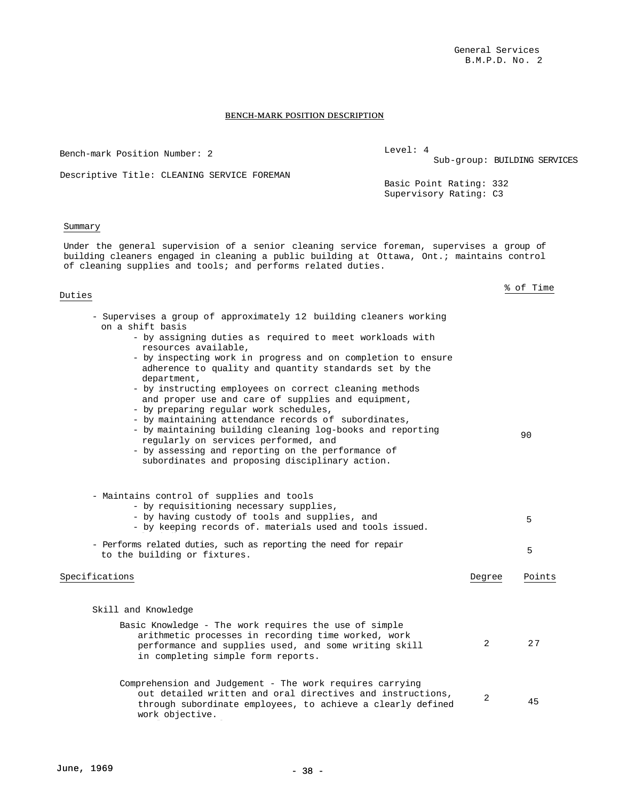#### BENCH-MARK POSITION DESCRIPTION

Duties Duties \$ of Time % of Time - Supervises a group of approximately 12 building cleaners working - Supervises a group of approximately 12 building cleaners working on a shift basis on a shift basis - by assigning duties as required to meet workloads with - by assigning duties as required to meet workloads with resources available, resources available, - by inspecting work in progress and on completion to ensure - by inspecting work in progress and on completion to ensure adherence to quality and quantity standards set by the adherence to quality and quantity standards set by the department, department, - by instructing employees on correct cleaning methods - by instructing employees on correct cleaning methods and proper use and care of supplies and equipment, and proper use and care of supplies and equipment, - by preparing regular work schedules, - by preparing regular work schedules, - by maintaining attendance records of subordinates, - by maintaining attendance records of subordinates, - by maintaining building cleaning log-books and reporting - by maintaining building cleaning log-books and reporting regularly on services performed, and regularly on services performed, and - by assessing and reporting on the performance of - by assessing and reporting on the performance of subordinates and proposing disciplinary action. subordinates and proposing disciplinary action. 90 90 - Maintains control of supplies and tools - Maintains control of supplies and tools - by requisitioning necessary supplies, - by requisitioning necessary supplies, - by having custody of tools and supplies, and - by having custody of tools and supplies, and - by keeping records of. materials used and tools issued. - by keeping records of. materials used and tools issued. 5 5 - Performs related duties, such as reporting the need for repair - Performs related duties, such as reporting the need for repair Ferrorms related ducks, such as reporting the need for repair<br>to the building or fixtures. Specifications and the set of the set of the set of the set of the points  $\Gamma$ Skill and Knowledge Skill and Knowledge Basic Knowledge - The work requires the use of simple Basic Knowledge - The work requires the use of simple arithmetic processes in recording time worked, work arithmetic processes in recording time worked, work performance and supplies used, and some writing skill performance and supplies used, and some writing skill in completing simple form reports. in completing simple form reports. 2 27 2 27 Comprehension and Judgement - The work requires carrying Comprehension and Judgement - The work requires carrying out detailed written and oral directives and instructions, through subordinate employees, to achieve a clearly defined work objective. 2 45 2 45 Bench-mark Position Number: 2 Descriptive Title: CLEANING SERVICE FOREMAN Level: 4 Sub-group: BUILDING SERVICES Basic Point Rating: 332 Supervisory Rating: C3 Summary Under the general supervision of a senior cleaning service foreman, supervises a group of building cleaners engaged in cleaning a public building at Ottawa, Ont.; maintains control of cleaning supplies and tools; and performs related duties.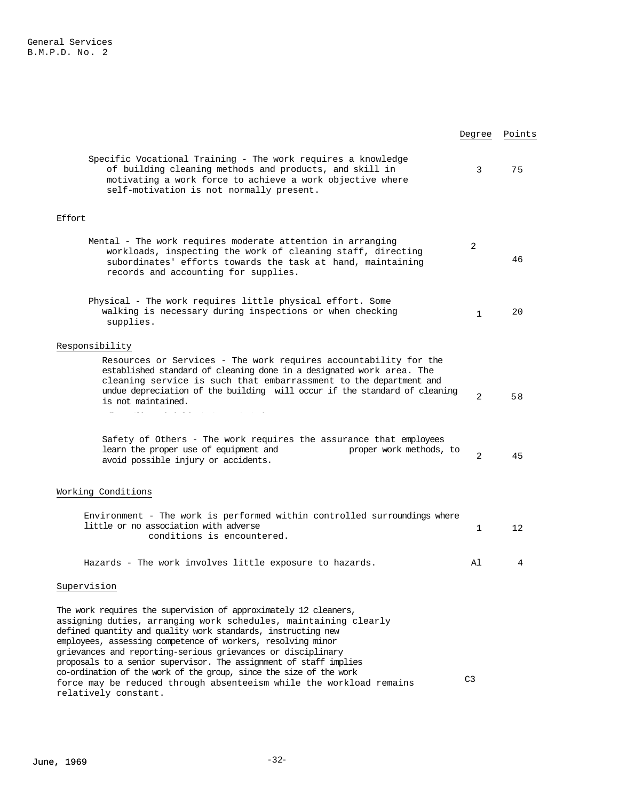|                                                                                                                                                                                                                                                                                                                                                                                                                                                                                                                                                                            | Degree         | Points |
|----------------------------------------------------------------------------------------------------------------------------------------------------------------------------------------------------------------------------------------------------------------------------------------------------------------------------------------------------------------------------------------------------------------------------------------------------------------------------------------------------------------------------------------------------------------------------|----------------|--------|
| Specific Vocational Training - The work requires a knowledge<br>of building cleaning methods and products, and skill in<br>motivating a work force to achieve a work objective where<br>self-motivation is not normally present.                                                                                                                                                                                                                                                                                                                                           | 3              | 75     |
| Effort                                                                                                                                                                                                                                                                                                                                                                                                                                                                                                                                                                     |                |        |
| Mental - The work requires moderate attention in arranging<br>workloads, inspecting the work of cleaning staff, directing<br>subordinates' efforts towards the task at hand, maintaining<br>records and accounting for supplies.                                                                                                                                                                                                                                                                                                                                           | 2              | 46     |
| Physical - The work requires little physical effort. Some<br>walking is necessary during inspections or when checking<br>supplies.                                                                                                                                                                                                                                                                                                                                                                                                                                         | $\mathbf{1}$   | 20     |
| Responsibility                                                                                                                                                                                                                                                                                                                                                                                                                                                                                                                                                             |                |        |
| Resources or Services - The work requires accountability for the<br>established standard of cleaning done in a designated work area. The<br>cleaning service is such that embarrassment to the department and<br>undue depreciation of the building will occur if the standard of cleaning<br>is not maintained.                                                                                                                                                                                                                                                           | 2              | 58     |
| Safety of Others - The work requires the assurance that employees<br>learn the proper use of equipment and<br>proper work methods, to<br>avoid possible injury or accidents.                                                                                                                                                                                                                                                                                                                                                                                               | 2              | 45     |
| Working Conditions                                                                                                                                                                                                                                                                                                                                                                                                                                                                                                                                                         |                |        |
| Environment - The work is performed within controlled surroundings where<br>little or no association with adverse<br>conditions is encountered.                                                                                                                                                                                                                                                                                                                                                                                                                            | 1              | 12     |
| Hazards - The work involves little exposure to hazards.                                                                                                                                                                                                                                                                                                                                                                                                                                                                                                                    | Al             | 4      |
| Supervision                                                                                                                                                                                                                                                                                                                                                                                                                                                                                                                                                                |                |        |
| The work requires the supervision of approximately 12 cleaners,<br>assigning duties, arranging work schedules, maintaining clearly<br>defined quantity and quality work standards, instructing new<br>employees, assessing competence of workers, resolving minor<br>grievances and reporting-serious grievances or disciplinary<br>proposals to a senior supervisor. The assignment of staff implies<br>co-ordination of the work of the group, since the size of the work<br>force may be reduced through absenteeism while the workload remains<br>relatively constant. | C <sub>3</sub> |        |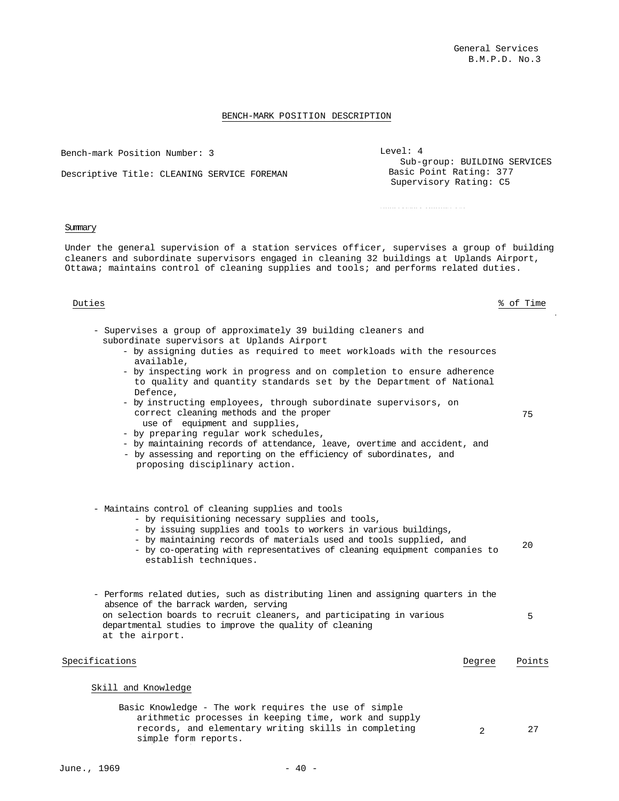Bench-mark Position Number: 3 Bench-mark Position Number: 3

Descriptive Title: CLEANING SERVICE FOREMAN Descriptive Title: CLEANING SERVICE FOREMAN

| Level: 4                     |
|------------------------------|
| Sub-group: BUILDING SERVICES |
| Basic Point Rating: 377      |
| Supervisory Rating: C5       |
|                              |

Supervisory Rating: C5

#### Summary

Under the general supervision of a station services officer, supervises a group of building cleaners and subordinate supervisors engaged in cleaning 32 buildings at Uplands Airport, Ottawa; maintains control of cleaning supplies and tools; and performs related duties.

uties  $\begin{array}{ccc} \texttt{5} & \texttt{6} \\ \texttt{6} & \texttt{7} \\ \texttt{8} & \texttt{8} \end{array}$  of Time Duties % of Time

75 75

- Supervises a group of approximately 39 building cleaners and Supervises a group of approximately 39 building cleaners and subordinate supervisors at Uplands Airport subordinate supervisors at Uplands Airport
	- by assigning duties as required to meet workloads with by assigning duties as required to meet workloads with the resources available,
	- by inspecting work in progress and on completion to ensure adherence to quality and quantity standards set by the Department of National by the  $\epsilon$ Defence,
	- by instructing employees, through subordinate supervisors, by instructing employees, through subordinate supervisors, on correct cleaning methods and the proper and supplies, use of equipment and supplies,
	- by preparing regular work schedules, by preparing regular work schedules,
	- by maintaining records of attendance, leave, overtime and accident, and
- by assessing and reporting on the efficiency of subordinates, and proposing disciplinary action.
	- Maintains control of cleaning supplies and tools Maintains control of cleaning supplies and tools
		- by requisitioning necessary supplies and tools, by requisitioning necessary supplies and tools,
		- by issuing supplies and tools to workers in various buildings, by issuing supplies and tools to workers in various buildings,
		- by maintaining records of materials used and tools by maintaining records of materials used and tools supplied, and
- by co-operating with representatives of cleaning equipment companies to establish techniques. 20 20
	- Performs related duties, such as distributing linen and assigning quarters in the absence of the barrack warden, serving on selection boards to recruit cleaners, and participating in various departmental studies to improve the quality of cleaning at the airport. at the airport. 5 5

| Specifications                                                                                                                                                                                 | Degree | Points |
|------------------------------------------------------------------------------------------------------------------------------------------------------------------------------------------------|--------|--------|
| Skill and Knowledge                                                                                                                                                                            |        |        |
| Basic Knowledge - The work requires the use of simple<br>arithmetic processes in keeping time, work and supply<br>records, and elementary writing skills in completing<br>simple form reports. |        | 27     |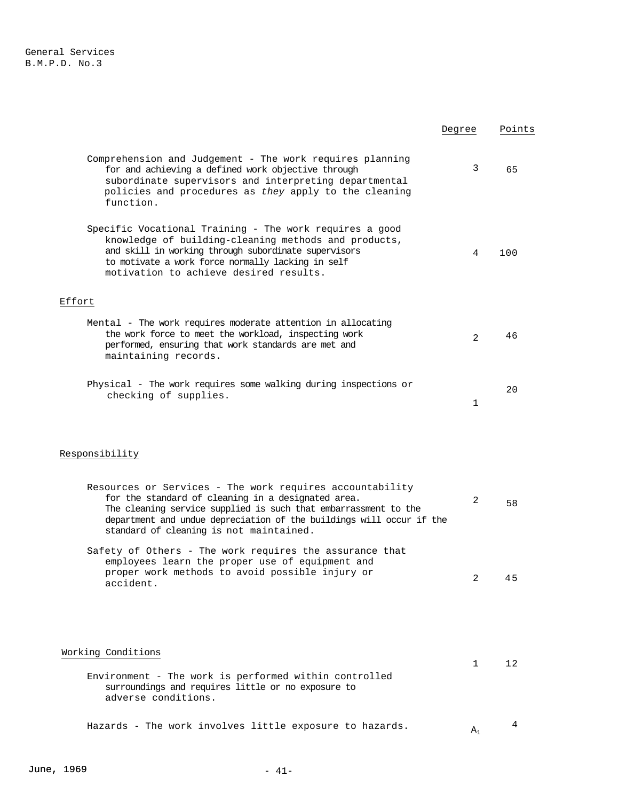|                                                                                                                                                                                                                                                                                                      | Degree         | Points |
|------------------------------------------------------------------------------------------------------------------------------------------------------------------------------------------------------------------------------------------------------------------------------------------------------|----------------|--------|
| Comprehension and Judgement - The work requires planning<br>for and achieving a defined work objective through<br>subordinate supervisors and interpreting departmental<br>policies and procedures as they apply to the cleaning<br>function.                                                        | 3              | 65     |
| Specific Vocational Training - The work requires a good<br>knowledge of building-cleaning methods and products,<br>and skill in working through subordinate supervisors<br>to motivate a work force normally lacking in self<br>motivation to achieve desired results.                               | 4              | 100    |
| Effort                                                                                                                                                                                                                                                                                               |                |        |
| Mental - The work requires moderate attention in allocating<br>the work force to meet the workload, inspecting work<br>performed, ensuring that work standards are met and<br>maintaining records.                                                                                                   | $\overline{2}$ | 46     |
| Physical - The work requires some walking during inspections or<br>checking of supplies.                                                                                                                                                                                                             | 1              | 20     |
| Responsibility                                                                                                                                                                                                                                                                                       |                |        |
| Resources or Services - The work requires accountability<br>for the standard of cleaning in a designated area.<br>The cleaning service supplied is such that embarrassment to the<br>department and undue depreciation of the buildings will occur if the<br>standard of cleaning is not maintained. | 2              | 58     |
| Safety of Others - The work requires the assurance that<br>employees learn the proper use of equipment and<br>proper work methods to avoid possible injury or<br>accident.                                                                                                                           | 2              | 45     |
| Working Conditions                                                                                                                                                                                                                                                                                   | 1              | 12     |
| Environment - The work is performed within controlled<br>surroundings and requires little or no exposure to<br>adverse conditions.                                                                                                                                                                   |                |        |
| Hazards - The work involves little exposure to hazards.                                                                                                                                                                                                                                              | $A_1$          | 4      |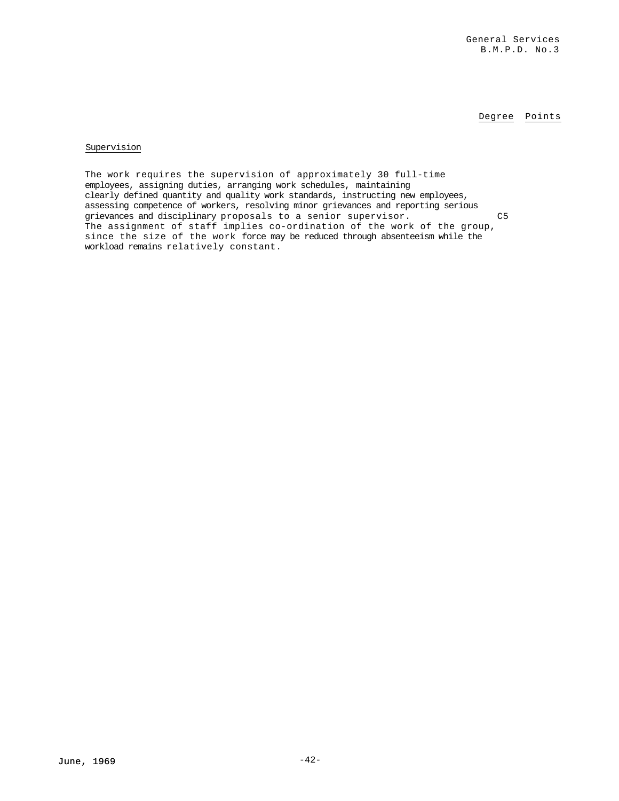Degree Points

### Supervision

The work requires the supervision of approximately 30 full-time employees, assigning duties, arranging work schedules, maintaining clearly defined quantity and quality work standards, instructing new employees, assessing competence of workers, resolving minor grievances and reporting serious grievances and disciplinary proposals to a senior supervisor. C5 The assignment of staff implies co-ordination of the work of the group, since the size of the work force may be reduced through absenteeism while the workload remains relatively constant.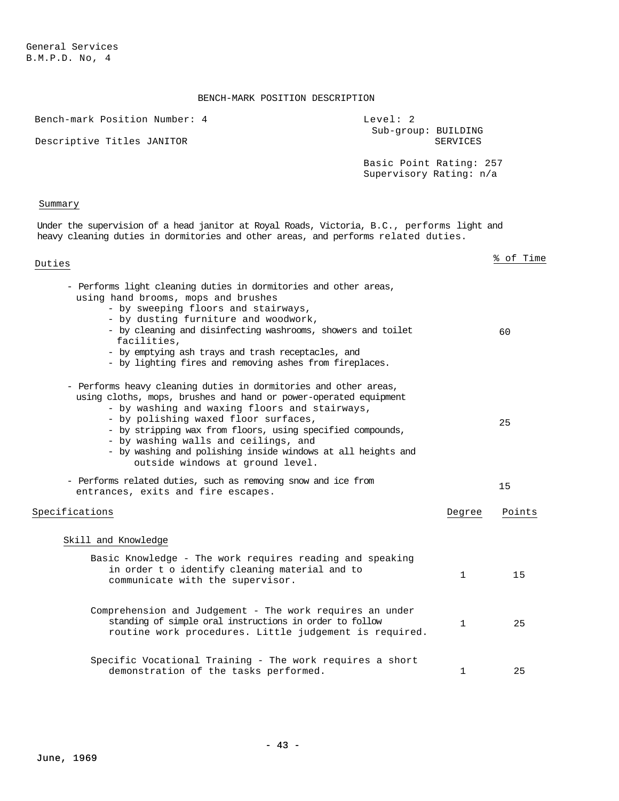| Bench-mark Position Number: 4                                                                                                                                                                                                                                                                                                                                                                                                           | Level: 2                                           |          |           |
|-----------------------------------------------------------------------------------------------------------------------------------------------------------------------------------------------------------------------------------------------------------------------------------------------------------------------------------------------------------------------------------------------------------------------------------------|----------------------------------------------------|----------|-----------|
| Descriptive Titles JANITOR                                                                                                                                                                                                                                                                                                                                                                                                              | Sub-group: BUILDING                                | SERVICES |           |
|                                                                                                                                                                                                                                                                                                                                                                                                                                         | Basic Point Rating: 257<br>Supervisory Rating: n/a |          |           |
| Summary                                                                                                                                                                                                                                                                                                                                                                                                                                 |                                                    |          |           |
| Under the supervision of a head janitor at Royal Roads, Victoria, B.C., performs light and<br>heavy cleaning duties in dormitories and other areas, and performs related duties.                                                                                                                                                                                                                                                        |                                                    |          |           |
| Duties                                                                                                                                                                                                                                                                                                                                                                                                                                  |                                                    |          | % of Time |
| - Performs light cleaning duties in dormitories and other areas,<br>using hand brooms, mops and brushes<br>- by sweeping floors and stairways,<br>- by dusting furniture and woodwork,<br>- by cleaning and disinfecting washrooms, showers and toilet<br>facilities,<br>- by emptying ash trays and trash receptacles, and<br>- by lighting fires and removing ashes from fireplaces.                                                  |                                                    |          | 60        |
| - Performs heavy cleaning duties in dormitories and other areas,<br>using cloths, mops, brushes and hand or power-operated equipment<br>- by washing and waxing floors and stairways,<br>- by polishing waxed floor surfaces,<br>- by stripping wax from floors, using specified compounds,<br>- by washing walls and ceilings, and<br>- by washing and polishing inside windows at all heights and<br>outside windows at ground level. |                                                    |          | 25        |
| - Performs related duties, such as removing snow and ice from<br>entrances, exits and fire escapes.                                                                                                                                                                                                                                                                                                                                     |                                                    |          | 15        |
| Specifications                                                                                                                                                                                                                                                                                                                                                                                                                          |                                                    | Degree   | Points    |
| Skill and Knowledge                                                                                                                                                                                                                                                                                                                                                                                                                     |                                                    |          |           |
| Basic Knowledge - The work requires reading and speaking<br>in order t o identify cleaning material and to<br>communicate with the supervisor.                                                                                                                                                                                                                                                                                          |                                                    | 1        | 15        |
| Comprehension and Judgement - The work requires an under<br>standing of simple oral instructions in order to follow<br>routine work procedures. Little judgement is required.                                                                                                                                                                                                                                                           |                                                    | 1        | 25        |
| Specific Vocational Training - The work requires a short<br>demonstration of the tasks performed.                                                                                                                                                                                                                                                                                                                                       |                                                    | 1        | 25        |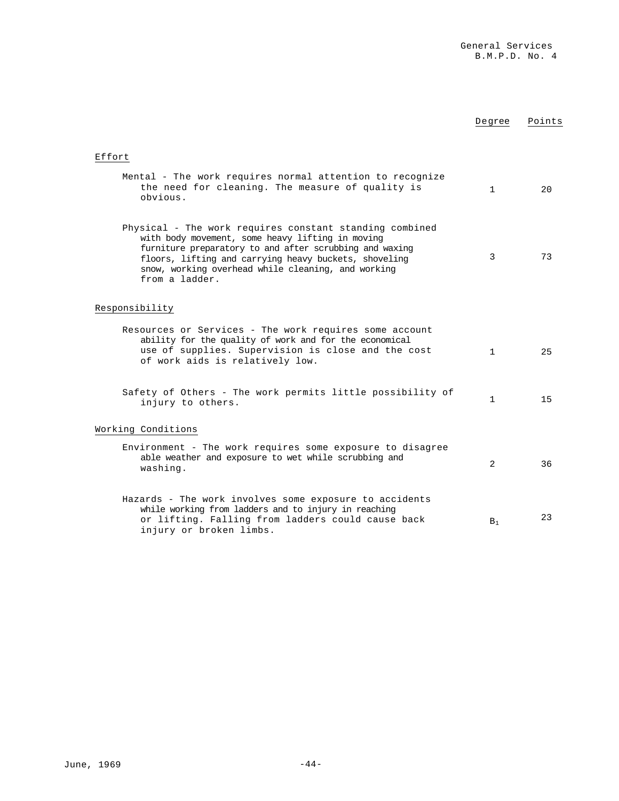|                                                                                                                                                                                                                                                                                                         | Degree       | Points |
|---------------------------------------------------------------------------------------------------------------------------------------------------------------------------------------------------------------------------------------------------------------------------------------------------------|--------------|--------|
| Effort                                                                                                                                                                                                                                                                                                  |              |        |
| Mental - The work requires normal attention to recognize<br>the need for cleaning. The measure of quality is<br>obvious.                                                                                                                                                                                | $\mathbf{1}$ | 20     |
| Physical - The work requires constant standing combined<br>with body movement, some heavy lifting in moving<br>furniture preparatory to and after scrubbing and waxing<br>floors, lifting and carrying heavy buckets, shoveling<br>snow, working overhead while cleaning, and working<br>from a ladder. | 3            | 73     |
| Responsibility                                                                                                                                                                                                                                                                                          |              |        |
| Resources or Services - The work requires some account<br>ability for the quality of work and for the economical<br>use of supplies. Supervision is close and the cost<br>of work aids is relatively low.                                                                                               | $\mathbf{1}$ | 25     |
| Safety of Others - The work permits little possibility of<br>injury to others.                                                                                                                                                                                                                          | 1            | 15     |
| Working Conditions                                                                                                                                                                                                                                                                                      |              |        |
| Environment - The work requires some exposure to disagree<br>able weather and exposure to wet while scrubbing and<br>washing.                                                                                                                                                                           | 2            | 36     |
| Hazards - The work involves some exposure to accidents<br>while working from ladders and to injury in reaching<br>or lifting. Falling from ladders could cause back<br>injury or broken limbs.                                                                                                          | $B_1$        | 23     |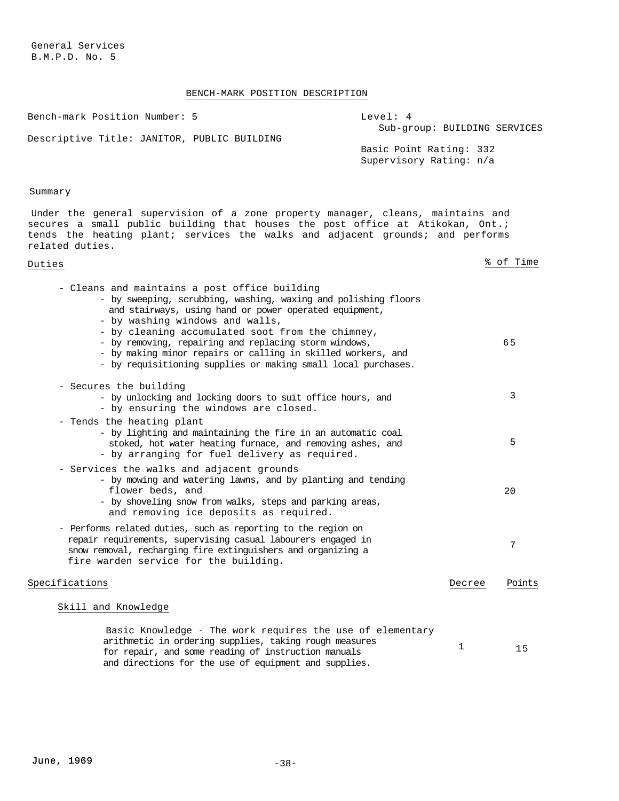# BENCH-MARK POSITION DESCRIPTION

| Bench-mark Position Number: 5<br>Level: 4<br>Sub-group: BUILDING SERVICES                                                                                                                                                                                                                                                                                                                                                                                  |        |           |
|------------------------------------------------------------------------------------------------------------------------------------------------------------------------------------------------------------------------------------------------------------------------------------------------------------------------------------------------------------------------------------------------------------------------------------------------------------|--------|-----------|
| Descriptive Title: JANITOR, PUBLIC BUILDING<br>Basic Point Rating: 332<br>Supervisory Rating: n/a                                                                                                                                                                                                                                                                                                                                                          |        |           |
| Summary                                                                                                                                                                                                                                                                                                                                                                                                                                                    |        |           |
| Under the general supervision of a zone property manager, cleans, maintains and<br>secures a small public building that houses the post office at Atikokan, Ont.;<br>tends the heating plant; services the walks and adjacent grounds; and performs<br>related duties.                                                                                                                                                                                     |        |           |
| Duties                                                                                                                                                                                                                                                                                                                                                                                                                                                     |        | % of Time |
| - Cleans and maintains a post office building<br>- by sweeping, scrubbing, washing, waxing and polishing floors<br>and stairways, using hand or power operated equipment,<br>- by washing windows and walls,<br>- by cleaning accumulated soot from the chimney,<br>- by removing, repairing and replacing storm windows,<br>- by making minor repairs or calling in skilled workers, and<br>- by requisitioning supplies or making small local purchases. |        | 65        |
| - Secures the building<br>- by unlocking and locking doors to suit office hours, and<br>- by ensuring the windows are closed.                                                                                                                                                                                                                                                                                                                              |        | 3         |
| - Tends the heating plant<br>- by lighting and maintaining the fire in an automatic coal<br>stoked, hot water heating furnace, and removing ashes, and<br>- by arranging for fuel delivery as required.                                                                                                                                                                                                                                                    |        | 5         |
| - Services the walks and adjacent grounds<br>- by mowing and watering lawns, and by planting and tending<br>flower beds, and<br>- by shoveling snow from walks, steps and parking areas,<br>and removing ice deposits as required.                                                                                                                                                                                                                         |        | 20        |
| - Performs related duties, such as reporting to the region on<br>repair requirements, supervising casual labourers engaged in<br>snow removal, recharging fire extinguishers and organizing a<br>fire warden service for the building.                                                                                                                                                                                                                     |        | 7         |
| Specifications                                                                                                                                                                                                                                                                                                                                                                                                                                             | Decree | Points    |
| Skill and Knowledge                                                                                                                                                                                                                                                                                                                                                                                                                                        |        |           |
| Basic Knowledge - The work requires the use of elementary<br>arithmetic in ordering supplies, taking rough measures<br>for repair, and gene reading of instruction manuals                                                                                                                                                                                                                                                                                 | 1      | 15        |

for repair, and some reading of instruction manuals and directions for the use of equipment and supplies.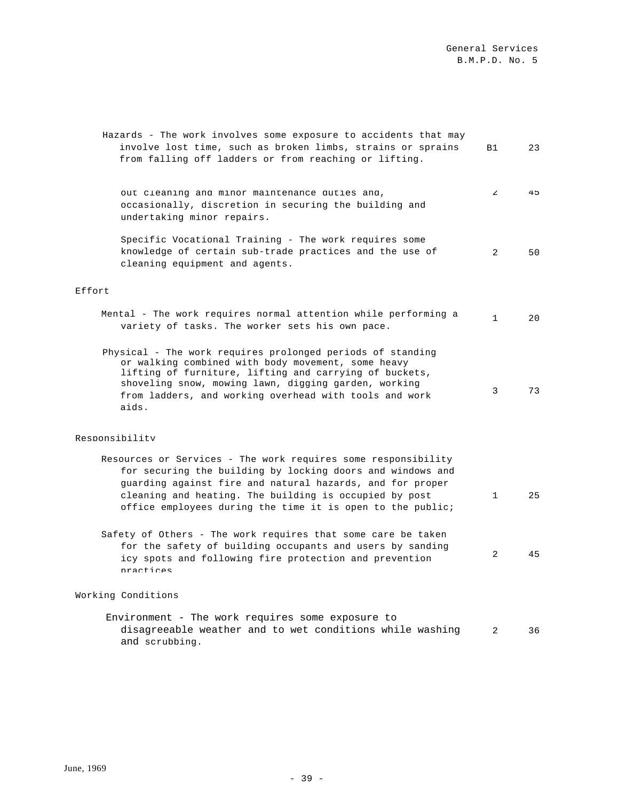| Hazards - The work involves some exposure to accidents that may<br>involve lost time, such as broken limbs, strains or sprains<br>from falling off ladders or from reaching or lifting.                                                                                                                          | B1           | 23             |
|------------------------------------------------------------------------------------------------------------------------------------------------------------------------------------------------------------------------------------------------------------------------------------------------------------------|--------------|----------------|
| out cleaning and minor maintenance duties and,<br>occasionally, discretion in securing the building and<br>undertaking minor repairs.                                                                                                                                                                            | $\mathbf{z}$ | 4 <sub>5</sub> |
| Specific Vocational Training - The work requires some<br>knowledge of certain sub-trade practices and the use of<br>cleaning equipment and agents.                                                                                                                                                               | 2            | 50             |
| Effort                                                                                                                                                                                                                                                                                                           |              |                |
| Mental - The work requires normal attention while performing a<br>variety of tasks. The worker sets his own pace.                                                                                                                                                                                                | $\mathbf 1$  | 20             |
| Physical - The work requires prolonged periods of standing<br>or walking combined with body movement, some heavy<br>lifting of furniture, lifting and carrying of buckets,<br>shoveling snow, mowing lawn, digging garden, working<br>from ladders, and working overhead with tools and work<br>aids.            | 3            | 73             |
| Responsibility                                                                                                                                                                                                                                                                                                   |              |                |
| Resources or Services - The work requires some responsibility<br>for securing the building by locking doors and windows and<br>guarding against fire and natural hazards, and for proper<br>cleaning and heating. The building is occupied by post<br>office employees during the time it is open to the public; | 1            | 25             |
| Safety of Others - The work requires that some care be taken<br>for the safety of building occupants and users by sanding<br>icy spots and following fire protection and prevention<br>practices                                                                                                                 | 2            | 45             |

# Working Conditions

Environment - The work requires some exposure to disagreeable weather and to wet conditions while washing 2 36 and scrubbing.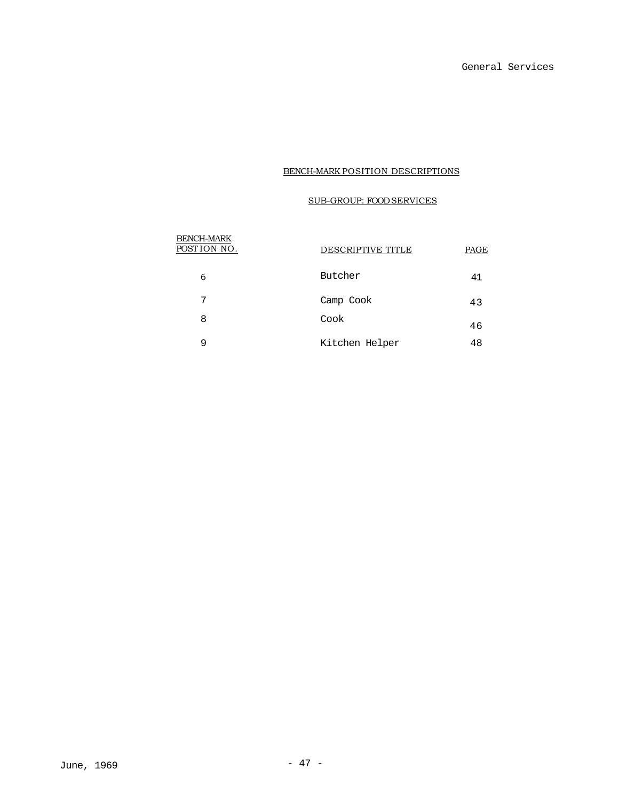# SUB-GROUP: FOOD SERVICES

| <b>BENCH-MARK</b><br>POSTION NO. | DESCRIPTIVE TITLE | PAGE |
|----------------------------------|-------------------|------|
| 6                                | Butcher           | 41   |
| 7                                | Camp Cook         | 43   |
| 8                                | Cook              | 46   |
| 9                                | Kitchen Helper    | 48   |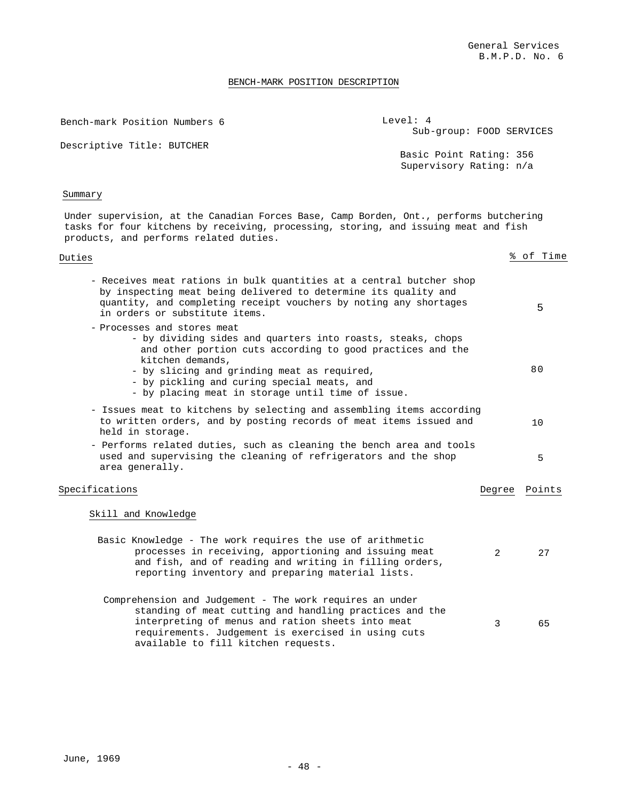#### BENCH-MARK POSITION DESCRIPTION

Bench-mark Position Numbers 6

Level: 4 Sub-group: FOOD SERVICES

Descriptive Title: BUTCHER

Basic Point Rating: 356 Supervisory Rating: n/a

### Summary

Under supervision, at the Canadian Forces Base, Camp Borden, Ont., performs butchering tasks for four kitchens by receiving, processing, storing, and issuing meat and fish products, and performs related duties.

| Duties                                                                                                                                                                                                                                                                                                                          |        | % of Time |
|---------------------------------------------------------------------------------------------------------------------------------------------------------------------------------------------------------------------------------------------------------------------------------------------------------------------------------|--------|-----------|
| - Receives meat rations in bulk quantities at a central butcher shop<br>by inspecting meat being delivered to determine its quality and<br>quantity, and completing receipt vouchers by noting any shortages<br>in orders or substitute items.                                                                                  |        | 5         |
| - Processes and stores meat<br>- by dividing sides and quarters into roasts, steaks, chops<br>and other portion cuts according to good practices and the<br>kitchen demands,<br>- by slicing and grinding meat as required,<br>- by pickling and curing special meats, and<br>- by placing meat in storage until time of issue. |        | 80        |
| - Issues meat to kitchens by selecting and assembling items according<br>to written orders, and by posting records of meat items issued and<br>held in storage.                                                                                                                                                                 |        | 10        |
| - Performs related duties, such as cleaning the bench area and tools<br>used and supervising the cleaning of refrigerators and the shop<br>area generally.                                                                                                                                                                      |        | 5         |
| Specifications                                                                                                                                                                                                                                                                                                                  | Degree | Points    |
| Skill and Knowledge                                                                                                                                                                                                                                                                                                             |        |           |
| Basic Knowledge - The work requires the use of arithmetic<br>processes in receiving, apportioning and issuing meat<br>and fish, and of reading and writing in filling orders,<br>reporting inventory and preparing material lists.                                                                                              | 2      | 27        |
| Comprehension and Judgement - The work requires an under<br>standing of meat cutting and handling practices and the<br>interpreting of menus and ration sheets into meat<br>requirements. Judgement is exercised in using cuts                                                                                                  | 3      | 65        |

available to fill kitchen requests.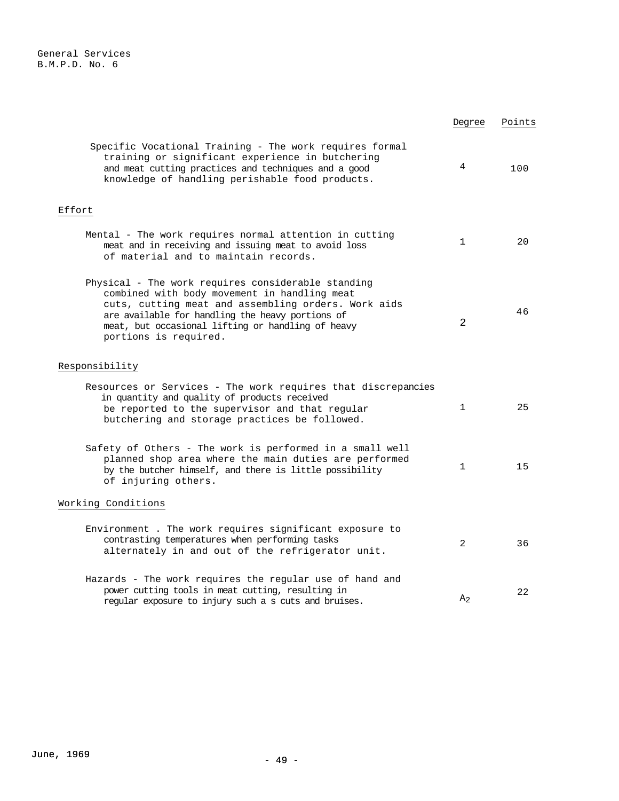|                                                                                                                                                                                                                                                                                             | Degree         | Points |
|---------------------------------------------------------------------------------------------------------------------------------------------------------------------------------------------------------------------------------------------------------------------------------------------|----------------|--------|
| Specific Vocational Training - The work requires formal<br>training or significant experience in butchering<br>and meat cutting practices and techniques and a good<br>knowledge of handling perishable food products.                                                                      | 4              | 100    |
| Effort                                                                                                                                                                                                                                                                                      |                |        |
| Mental - The work requires normal attention in cutting<br>meat and in receiving and issuing meat to avoid loss<br>of material and to maintain records.                                                                                                                                      | $\mathbf 1$    | 20     |
| Physical - The work requires considerable standing<br>combined with body movement in handling meat<br>cuts, cutting meat and assembling orders. Work aids<br>are available for handling the heavy portions of<br>meat, but occasional lifting or handling of heavy<br>portions is required. | 2              | 46     |
| Responsibility                                                                                                                                                                                                                                                                              |                |        |
| Resources or Services - The work requires that discrepancies<br>in quantity and quality of products received<br>be reported to the supervisor and that regular<br>butchering and storage practices be followed.                                                                             | $\mathbf{1}$   | 25     |
| Safety of Others - The work is performed in a small well<br>planned shop area where the main duties are performed<br>by the butcher himself, and there is little possibility<br>of injuring others.                                                                                         | 1              | 15     |
| Working Conditions                                                                                                                                                                                                                                                                          |                |        |
| Environment. The work requires significant exposure to<br>contrasting temperatures when performing tasks<br>alternately in and out of the refrigerator unit.                                                                                                                                | 2              | 36     |
| Hazards - The work requires the regular use of hand and<br>power cutting tools in meat cutting, resulting in<br>regular exposure to injury such a s cuts and bruises.                                                                                                                       | A <sub>2</sub> | 22     |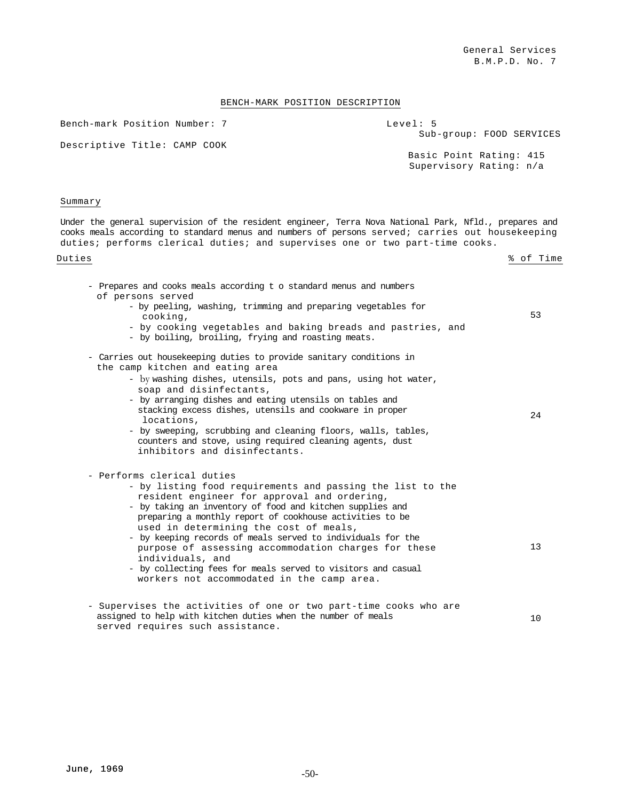Bench-mark Position Number: 7

Level: 5 Sub-group: FOOD SERVICES

Descriptive Title: CAMP COOK

Basic Point Rating: 415 Supervisory Rating: n/a

#### Summary

Under the general supervision of the resident engineer, Terra Nova National Park, Nfld., prepares and cooks meals according to standard menus and numbers of persons served; carries out housekeeping duties; performs clerical duties; and supervises one or two part-time cooks.

Duties  $\frac{8}{3}$  of Time

| - Prepares and cooks meals according t o standard menus and numbers<br>of persons served<br>- by peeling, washing, trimming and preparing vegetables for<br>cooking,<br>- by cooking vegetables and baking breads and pastries, and<br>- by boiling, broiling, frying and roasting meats.                                                                                                                                                                                                                                                                            | 53 |
|----------------------------------------------------------------------------------------------------------------------------------------------------------------------------------------------------------------------------------------------------------------------------------------------------------------------------------------------------------------------------------------------------------------------------------------------------------------------------------------------------------------------------------------------------------------------|----|
| - Carries out housekeeping duties to provide sanitary conditions in<br>the camp kitchen and eating area<br>- by washing dishes, utensils, pots and pans, using hot water,<br>soap and disinfectants,<br>- by arranging dishes and eating utensils on tables and<br>stacking excess dishes, utensils and cookware in proper<br>locations,<br>- by sweeping, scrubbing and cleaning floors, walls, tables,<br>counters and stove, using required cleaning agents, dust<br>inhibitors and disinfectants.                                                                | 24 |
| - Performs clerical duties<br>- by listing food requirements and passing the list to the<br>resident engineer for approval and ordering,<br>- by taking an inventory of food and kitchen supplies and<br>preparing a monthly report of cookhouse activities to be<br>used in determining the cost of meals,<br>- by keeping records of meals served to individuals for the<br>purpose of assessing accommodation charges for these<br>individuals, and<br>- by collecting fees for meals served to visitors and casual<br>workers not accommodated in the camp area. | 13 |
| - Supervises the activities of one or two part-time cooks who are<br>assigned to help with kitchen duties when the number of meals<br>served requires such assistance.                                                                                                                                                                                                                                                                                                                                                                                               | 10 |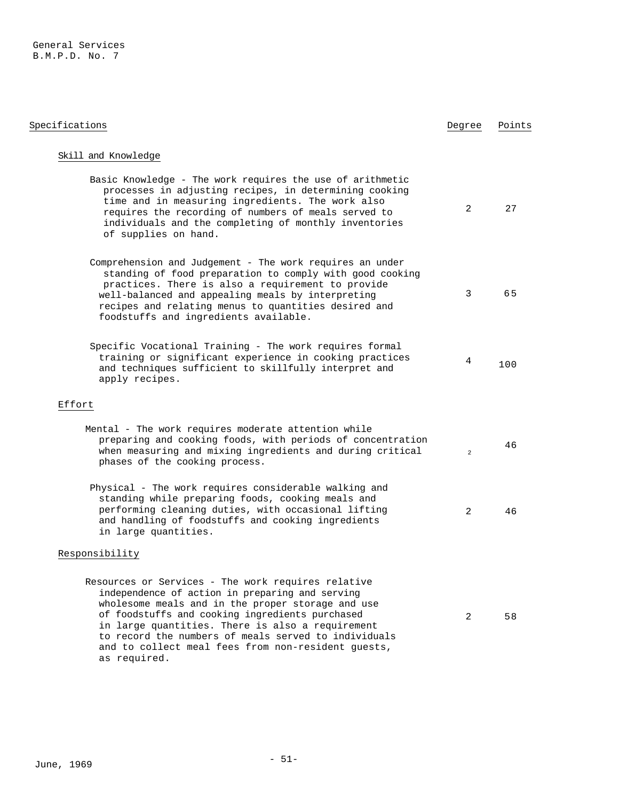| Specifications                                                                                                                                                                                                                                                                                                                                                                                  | Degree         | Points |
|-------------------------------------------------------------------------------------------------------------------------------------------------------------------------------------------------------------------------------------------------------------------------------------------------------------------------------------------------------------------------------------------------|----------------|--------|
| Skill and Knowledge                                                                                                                                                                                                                                                                                                                                                                             |                |        |
| Basic Knowledge - The work requires the use of arithmetic<br>processes in adjusting recipes, in determining cooking<br>time and in measuring ingredients. The work also<br>requires the recording of numbers of meals served to<br>individuals and the completing of monthly inventories<br>of supplies on hand.                                                                                | 2              | 27     |
| Comprehension and Judgement - The work requires an under<br>standing of food preparation to comply with good cooking<br>practices. There is also a requirement to provide<br>well-balanced and appealing meals by interpreting<br>recipes and relating menus to quantities desired and<br>foodstuffs and ingredients available.                                                                 | 3              | 65     |
| Specific Vocational Training - The work requires formal<br>training or significant experience in cooking practices<br>and techniques sufficient to skillfully interpret and<br>apply recipes.                                                                                                                                                                                                   | 4              | 100    |
| Effort                                                                                                                                                                                                                                                                                                                                                                                          |                |        |
| Mental - The work requires moderate attention while<br>preparing and cooking foods, with periods of concentration<br>when measuring and mixing ingredients and during critical<br>phases of the cooking process.                                                                                                                                                                                | $\overline{a}$ | 46     |
| Physical - The work requires considerable walking and<br>standing while preparing foods, cooking meals and<br>performing cleaning duties, with occasional lifting<br>and handling of foodstuffs and cooking ingredients<br>in large quantities.                                                                                                                                                 | 2              | 46     |
| Responsibility                                                                                                                                                                                                                                                                                                                                                                                  |                |        |
| Resources or Services - The work requires relative<br>independence of action in preparing and serving<br>wholesome meals and in the proper storage and use<br>of foodstuffs and cooking ingredients purchased<br>in large quantities. There is also a requirement<br>to record the numbers of meals served to individuals<br>and to collect meal fees from non-resident guests,<br>as required. | 2              | 58     |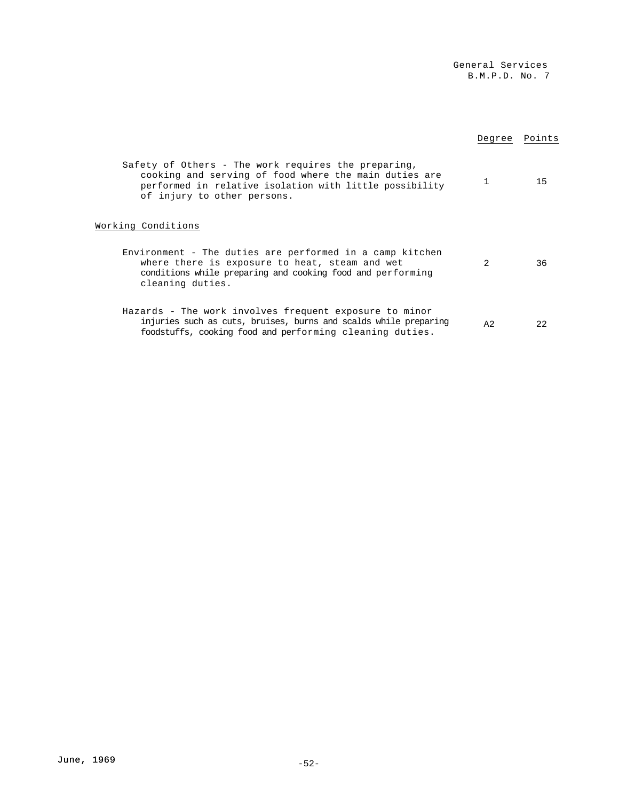|                                                                                                                                                                                                        | Degree         | Points |
|--------------------------------------------------------------------------------------------------------------------------------------------------------------------------------------------------------|----------------|--------|
| Safety of Others - The work requires the preparing,<br>cooking and serving of food where the main duties are<br>performed in relative isolation with little possibility<br>of injury to other persons. | 1              | 15     |
| Working Conditions                                                                                                                                                                                     |                |        |
| Environment - The duties are performed in a camp kitchen<br>where there is exposure to heat, steam and wet<br>conditions while preparing and cooking food and performing<br>cleaning duties.           | $\mathfrak{D}$ | 36     |
| Hazards - The work involves frequent exposure to minor<br>injuries such as cuts, bruises, burns and scalds while preparing<br>foodstuffs, cooking food and performing cleaning duties.                 | A2             | 22     |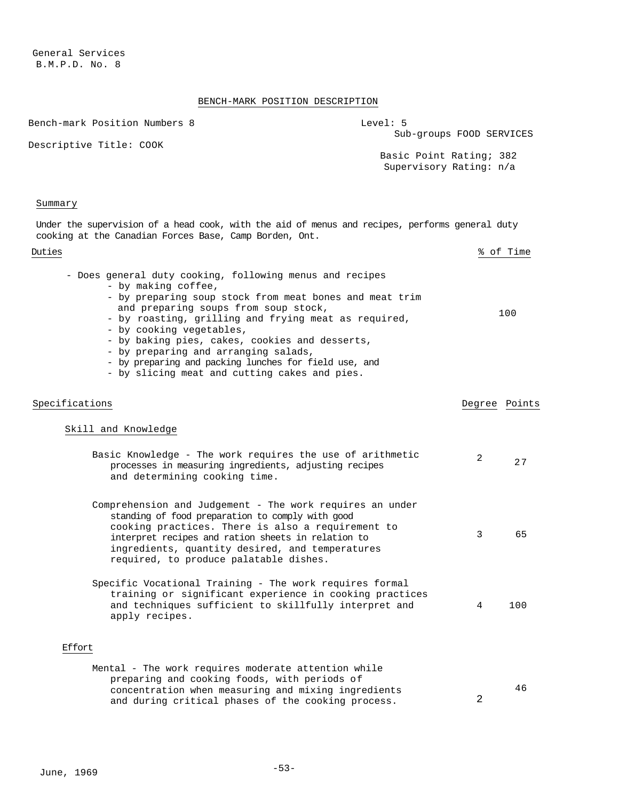# BENCH-MARK POSITION DESCRIPTION

| DDNGH FRINK IODIIION DDDCNIIIIDU                                                                                                                                                                                                                                                                                                                                                                                                                                           |                                                    |               |           |
|----------------------------------------------------------------------------------------------------------------------------------------------------------------------------------------------------------------------------------------------------------------------------------------------------------------------------------------------------------------------------------------------------------------------------------------------------------------------------|----------------------------------------------------|---------------|-----------|
| Bench-mark Position Numbers 8                                                                                                                                                                                                                                                                                                                                                                                                                                              | Level: 5<br>Sub-groups FOOD SERVICES               |               |           |
| Descriptive Title: COOK                                                                                                                                                                                                                                                                                                                                                                                                                                                    | Basic Point Rating; 382<br>Supervisory Rating: n/a |               |           |
| Summary                                                                                                                                                                                                                                                                                                                                                                                                                                                                    |                                                    |               |           |
| Under the supervision of a head cook, with the aid of menus and recipes, performs general duty<br>cooking at the Canadian Forces Base, Camp Borden, Ont.                                                                                                                                                                                                                                                                                                                   |                                                    |               |           |
| Duties                                                                                                                                                                                                                                                                                                                                                                                                                                                                     |                                                    |               | % of Time |
| - Does general duty cooking, following menus and recipes<br>- by making coffee,<br>- by preparing soup stock from meat bones and meat trim<br>and preparing soups from soup stock,<br>- by roasting, grilling and frying meat as required,<br>- by cooking vegetables,<br>- by baking pies, cakes, cookies and desserts,<br>- by preparing and arranging salads,<br>- by preparing and packing lunches for field use, and<br>- by slicing meat and cutting cakes and pies. |                                                    |               | 100       |
| Specifications                                                                                                                                                                                                                                                                                                                                                                                                                                                             |                                                    | Degree Points |           |
| Skill and Knowledge                                                                                                                                                                                                                                                                                                                                                                                                                                                        |                                                    |               |           |
| Basic Knowledge - The work requires the use of arithmetic<br>processes in measuring ingredients, adjusting recipes<br>and determining cooking time.                                                                                                                                                                                                                                                                                                                        |                                                    | 2             | 27        |
| Comprehension and Judgement - The work requires an under<br>standing of food preparation to comply with good<br>cooking practices. There is also a requirement to<br>interpret recipes and ration sheets in relation to<br>ingredients, quantity desired, and temperatures<br>required, to produce palatable dishes.                                                                                                                                                       |                                                    | 3             | 65        |
| Specific Vocational Training - The work requires formal<br>training or significant experience in cooking practices<br>and techniques sufficient to skillfully interpret and<br>apply recipes.                                                                                                                                                                                                                                                                              |                                                    | 4             | 100       |
| Effort                                                                                                                                                                                                                                                                                                                                                                                                                                                                     |                                                    |               |           |
| Mental - The work requires moderate attention while<br>preparing and cooking foods, with periods of<br>concentration when measuring and mixing ingredients<br>and during critical phases of the cooking process.                                                                                                                                                                                                                                                           |                                                    | 2             | 46        |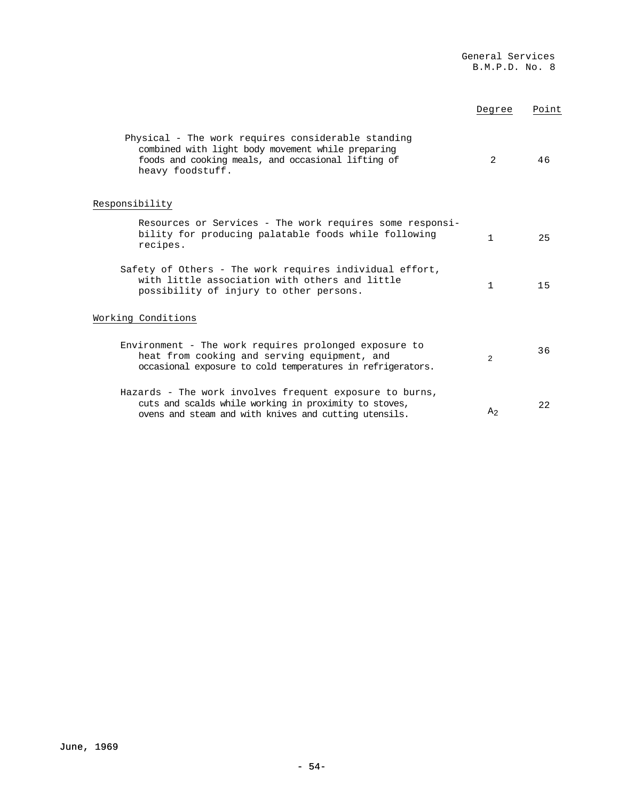|                                         |                                                                                                                                                                           | Degree         | Point |
|-----------------------------------------|---------------------------------------------------------------------------------------------------------------------------------------------------------------------------|----------------|-------|
| heavy foodstuff.                        | Physical - The work requires considerable standing<br>combined with light body movement while preparing<br>foods and cooking meals, and occasional lifting of             | 2              | 46    |
| Responsibility                          |                                                                                                                                                                           |                |       |
| recipes.                                | Resources or Services - The work requires some responsi-<br>bility for producing palatable foods while following                                                          | 1              | 25    |
| possibility of injury to other persons. | Safety of Others - The work requires individual effort,<br>with little association with others and little                                                                 | 1.             | 15    |
| Working Conditions                      |                                                                                                                                                                           |                |       |
|                                         | Environment - The work requires prolonged exposure to<br>heat from cooking and serving equipment, and<br>occasional exposure to cold temperatures in refrigerators.       | 2              | 36    |
|                                         | Hazards - The work involves frequent exposure to burns,<br>cuts and scalds while working in proximity to stoves,<br>ovens and steam and with knives and cutting utensils. | A <sub>2</sub> | 22    |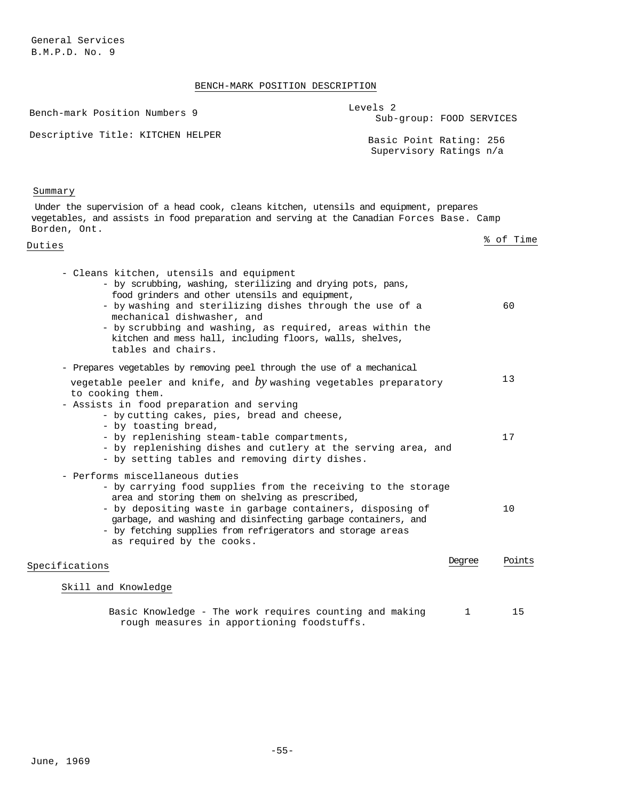# BENCH-MARK POSITION DESCRIPTION

| Bench-mark Position Numbers 9                                                                                                                                                                                                                                                                                                                                                                       | Levels <sub>2</sub><br>Sub-group: FOOD SERVICES    |           |
|-----------------------------------------------------------------------------------------------------------------------------------------------------------------------------------------------------------------------------------------------------------------------------------------------------------------------------------------------------------------------------------------------------|----------------------------------------------------|-----------|
| Descriptive Title: KITCHEN HELPER                                                                                                                                                                                                                                                                                                                                                                   | Basic Point Rating: 256<br>Supervisory Ratings n/a |           |
| Summary                                                                                                                                                                                                                                                                                                                                                                                             |                                                    |           |
| Under the supervision of a head cook, cleans kitchen, utensils and equipment, prepares<br>vegetables, and assists in food preparation and serving at the Canadian Forces Base. Camp<br>Borden, Ont.                                                                                                                                                                                                 |                                                    |           |
| Duties                                                                                                                                                                                                                                                                                                                                                                                              |                                                    | % of Time |
| - Cleans kitchen, utensils and equipment<br>- by scrubbing, washing, sterilizing and drying pots, pans,<br>food grinders and other utensils and equipment,<br>- by washing and sterilizing dishes through the use of a<br>mechanical dishwasher, and<br>- by scrubbing and washing, as required, areas within the<br>kitchen and mess hall, including floors, walls, shelves,<br>tables and chairs. |                                                    | 60        |
| - Prepares vegetables by removing peel through the use of a mechanical                                                                                                                                                                                                                                                                                                                              |                                                    | 13        |
| vegetable peeler and knife, and by washing vegetables preparatory<br>to cooking them.<br>- Assists in food preparation and serving<br>- by cutting cakes, pies, bread and cheese,<br>- by toasting bread,<br>- by replenishing steam-table compartments,<br>- by replenishing dishes and cutlery at the serving area, and<br>- by setting tables and removing dirty dishes.                         |                                                    | 17        |
| - Performs miscellaneous duties<br>- by carrying food supplies from the receiving to the storage<br>area and storing them on shelving as prescribed,<br>- by depositing waste in garbage containers, disposing of<br>garbage, and washing and disinfecting garbage containers, and<br>- by fetching supplies from refrigerators and storage areas<br>as required by the cooks.                      |                                                    | 10        |
| Specifications                                                                                                                                                                                                                                                                                                                                                                                      | Degree                                             | Points    |
| Skill and Knowledge                                                                                                                                                                                                                                                                                                                                                                                 |                                                    |           |
| Basic Knowledge - The work requires counting and making                                                                                                                                                                                                                                                                                                                                             | 1                                                  | 15        |

rough measures in apportioning foodstuffs.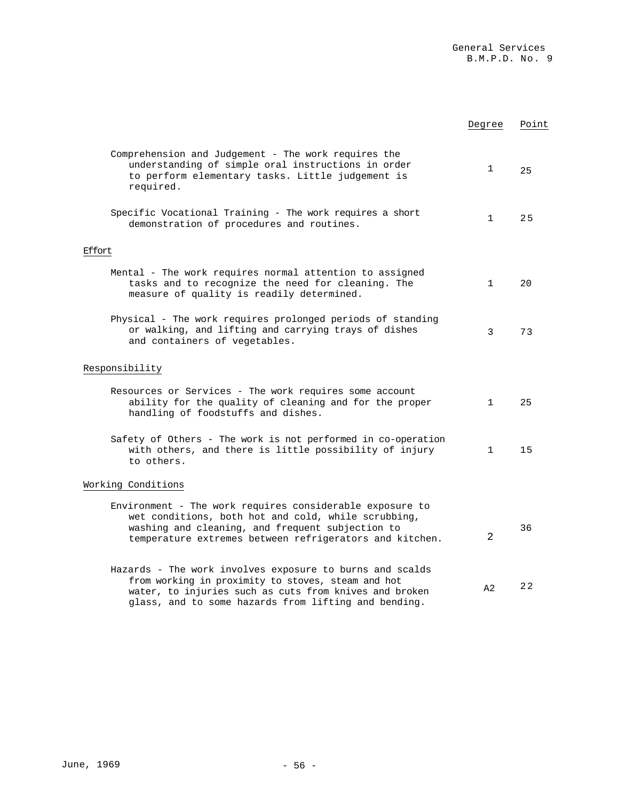|                                                                                                                                                                                                                                  | Degree       | Point |
|----------------------------------------------------------------------------------------------------------------------------------------------------------------------------------------------------------------------------------|--------------|-------|
| Comprehension and Judgement - The work requires the<br>understanding of simple oral instructions in order<br>to perform elementary tasks. Little judgement is<br>required.                                                       | $\mathbf{1}$ | 25    |
| Specific Vocational Training - The work requires a short<br>demonstration of procedures and routines.                                                                                                                            | $\mathbf{1}$ | 25    |
| Effort                                                                                                                                                                                                                           |              |       |
| Mental - The work requires normal attention to assigned<br>tasks and to recognize the need for cleaning. The<br>measure of quality is readily determined.                                                                        | $\mathbf{1}$ | 20    |
| Physical - The work requires prolonged periods of standing<br>or walking, and lifting and carrying trays of dishes<br>and containers of vegetables.                                                                              | 3            | 73    |
| Responsibility                                                                                                                                                                                                                   |              |       |
| Resources or Services - The work requires some account<br>ability for the quality of cleaning and for the proper<br>handling of foodstuffs and dishes.                                                                           | $\mathbf{1}$ | 25    |
| Safety of Others - The work is not performed in co-operation<br>with others, and there is little possibility of injury<br>to others.                                                                                             | $\mathbf{1}$ | 15    |
| Working Conditions                                                                                                                                                                                                               |              |       |
| Environment - The work requires considerable exposure to<br>wet conditions, both hot and cold, while scrubbing,<br>washing and cleaning, and frequent subjection to<br>temperature extremes between refrigerators and kitchen.   | 2            | 36    |
| Hazards - The work involves exposure to burns and scalds<br>from working in proximity to stoves, steam and hot<br>water, to injuries such as cuts from knives and broken<br>glass, and to some hazards from lifting and bending. | A2           | 22    |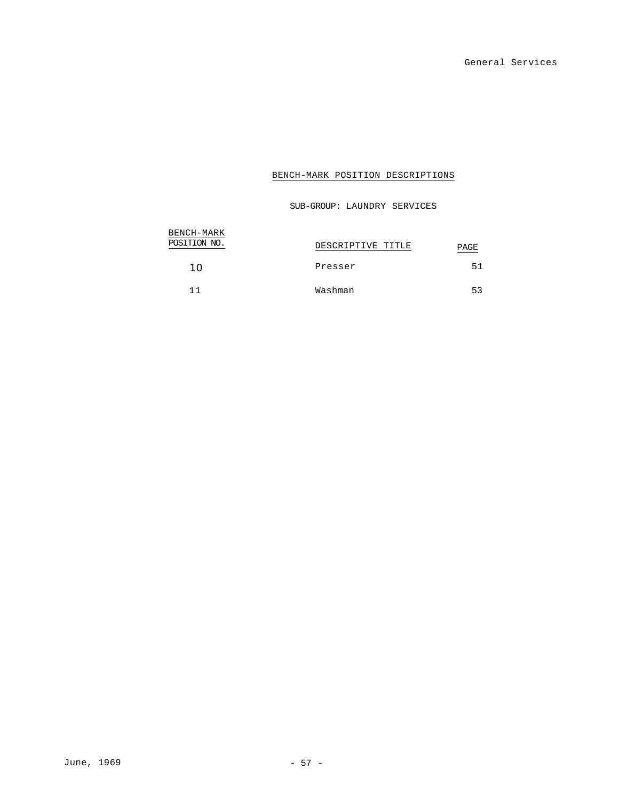SUB-GROUP: LAUNDRY SERVICES

| BENCH-MARK   |                   |      |
|--------------|-------------------|------|
| POSITION NO. | DESCRIPTIVE TITLE | PAGE |
| 10           | Presser           | 51   |
| 11           | Washman           | 53   |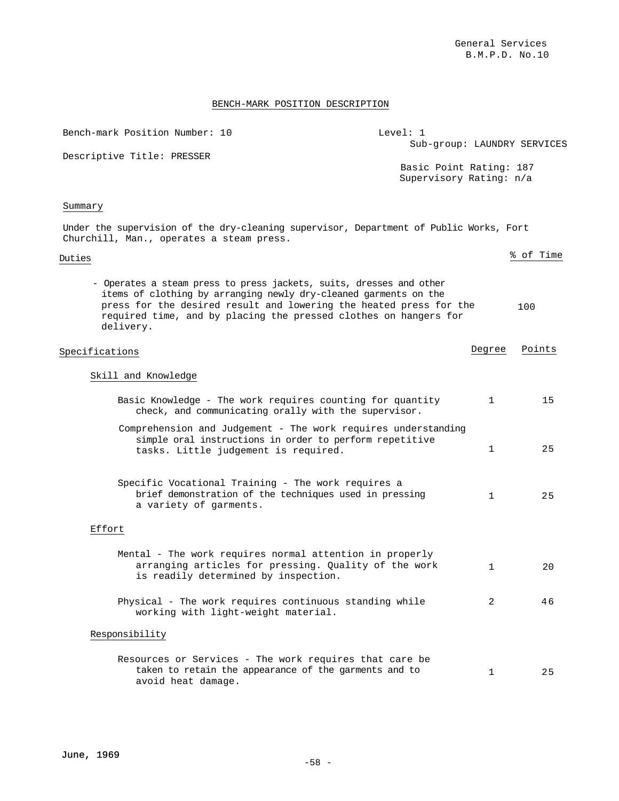| Bench-mark Position Number: 10                                                                                                                                                                                                                                                                 | Level: 1<br>Sub-group: LAUNDRY SERVICES            |        |           |
|------------------------------------------------------------------------------------------------------------------------------------------------------------------------------------------------------------------------------------------------------------------------------------------------|----------------------------------------------------|--------|-----------|
| Descriptive Title: PRESSER                                                                                                                                                                                                                                                                     | Basic Point Rating: 187<br>Supervisory Rating: n/a |        |           |
| Summary                                                                                                                                                                                                                                                                                        |                                                    |        |           |
| Under the supervision of the dry-cleaning supervisor, Department of Public Works, Fort<br>Churchill, Man., operates a steam press.                                                                                                                                                             |                                                    |        |           |
| Duties                                                                                                                                                                                                                                                                                         |                                                    |        | % of Time |
| - Operates a steam press to press jackets, suits, dresses and other<br>items of clothing by arranging newly dry-cleaned garments on the<br>press for the desired result and lowering the heated press for the<br>required time, and by placing the pressed clothes on hangers for<br>delivery. |                                                    |        | 100       |
| Specifications                                                                                                                                                                                                                                                                                 |                                                    | Degree | Points    |
| Skill and Knowledge                                                                                                                                                                                                                                                                            |                                                    |        |           |
| Basic Knowledge - The work requires counting for quantity<br>check, and communicating orally with the supervisor.                                                                                                                                                                              |                                                    | 1      | 15        |
| Comprehension and Judgement - The work requires understanding<br>simple oral instructions in order to perform repetitive<br>tasks. Little judgement is required.                                                                                                                               |                                                    | 1      | 25        |
| Specific Vocational Training - The work requires a<br>brief demonstration of the techniques used in pressing<br>a variety of garments.                                                                                                                                                         |                                                    | 1      | 25        |
| Effort                                                                                                                                                                                                                                                                                         |                                                    |        |           |
| Mental - The work requires normal attention in properly<br>arranging articles for pressing. Quality of the work<br>is readily determined by inspection.                                                                                                                                        |                                                    | 1      | 20        |
| Physical - The work requires continuous standing while<br>working with light-weight material.                                                                                                                                                                                                  |                                                    | 2      | 46        |
| Responsibility                                                                                                                                                                                                                                                                                 |                                                    |        |           |
| Resources or Services - The work requires that care be<br>taken to retain the appearance of the garments and to<br>avoid heat damage.                                                                                                                                                          |                                                    | 1      | 25        |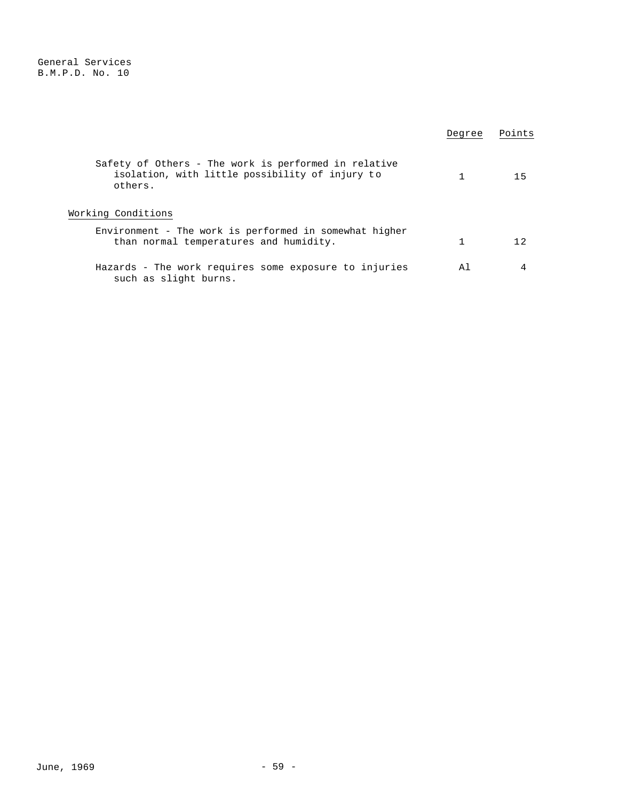|                                                                                                                    | Degree | Points |
|--------------------------------------------------------------------------------------------------------------------|--------|--------|
| Safety of Others - The work is performed in relative<br>isolation, with little possibility of injury to<br>others. |        | 15     |
| Working Conditions                                                                                                 |        |        |
| Environment - The work is performed in somewhat higher<br>than normal temperatures and humidity.                   |        | 12     |
| Hazards - The work requires some exposure to injuries<br>such as slight burns.                                     | Αl     |        |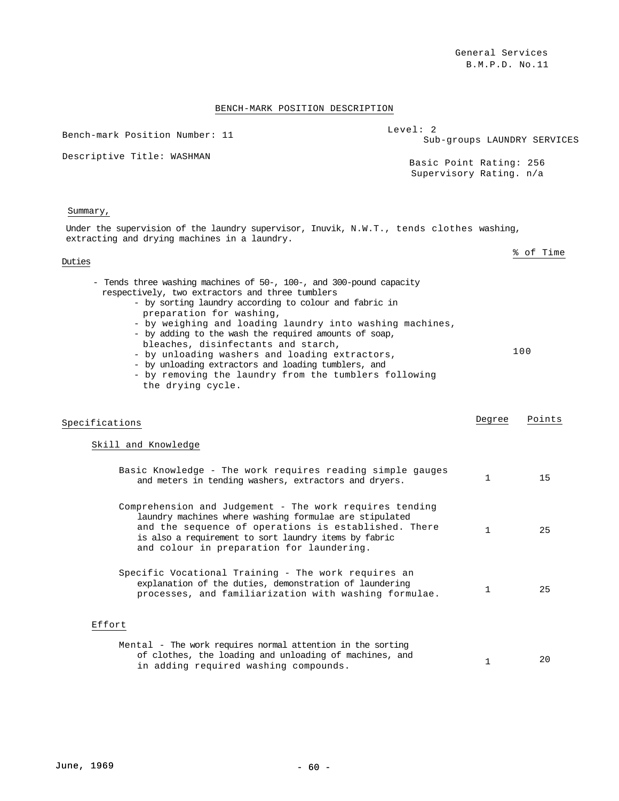# BENCH-MARK POSITION DESCRIPTION

| Bench-mark Position Number: 11                                                                                                                                                                                                                                                                                                                                                                                                                                                                                                                                  | Level: 2                                           |              | Sub-groups LAUNDRY SERVICES |
|-----------------------------------------------------------------------------------------------------------------------------------------------------------------------------------------------------------------------------------------------------------------------------------------------------------------------------------------------------------------------------------------------------------------------------------------------------------------------------------------------------------------------------------------------------------------|----------------------------------------------------|--------------|-----------------------------|
| Descriptive Title: WASHMAN                                                                                                                                                                                                                                                                                                                                                                                                                                                                                                                                      | Basic Point Rating: 256<br>Supervisory Rating. n/a |              |                             |
| Summary,                                                                                                                                                                                                                                                                                                                                                                                                                                                                                                                                                        |                                                    |              |                             |
| Under the supervision of the laundry supervisor, Inuvik, N.W.T., tends clothes washing,<br>extracting and drying machines in a laundry.                                                                                                                                                                                                                                                                                                                                                                                                                         |                                                    |              |                             |
| Duties                                                                                                                                                                                                                                                                                                                                                                                                                                                                                                                                                          |                                                    |              | % of Time                   |
| - Tends three washing machines of 50-, 100-, and 300-pound capacity<br>respectively, two extractors and three tumblers<br>- by sorting laundry according to colour and fabric in<br>preparation for washing,<br>- by weighing and loading laundry into washing machines,<br>- by adding to the wash the required amounts of soap,<br>bleaches, disinfectants and starch,<br>- by unloading washers and loading extractors,<br>- by unloading extractors and loading tumblers, and<br>- by removing the laundry from the tumblers following<br>the drying cycle. |                                                    |              | 100                         |
| Specifications                                                                                                                                                                                                                                                                                                                                                                                                                                                                                                                                                  |                                                    | Degree       | Points                      |
| Skill and Knowledge                                                                                                                                                                                                                                                                                                                                                                                                                                                                                                                                             |                                                    |              |                             |
| Basic Knowledge - The work requires reading simple gauges<br>and meters in tending washers, extractors and dryers.                                                                                                                                                                                                                                                                                                                                                                                                                                              |                                                    | $\mathbf{1}$ | 15                          |
| Comprehension and Judgement - The work requires tending<br>laundry machines where washing formulae are stipulated<br>and the sequence of operations is established. There<br>is also a requirement to sort laundry items by fabric<br>and colour in preparation for laundering.                                                                                                                                                                                                                                                                                 |                                                    | $\mathbf{1}$ | 25                          |
| Specific Vocational Training - The work requires an<br>explanation of the duties, demonstration of laundering<br>processes, and familiarization with washing formulae.                                                                                                                                                                                                                                                                                                                                                                                          |                                                    | 1            | 25                          |
| Effort                                                                                                                                                                                                                                                                                                                                                                                                                                                                                                                                                          |                                                    |              |                             |
| Mental - The work requires normal attention in the sorting<br>of clothes, the loading and unloading of machines, and<br>in adding required washing compounds.                                                                                                                                                                                                                                                                                                                                                                                                   |                                                    | 1            | 20                          |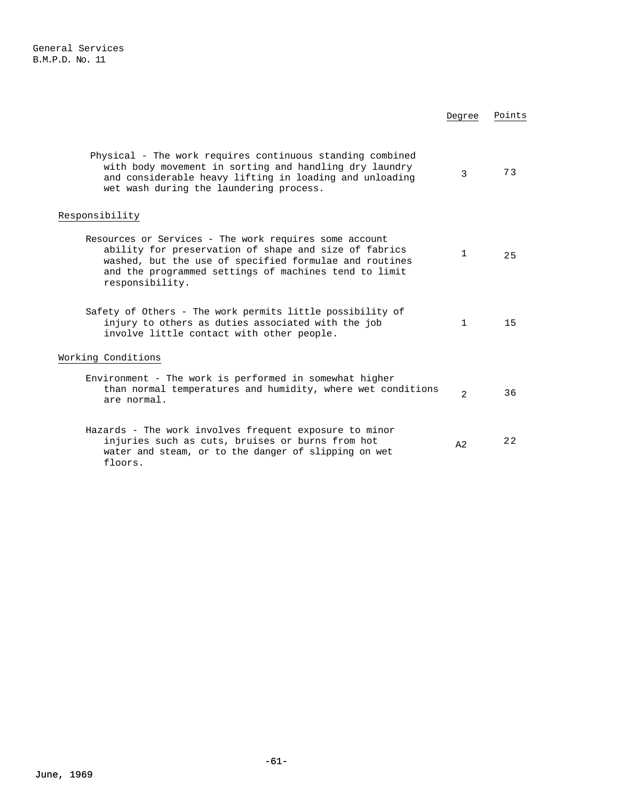|                                                                                                                                                                                                                                                       | Degree         | Points |
|-------------------------------------------------------------------------------------------------------------------------------------------------------------------------------------------------------------------------------------------------------|----------------|--------|
| Physical - The work requires continuous standing combined<br>with body movement in sorting and handling dry laundry<br>and considerable heavy lifting in loading and unloading<br>wet wash during the laundering process.                             | $\mathcal{E}$  | 73     |
| Responsibility                                                                                                                                                                                                                                        |                |        |
| Resources or Services - The work requires some account<br>ability for preservation of shape and size of fabrics<br>washed, but the use of specified formulae and routines<br>and the programmed settings of machines tend to limit<br>responsibility. | 1              | 25     |
| Safety of Others - The work permits little possibility of<br>injury to others as duties associated with the job<br>involve little contact with other people.                                                                                          | 1              | 15     |
| Working Conditions                                                                                                                                                                                                                                    |                |        |
| Environment - The work is performed in somewhat higher<br>than normal temperatures and humidity, where wet conditions<br>are normal.                                                                                                                  | $\mathfrak{D}$ | 36     |
| Hazards - The work involves frequent exposure to minor<br>injuries such as cuts, bruises or burns from hot<br>water and steam, or to the danger of slipping on wet<br>floors.                                                                         | A <sub>2</sub> | 2.2    |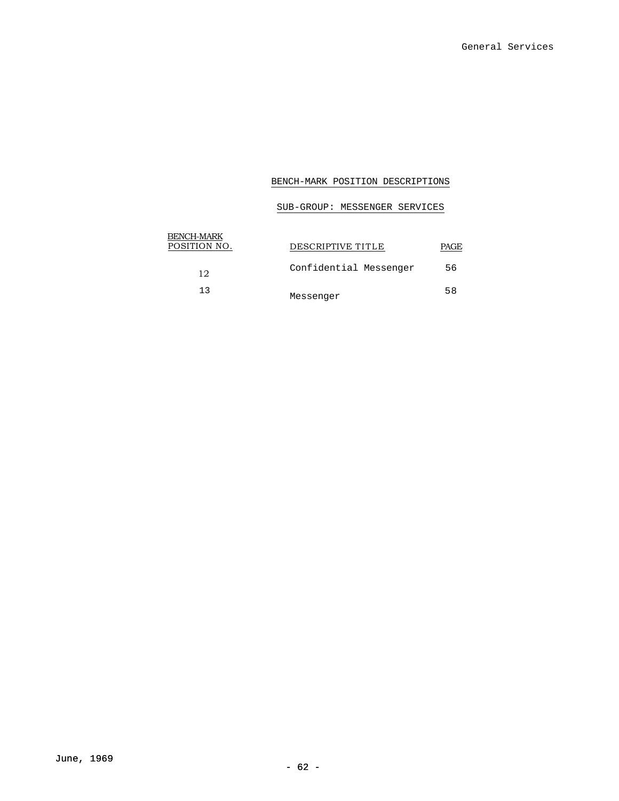# SUB-GROUP: MESSENGER SERVICES

| BENCH-MARK<br>POSITION NO. | DESCRIPTIVE TITLE      | PAGE. |
|----------------------------|------------------------|-------|
| 12                         | Confidential Messenger | 56    |
| 13                         | Messenger              | 58    |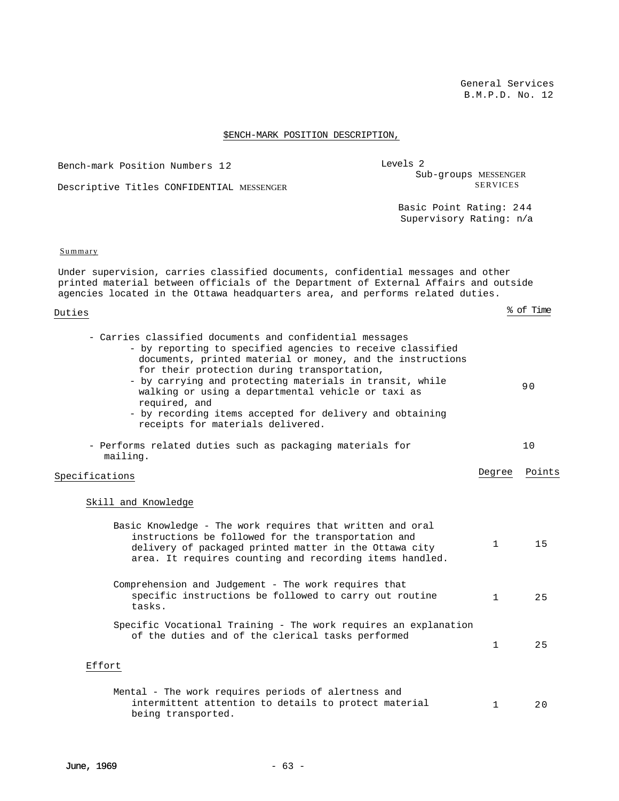# \$ENCH-MARK POSITION DESCRIPTION,

| Bench-mark Position Numbers 12                                                                                                                                                                                                                                                                                                                                                                                                                                          | Levels 2<br>Sub-groups MESSENGER                   |              |           |
|-------------------------------------------------------------------------------------------------------------------------------------------------------------------------------------------------------------------------------------------------------------------------------------------------------------------------------------------------------------------------------------------------------------------------------------------------------------------------|----------------------------------------------------|--------------|-----------|
| Descriptive Titles CONFIDENTIAL MESSENGER                                                                                                                                                                                                                                                                                                                                                                                                                               | <b>SERVICES</b>                                    |              |           |
|                                                                                                                                                                                                                                                                                                                                                                                                                                                                         | Basic Point Rating: 244<br>Supervisory Rating: n/a |              |           |
| Summary                                                                                                                                                                                                                                                                                                                                                                                                                                                                 |                                                    |              |           |
| Under supervision, carries classified documents, confidential messages and other<br>printed material between officials of the Department of External Affairs and outside<br>agencies located in the Ottawa headquarters area, and performs related duties.                                                                                                                                                                                                              |                                                    |              |           |
| Duties                                                                                                                                                                                                                                                                                                                                                                                                                                                                  |                                                    |              | % of Time |
| - Carries classified documents and confidential messages<br>- by reporting to specified agencies to receive classified<br>documents, printed material or money, and the instructions<br>for their protection during transportation,<br>- by carrying and protecting materials in transit, while<br>walking or using a departmental vehicle or taxi as<br>required, and<br>- by recording items accepted for delivery and obtaining<br>receipts for materials delivered. |                                                    |              | 90        |
| - Performs related duties such as packaging materials for<br>mailing.                                                                                                                                                                                                                                                                                                                                                                                                   |                                                    |              | 10        |
| Specifications                                                                                                                                                                                                                                                                                                                                                                                                                                                          |                                                    | Degree       | Points    |
| Skill and Knowledge                                                                                                                                                                                                                                                                                                                                                                                                                                                     |                                                    |              |           |
| Basic Knowledge - The work requires that written and oral<br>instructions be followed for the transportation and<br>delivery of packaged printed matter in the Ottawa city<br>area. It requires counting and recording items handled.                                                                                                                                                                                                                                   |                                                    | $\mathbf{1}$ | 15        |
| Comprehension and Judgement - The work requires that<br>specific instructions be followed to carry out routine<br>tasks.                                                                                                                                                                                                                                                                                                                                                |                                                    | 1            | 25        |
| Specific Vocational Training - The work requires an explanation<br>of the duties and of the clerical tasks performed                                                                                                                                                                                                                                                                                                                                                    |                                                    | 1            | 25        |
| Effort                                                                                                                                                                                                                                                                                                                                                                                                                                                                  |                                                    |              |           |
| Mental - The work requires periods of alertness and<br>intermittent attention to details to protect material<br>being transported.                                                                                                                                                                                                                                                                                                                                      |                                                    | 1            | 20        |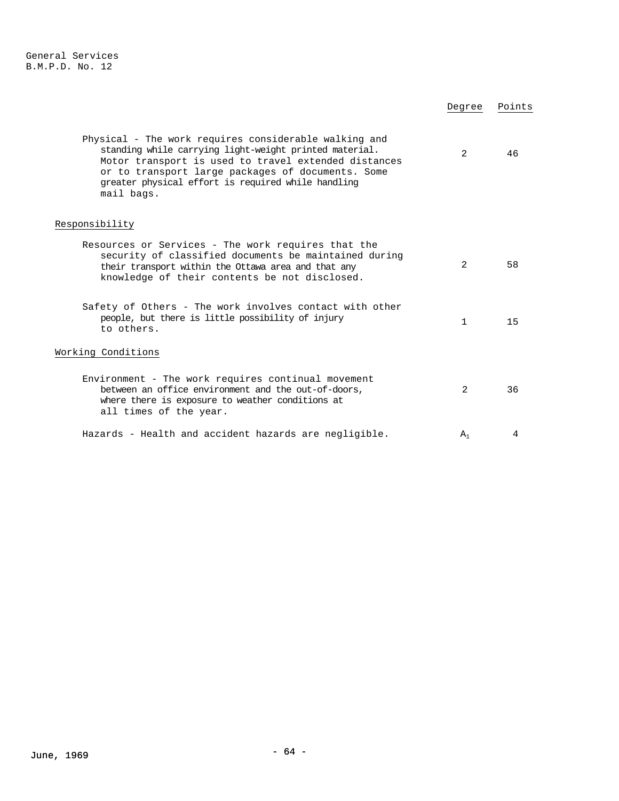|                                                                                                                                                                                                                                                                                                  | Degree       | Points |
|--------------------------------------------------------------------------------------------------------------------------------------------------------------------------------------------------------------------------------------------------------------------------------------------------|--------------|--------|
| Physical - The work requires considerable walking and<br>standing while carrying light-weight printed material.<br>Motor transport is used to travel extended distances<br>or to transport large packages of documents. Some<br>greater physical effort is required while handling<br>mail bags. | 2            | 46     |
| Responsibility                                                                                                                                                                                                                                                                                   |              |        |
| Resources or Services - The work requires that the<br>security of classified documents be maintained during<br>their transport within the Ottawa area and that any<br>knowledge of their contents be not disclosed.                                                                              | 2            | 58     |
| Safety of Others - The work involves contact with other<br>people, but there is little possibility of injury<br>to others.                                                                                                                                                                       | $\mathbf{1}$ | 15     |
| Working Conditions                                                                                                                                                                                                                                                                               |              |        |
| Environment - The work requires continual movement<br>between an office environment and the out-of-doors,<br>where there is exposure to weather conditions at<br>all times of the year.                                                                                                          | 2            | 36     |
| Hazards - Health and accident hazards are negligible.                                                                                                                                                                                                                                            | $A_1$        | 4      |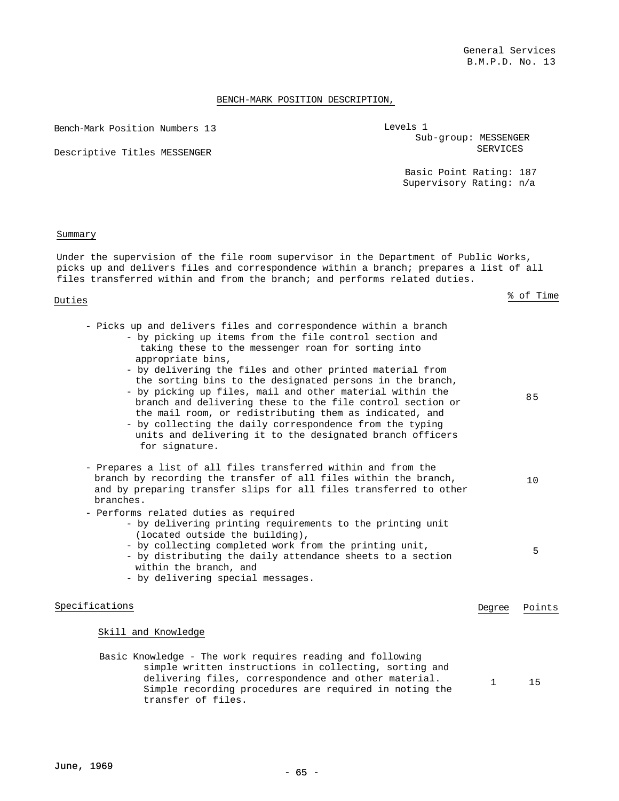Bench-Mark Position Numbers 13

Descriptive Titles MESSENGER

Basic Point Rating: 187 Supervisory Rating: n/a

#### Summary

Under the supervision of the file room supervisor in the Department of Public Works, picks up and delivers files and correspondence within a branch; prepares a list of all files transferred within and from the branch; and performs related duties.

# Duties % of Time

- Picks up and delivers files and correspondence within a branch - by picking up items from the file control section and taking these to the messenger roan for sorting into appropriate bins, - by delivering the files and other printed material from the sorting bins to the designated persons in the branch, - by picking up files, mail and other material within the branch and delivering these to the file control section or the mail room, or redistributing them as indicated, and - by collecting the daily correspondence from the typing units and delivering it to the designated branch officers for signature. 85 - Prepares a list of all files transferred within and from the branch by recording the transfer of all files within the branch, and by preparing transfer slips for all files transferred to other branches. 10 - Performs related duties as required - by delivering printing requirements to the printing unit (located outside the building), - by collecting completed work from the printing unit, - by distributing the daily attendance sheets to a section within the branch, and - by delivering special messages. 5

## Specifications **Degree** Points **Degree** Points

#### Skill and Knowledge

Basic Knowledge - The work requires reading and following simple written instructions in collecting, sorting and delivering files, correspondence and other material. Simple recording procedures are required in noting the transfer of files. 1 15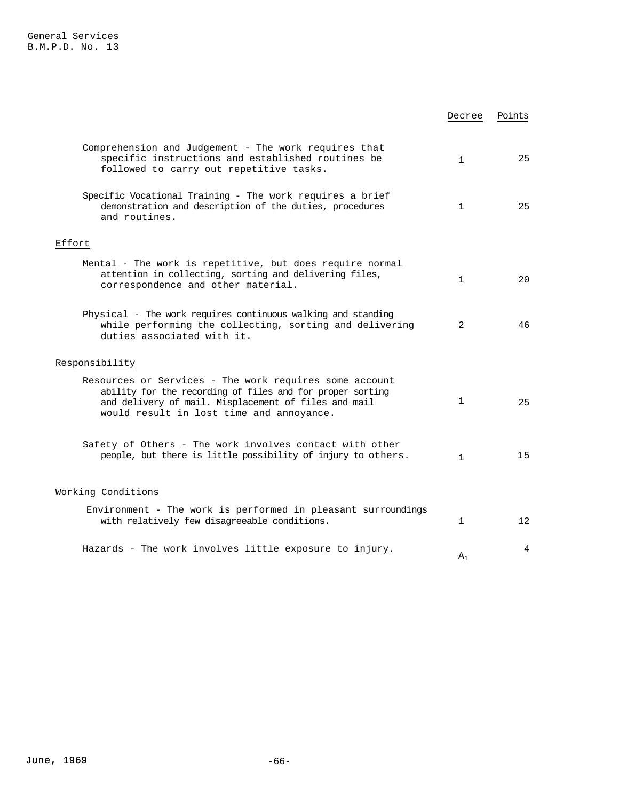|                                                                                                                                                                                                                         | Decree         | Points          |
|-------------------------------------------------------------------------------------------------------------------------------------------------------------------------------------------------------------------------|----------------|-----------------|
| Comprehension and Judgement - The work requires that<br>specific instructions and established routines be<br>followed to carry out repetitive tasks.                                                                    | $\mathbf{1}$   | 25              |
| Specific Vocational Training - The work requires a brief<br>demonstration and description of the duties, procedures<br>and routines.                                                                                    | $\mathbf{1}$   | 25              |
| Effort                                                                                                                                                                                                                  |                |                 |
| Mental - The work is repetitive, but does require normal<br>attention in collecting, sorting and delivering files,<br>correspondence and other material.                                                                | $\mathbf{1}$   | 20              |
| Physical - The work requires continuous walking and standing<br>while performing the collecting, sorting and delivering<br>duties associated with it.                                                                   | $\overline{2}$ | 46              |
| Responsibility                                                                                                                                                                                                          |                |                 |
| Resources or Services - The work requires some account<br>ability for the recording of files and for proper sorting<br>and delivery of mail. Misplacement of files and mail<br>would result in lost time and annoyance. | 1              | 25              |
| Safety of Others - The work involves contact with other<br>people, but there is little possibility of injury to others.                                                                                                 | $\mathbf{1}$   | 15              |
| Working Conditions                                                                                                                                                                                                      |                |                 |
| Environment - The work is performed in pleasant surroundings<br>with relatively few disagreeable conditions.                                                                                                            | 1              | 12 <sup>°</sup> |
| Hazards - The work involves little exposure to injury.                                                                                                                                                                  | $A_1$          | 4               |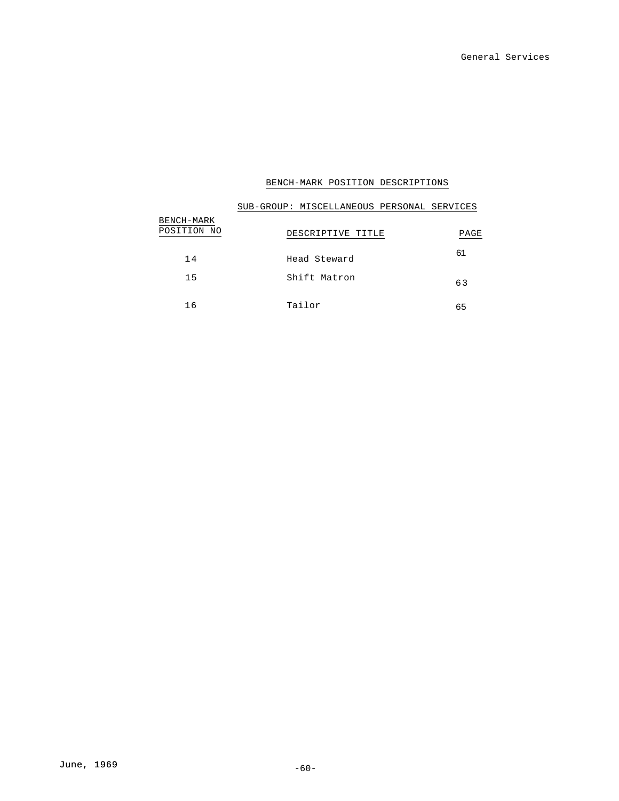|                           | SUB-GROUP: MISCELLANEOUS PERSONAL SERVICES |  |      |
|---------------------------|--------------------------------------------|--|------|
| BENCH-MARK<br>POSITION NO | DESCRIPTIVE TITLE                          |  | PAGE |
| 14                        | Head Steward                               |  | 61   |
| 15                        | Shift Matron                               |  | 63   |
| 16                        | Tailor                                     |  | 65   |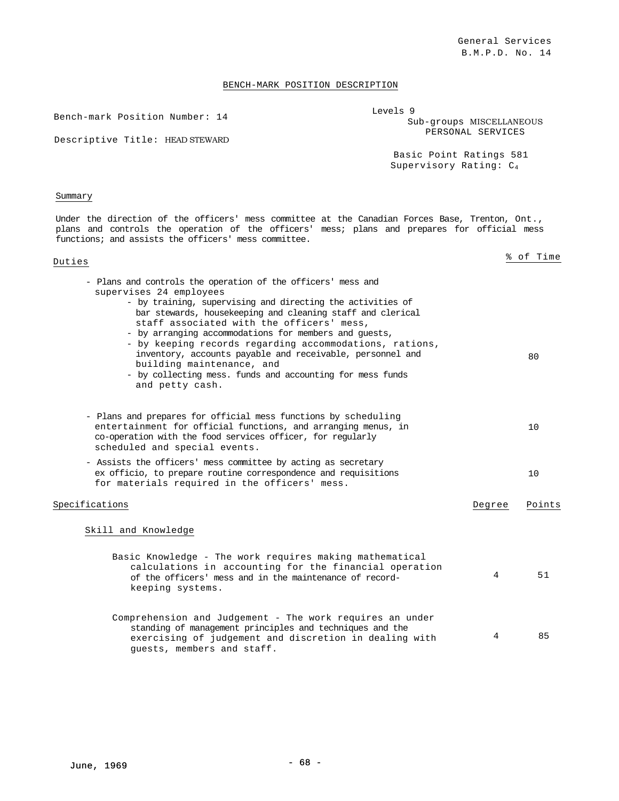Bench-mark Position Number: 14

| Levels 9 |                          |
|----------|--------------------------|
|          | Sub-groups MISCELLANEOUS |
|          | PERSONAL SERVICES        |
|          |                          |

Descriptive Title: HEAD STEWARD

Basic Point Ratings 581 Supervisory Rating: C4

## Summary

Under the direction of the officers' mess committee at the Canadian Forces Base, Trenton, Ont., plans and controls the operation of the officers' mess; plans and prepares for official mess functions; and assists the officers' mess committee.

# Duties % of Time

| - Plans and controls the operation of the officers' mess and<br>supervises 24 employees<br>- by training, supervising and directing the activities of<br>bar stewards, housekeeping and cleaning staff and clerical<br>staff associated with the officers' mess,                           |        |        |
|--------------------------------------------------------------------------------------------------------------------------------------------------------------------------------------------------------------------------------------------------------------------------------------------|--------|--------|
| - by arranging accommodations for members and quests,<br>- by keeping records regarding accommodations, rations,<br>inventory, accounts payable and receivable, personnel and<br>building maintenance, and<br>- by collecting mess. funds and accounting for mess funds<br>and petty cash. |        | 80     |
| - Plans and prepares for official mess functions by scheduling<br>entertainment for official functions, and arranging menus, in<br>co-operation with the food services officer, for regularly<br>scheduled and special events.                                                             |        | 10     |
| - Assists the officers' mess committee by acting as secretary<br>ex officio, to prepare routine correspondence and requisitions<br>for materials required in the officers' mess.                                                                                                           |        | 10     |
| Specifications                                                                                                                                                                                                                                                                             | Degree | Points |
| Skill and Knowledge                                                                                                                                                                                                                                                                        |        |        |
| Basic Knowledge - The work requires making mathematical<br>calculations in accounting for the financial operation<br>of the officers' mess and in the maintenance of record-<br>keeping systems.                                                                                           | 4      | 51     |
| Comprehension and Judgement - The work requires an under<br>standing of management principles and techniques and the<br>exercising of judgement and discretion in dealing with<br>guests, members and staff.                                                                               | 4      | 85     |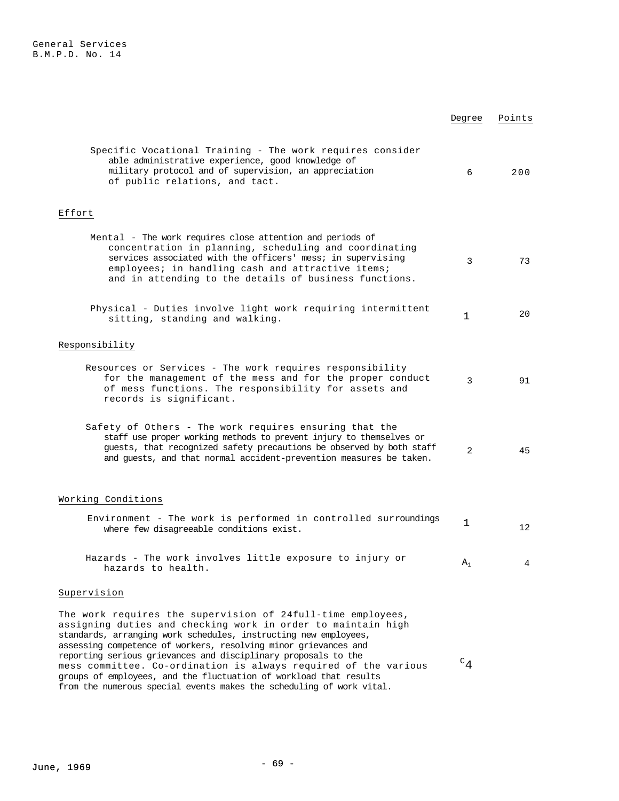|                                                                                                                                                                                                                                                                                                   | Degree         | Points |
|---------------------------------------------------------------------------------------------------------------------------------------------------------------------------------------------------------------------------------------------------------------------------------------------------|----------------|--------|
| Specific Vocational Training - The work requires consider<br>able administrative experience, good knowledge of<br>military protocol and of supervision, an appreciation<br>of public relations, and tact.                                                                                         | 6              | 200    |
| Effort                                                                                                                                                                                                                                                                                            |                |        |
| Mental - The work requires close attention and periods of<br>concentration in planning, scheduling and coordinating<br>services associated with the officers' mess; in supervising<br>employees; in handling cash and attractive items;<br>and in attending to the details of business functions. | 3              | 73     |
| Physical - Duties involve light work requiring intermittent<br>sitting, standing and walking.                                                                                                                                                                                                     | 1              | 20     |
| Responsibility                                                                                                                                                                                                                                                                                    |                |        |
| Resources or Services - The work requires responsibility<br>for the management of the mess and for the proper conduct<br>of mess functions. The responsibility for assets and<br>records is significant.                                                                                          | 3              | 91     |
| Safety of Others - The work requires ensuring that the<br>staff use proper working methods to prevent injury to themselves or<br>guests, that recognized safety precautions be observed by both staff<br>and guests, and that normal accident-prevention measures be taken.                       | 2              | 45     |
| Working Conditions                                                                                                                                                                                                                                                                                |                |        |
| Environment - The work is performed in controlled surroundings<br>where few disagreeable conditions exist.                                                                                                                                                                                        | 1              | 12     |
| Hazards - The work involves little exposure to injury or<br>hazards to health.                                                                                                                                                                                                                    | $\mathtt{A}_1$ |        |
| Supervision                                                                                                                                                                                                                                                                                       |                |        |
| The work requires the supervision of 24full-time employees,<br>assigning duties and checking work in order to maintain high<br>standards, arranging work schedules, instructing new employees,<br>assessing competence of workers, resolving minor grievances and                                 |                |        |
| reporting serious grievances and disciplinary proposals to the<br>mess committee. Co-ordination is always required of the various<br>groups of employees, and the fluctuation of workload that results<br>from the numerous special events makes the scheduling of work vital.                    | $C_{4}$        |        |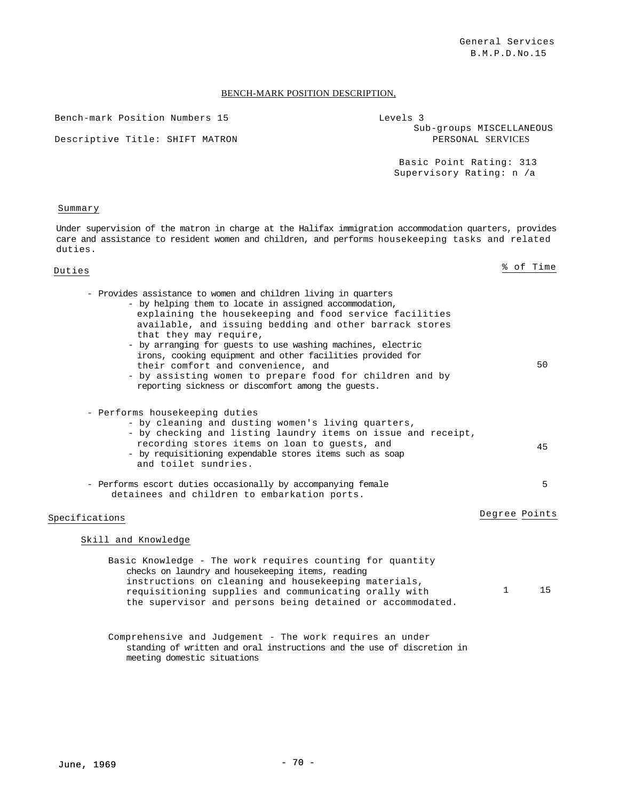Bench-mark Position Numbers 15

Descriptive Title: SHIFT MATRON

| Levels 3                 |  |
|--------------------------|--|
| Sub-groups MISCELLANEOUS |  |
| PERSONAL SERVICES        |  |
|                          |  |

Basic Point Rating: 313 Supervisory Rating: n /a

#### Summary

Under supervision of the matron in charge at the Halifax immigration accommodation quarters, provides care and assistance to resident women and children, and performs housekeeping tasks and related duties.

| Duties |  |  |                                                                                                                                                                                                                                                                                                                                                                                                                                                                                          |  |  |  | % of Time |
|--------|--|--|------------------------------------------------------------------------------------------------------------------------------------------------------------------------------------------------------------------------------------------------------------------------------------------------------------------------------------------------------------------------------------------------------------------------------------------------------------------------------------------|--|--|--|-----------|
|        |  |  |                                                                                                                                                                                                                                                                                                                                                                                                                                                                                          |  |  |  |           |
|        |  |  | $\mathcal{L} = \mathcal{L} \cdot \mathcal{L} = \mathcal{L} \cdot \mathcal{L} = \mathcal{L} \cdot \mathcal{L} = \mathcal{L} \cdot \mathcal{L} = \mathcal{L} \cdot \mathcal{L} = \mathcal{L} \cdot \mathcal{L} = \mathcal{L} \cdot \mathcal{L} = \mathcal{L} \cdot \mathcal{L} = \mathcal{L} \cdot \mathcal{L} = \mathcal{L} \cdot \mathcal{L} = \mathcal{L} \cdot \mathcal{L} = \mathcal{L} \cdot \mathcal{L} = \mathcal{L} \cdot \mathcal{L} = \mathcal{L} \cdot \mathcal{L} = \mathcal$ |  |  |  |           |

| - Provides assistance to women and children living in quarters<br>- by helping them to locate in assigned accommodation,<br>explaining the housekeeping and food service facilities<br>available, and issuing bedding and other barrack stores<br>that they may require,<br>- by arranging for guests to use washing machines, electric<br>irons, cooking equipment and other facilities provided for<br>their comfort and convenience, and<br>- by assisting women to prepare food for children and by<br>reporting sickness or discomfort among the quests. |               | 50 |
|---------------------------------------------------------------------------------------------------------------------------------------------------------------------------------------------------------------------------------------------------------------------------------------------------------------------------------------------------------------------------------------------------------------------------------------------------------------------------------------------------------------------------------------------------------------|---------------|----|
| - Performs housekeeping duties<br>- by cleaning and dusting women's living quarters,<br>- by checking and listing laundry items on issue and receipt,<br>recording stores items on loan to quests, and                                                                                                                                                                                                                                                                                                                                                        |               | 45 |
| - by requisitioning expendable stores items such as soap<br>and toilet sundries.<br>- Performs escort duties occasionally by accompanying female<br>detainees and children to embarkation ports.                                                                                                                                                                                                                                                                                                                                                              |               | 5  |
| Specifications                                                                                                                                                                                                                                                                                                                                                                                                                                                                                                                                                | Degree Points |    |
| Skill and Knowledge<br>Basic Knowledge - The work requires counting for quantity<br>checks on laundry and housekeeping items, reading<br>instructions on cleaning and housekeeping materials,<br>requisitioning supplies and communicating orally with<br>the supervisor and persons being detained or accommodated.                                                                                                                                                                                                                                          | $\mathbf{1}$  | 15 |
| Comprehensive and Iudeoment. The west required an under                                                                                                                                                                                                                                                                                                                                                                                                                                                                                                       |               |    |

Comprehensive and Judgement - The work requires an under standing of written and oral instructions and the use of discretion in meeting domestic situations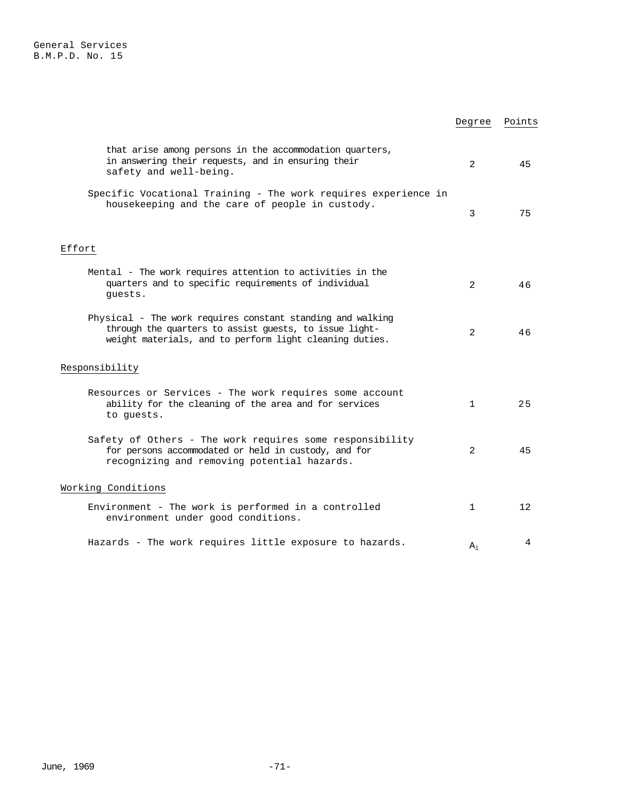|                                                                                                                                                                                 | Degree         | Points            |
|---------------------------------------------------------------------------------------------------------------------------------------------------------------------------------|----------------|-------------------|
| that arise among persons in the accommodation quarters,<br>in answering their requests, and in ensuring their<br>safety and well-being.                                         | $\overline{2}$ | 45                |
| Specific Vocational Training - The work requires experience in<br>housekeeping and the care of people in custody.                                                               | 3              | 75                |
| Effort                                                                                                                                                                          |                |                   |
| Mental - The work requires attention to activities in the<br>quarters and to specific requirements of individual<br>quests.                                                     | $\mathcal{L}$  | 46                |
| Physical - The work requires constant standing and walking<br>through the quarters to assist guests, to issue light-<br>weight materials, and to perform light cleaning duties. | $\overline{2}$ | 46                |
| Responsibility                                                                                                                                                                  |                |                   |
| Resources or Services - The work requires some account<br>ability for the cleaning of the area and for services<br>to quests.                                                   | $\mathbf{1}$   | 25                |
| Safety of Others - The work requires some responsibility<br>for persons accommodated or held in custody, and for<br>recognizing and removing potential hazards.                 | 2              | 45                |
| Working Conditions                                                                                                                                                              |                |                   |
| Environment - The work is performed in a controlled<br>environment under good conditions.                                                                                       | $\mathbf{1}$   | $12 \overline{ }$ |
| Hazards - The work requires little exposure to hazards.                                                                                                                         | $A_1$          | 4                 |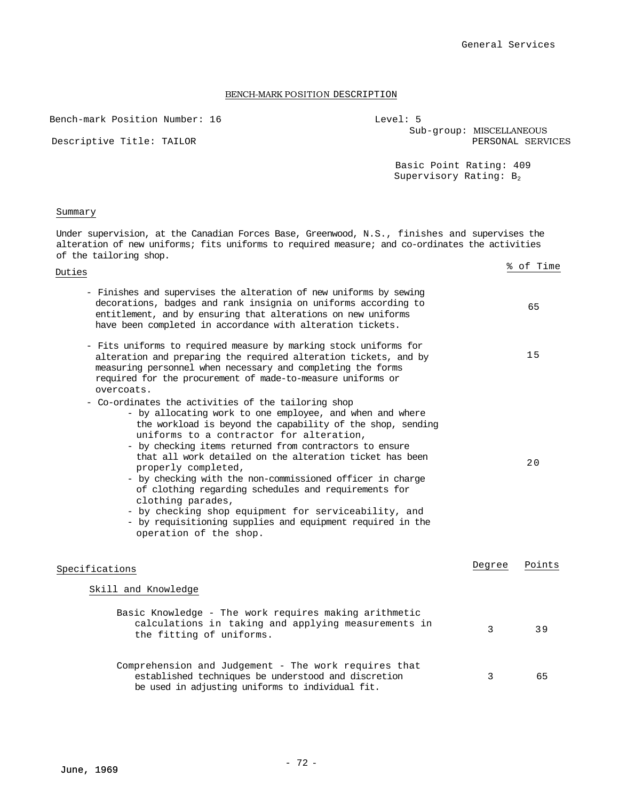Bench-mark Position Number: 16

Level: 5 Sub-group: MISCELLANEOUS

Descriptive Title: TAILOR

|  | PERSONAL SERVICES                                                            |  |  |
|--|------------------------------------------------------------------------------|--|--|
|  | $D \cap \cap \{p, p\}$ $D \cap \{p, p\}$ $D \cap \{p, p\}$ $A \cap \{p, p\}$ |  |  |

Basic Point Rating: 409 Supervisory Rating: B<sub>2</sub>

## Summary

Under supervision, at the Canadian Forces Base, Greenwood, N.S., finishes and supervises the alteration of new uniforms; fits uniforms to required measure; and co-ordinates the activities of the tailoring shop.

| Duties                                                                                                                                                                                                                                                                                                                                                                                                                                                                                                                                                                                                                                                            |        | % of Time |
|-------------------------------------------------------------------------------------------------------------------------------------------------------------------------------------------------------------------------------------------------------------------------------------------------------------------------------------------------------------------------------------------------------------------------------------------------------------------------------------------------------------------------------------------------------------------------------------------------------------------------------------------------------------------|--------|-----------|
| - Finishes and supervises the alteration of new uniforms by sewing<br>decorations, badges and rank insignia on uniforms according to<br>entitlement, and by ensuring that alterations on new uniforms<br>have been completed in accordance with alteration tickets.                                                                                                                                                                                                                                                                                                                                                                                               |        | 65        |
| - Fits uniforms to required measure by marking stock uniforms for<br>alteration and preparing the required alteration tickets, and by<br>measuring personnel when necessary and completing the forms<br>required for the procurement of made-to-measure uniforms or<br>overcoats.                                                                                                                                                                                                                                                                                                                                                                                 |        | 15        |
| - Co-ordinates the activities of the tailoring shop<br>- by allocating work to one employee, and when and where<br>the workload is beyond the capability of the shop, sending<br>uniforms to a contractor for alteration,<br>- by checking items returned from contractors to ensure<br>that all work detailed on the alteration ticket has been<br>properly completed,<br>- by checking with the non-commissioned officer in charge<br>of clothing regarding schedules and requirements for<br>clothing parades,<br>- by checking shop equipment for serviceability, and<br>- by requisitioning supplies and equipment required in the<br>operation of the shop. |        | 20        |
| Specifications                                                                                                                                                                                                                                                                                                                                                                                                                                                                                                                                                                                                                                                    | Degree | Points    |
| Skill and Knowledge                                                                                                                                                                                                                                                                                                                                                                                                                                                                                                                                                                                                                                               |        |           |
| Basic Knowledge - The work requires making arithmetic<br>calculations in taking and applying measurements in<br>the fitting of uniforms.                                                                                                                                                                                                                                                                                                                                                                                                                                                                                                                          | 3      | 39        |
| Comprehension and Judgement - The work requires that<br>established techniques be understood and discretion<br>be used in adjusting uniforms to individual fit.                                                                                                                                                                                                                                                                                                                                                                                                                                                                                                   | 3      | 65        |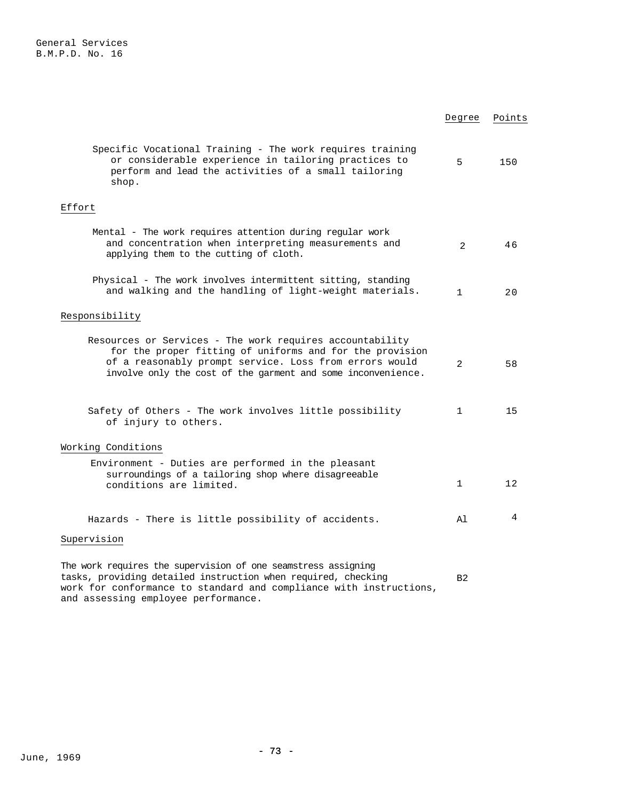|                                                                                                                                                                                                                                                | Degree         | Points |
|------------------------------------------------------------------------------------------------------------------------------------------------------------------------------------------------------------------------------------------------|----------------|--------|
| Specific Vocational Training - The work requires training<br>or considerable experience in tailoring practices to<br>perform and lead the activities of a small tailoring<br>shop.                                                             | 5              | 150    |
| Effort                                                                                                                                                                                                                                         |                |        |
| Mental - The work requires attention during regular work<br>and concentration when interpreting measurements and<br>applying them to the cutting of cloth.                                                                                     | $\overline{2}$ | 46     |
| Physical - The work involves intermittent sitting, standing<br>and walking and the handling of light-weight materials.                                                                                                                         | $\mathbf{1}$   | 20     |
| Responsibility                                                                                                                                                                                                                                 |                |        |
| Resources or Services - The work requires accountability<br>for the proper fitting of uniforms and for the provision<br>of a reasonably prompt service. Loss from errors would<br>involve only the cost of the garment and some inconvenience. | $\overline{2}$ | 58     |
| Safety of Others - The work involves little possibility<br>of injury to others.                                                                                                                                                                | $\mathbf{1}$   | 15     |
| Working Conditions                                                                                                                                                                                                                             |                |        |
| Environment - Duties are performed in the pleasant<br>surroundings of a tailoring shop where disagreeable<br>conditions are limited.                                                                                                           | 1              | 12     |
| Hazards - There is little possibility of accidents.                                                                                                                                                                                            | Al             | 4      |
| Supervision                                                                                                                                                                                                                                    |                |        |
| The work requires the supervision of one seamstress assigning                                                                                                                                                                                  |                |        |

tasks, providing detailed instruction when required, checking work for conformance to standard and compliance with instructions, and assessing employee performance. B2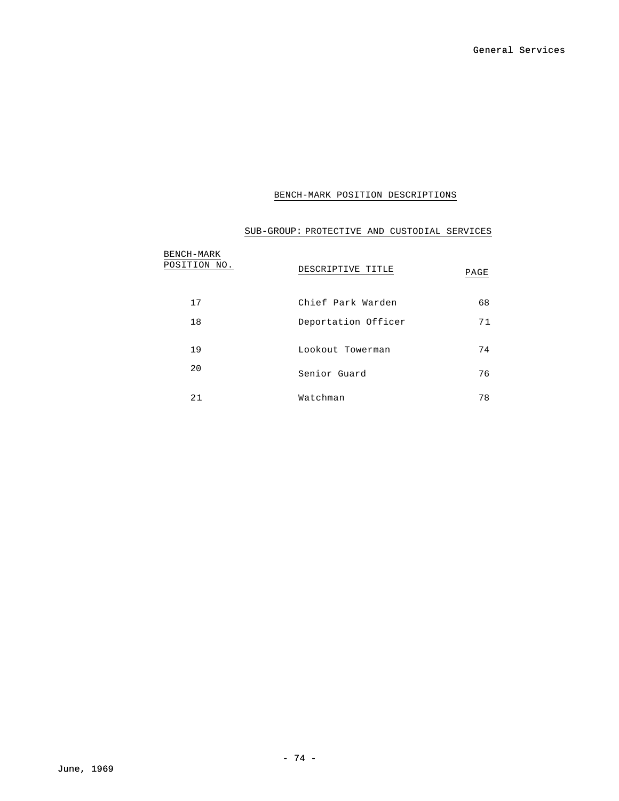# BENCH-MARK POSITION DESCRIPTIONS

# BENCH-MARK<br>POSITION NO. **DESCRIPTIVE TITLE** PAGE 17 Chief Park Warden 68 18 Deportation Officer 71 19 Lookout Towerman 74 20 Senior Guard 76 21 Watchman 78

# SUB-GROUP: PROTECTIVE AND CUSTODIAL SERVICES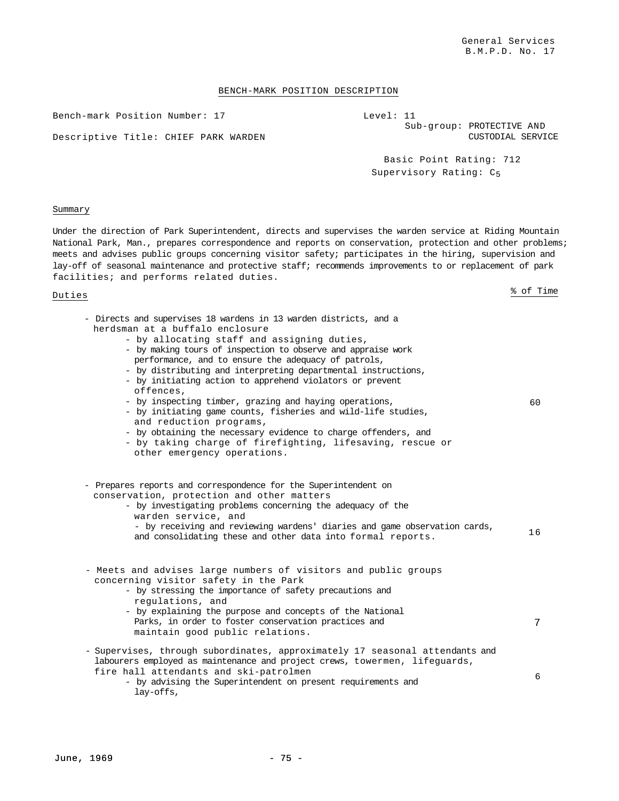## BENCH-MARK POSITION DESCRIPTION

Bench-mark Position Number: 17

Descriptive Title: CHIEF PARK WARDEN

CUSTODIAL SERVICE Basic Point Rating: 712

Sub-group: PROTECTIVE AND

Supervisory Rating: C5

Level: 11

### Summary

Under the direction of Park Superintendent, directs and supervises the warden service at Riding Mountain National Park, Man., prepares correspondence and reports on conservation, protection and other problems; meets and advises public groups concerning visitor safety; participates in the hiring, supervision and lay-off of seasonal maintenance and protective staff; recommends improvements to or replacement of park facilities; and performs related duties.

| - Directs and supervises 18 wardens in 13 warden districts, and a<br>herdsman at a buffalo enclosure<br>- by allocating staff and assigning duties,<br>- by making tours of inspection to observe and appraise work<br>performance, and to ensure the adequacy of patrols,<br>- by distributing and interpreting departmental instructions,<br>- by initiating action to apprehend violators or prevent<br>offences.<br>- by inspecting timber, grazing and haying operations,<br>- by initiating game counts, fisheries and wild-life studies,<br>and reduction programs,<br>- by obtaining the necessary evidence to charge offenders, and<br>- by taking charge of firefighting, lifesaving, rescue or<br>other emergency operations. | 60. |
|------------------------------------------------------------------------------------------------------------------------------------------------------------------------------------------------------------------------------------------------------------------------------------------------------------------------------------------------------------------------------------------------------------------------------------------------------------------------------------------------------------------------------------------------------------------------------------------------------------------------------------------------------------------------------------------------------------------------------------------|-----|
| - Prepares reports and correspondence for the Superintendent on<br>conservation, protection and other matters<br>- by investigating problems concerning the adequacy of the<br>warden service, and<br>- by receiving and reviewing wardens' diaries and game observation cards,<br>and consolidating these and other data into formal reports.                                                                                                                                                                                                                                                                                                                                                                                           | 16  |
| - Meets and advises large numbers of visitors and public groups<br>concerning visitor safety in the Park<br>- by stressing the importance of safety precautions and<br>regulations, and<br>- by explaining the purpose and concepts of the National<br>Parks, in order to foster conservation practices and<br>maintain good public relations.                                                                                                                                                                                                                                                                                                                                                                                           | 7   |
| - Supervises, through subordinates, approximately 17 seasonal attendants and<br>labourers employed as maintenance and project crews, towermen, lifequards,<br>fire hall attendants and ski-patrolmen<br>- by advising the Superintendent on present requirements and<br>lay-offs,                                                                                                                                                                                                                                                                                                                                                                                                                                                        | 6   |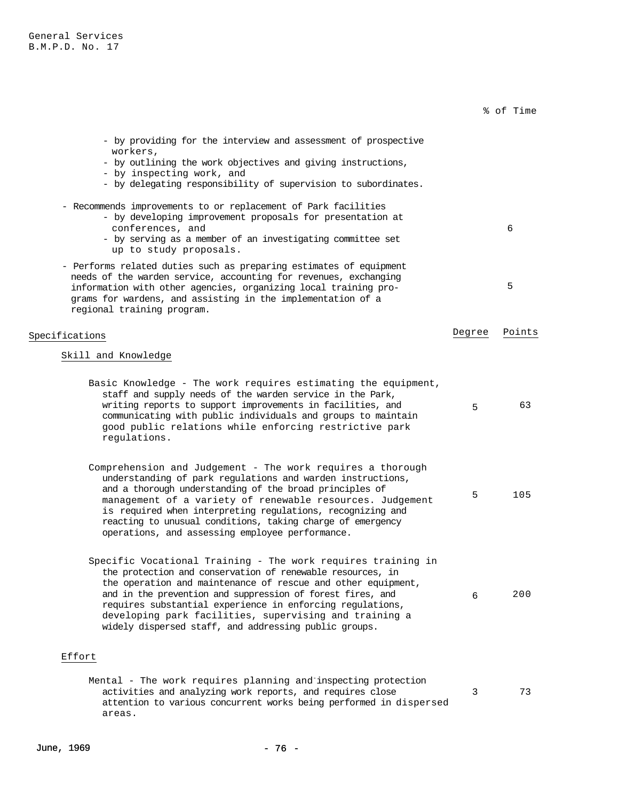|                                                                                                                                                                                                                                                                                                                                                                                                                                          |        | % of Time |
|------------------------------------------------------------------------------------------------------------------------------------------------------------------------------------------------------------------------------------------------------------------------------------------------------------------------------------------------------------------------------------------------------------------------------------------|--------|-----------|
| - by providing for the interview and assessment of prospective<br>workers,<br>- by outlining the work objectives and giving instructions,<br>- by inspecting work, and<br>- by delegating responsibility of supervision to subordinates.                                                                                                                                                                                                 |        |           |
| - Recommends improvements to or replacement of Park facilities<br>- by developing improvement proposals for presentation at<br>conferences, and<br>- by serving as a member of an investigating committee set<br>up to study proposals.                                                                                                                                                                                                  |        | 6         |
| - Performs related duties such as preparing estimates of equipment<br>needs of the warden service, accounting for revenues, exchanging<br>information with other agencies, organizing local training pro-<br>grams for wardens, and assisting in the implementation of a<br>regional training program.                                                                                                                                   |        | 5         |
| Specifications                                                                                                                                                                                                                                                                                                                                                                                                                           | Degree | Points    |
| Skill and Knowledge                                                                                                                                                                                                                                                                                                                                                                                                                      |        |           |
| Basic Knowledge - The work requires estimating the equipment,<br>staff and supply needs of the warden service in the Park,<br>writing reports to support improvements in facilities, and<br>communicating with public individuals and groups to maintain<br>good public relations while enforcing restrictive park<br>regulations.                                                                                                       | 5      | 63        |
| Comprehension and Judgement - The work requires a thorough<br>understanding of park regulations and warden instructions,<br>and a thorough understanding of the broad principles of<br>management of a variety of renewable resources. Judgement<br>is required when interpreting regulations, recognizing and<br>reacting to unusual conditions, taking charge of emergency<br>operations, and assessing employee performance.          | 5      | 105       |
| Specific Vocational Training - The work requires training in<br>the protection and conservation of renewable resources, in<br>the operation and maintenance of rescue and other equipment,<br>and in the prevention and suppression of forest fires, and<br>requires substantial experience in enforcing regulations,<br>developing park facilities, supervising and training a<br>widely dispersed staff, and addressing public groups. | 6      | 200       |
| Effort                                                                                                                                                                                                                                                                                                                                                                                                                                   |        |           |
| Mental - The work requires planning and inspecting protection<br>activities and analyzing work reports, and requires close<br>attention to various concurrent works being performed in dispersed                                                                                                                                                                                                                                         | 3      | 73        |

areas.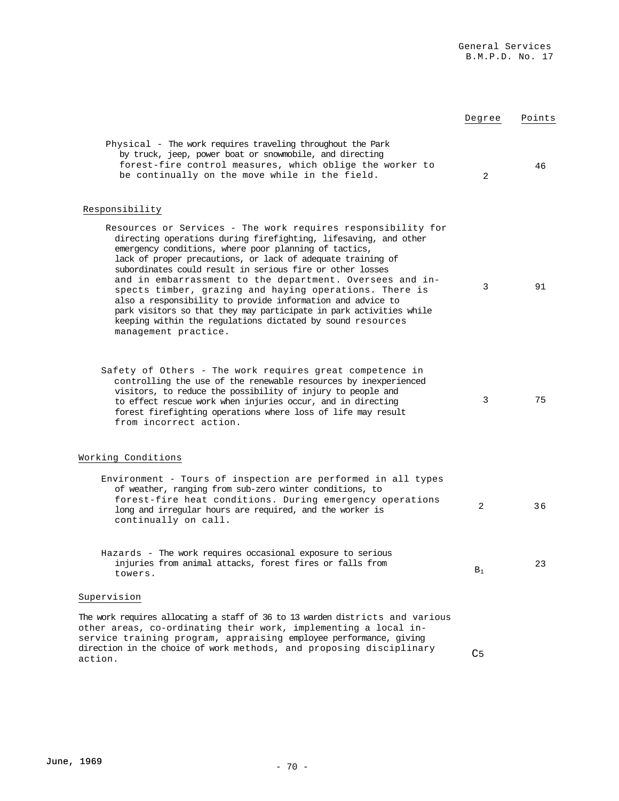|                                                                                                                                                                                                                                                                                                                                                                                                                                                                                                                                                                                                                                                                       | Degree         | Points |
|-----------------------------------------------------------------------------------------------------------------------------------------------------------------------------------------------------------------------------------------------------------------------------------------------------------------------------------------------------------------------------------------------------------------------------------------------------------------------------------------------------------------------------------------------------------------------------------------------------------------------------------------------------------------------|----------------|--------|
| Physical - The work requires traveling throughout the Park<br>by truck, jeep, power boat or snowmobile, and directing<br>forest-fire control measures, which oblige the worker to<br>be continually on the move while in the field.                                                                                                                                                                                                                                                                                                                                                                                                                                   | 2              | 46     |
| Responsibility                                                                                                                                                                                                                                                                                                                                                                                                                                                                                                                                                                                                                                                        |                |        |
| Resources or Services - The work requires responsibility for<br>directing operations during firefighting, lifesaving, and other<br>emergency conditions, where poor planning of tactics,<br>lack of proper precautions, or lack of adequate training of<br>subordinates could result in serious fire or other losses<br>and in embarrassment to the department. Oversees and in-<br>spects timber, grazing and haying operations. There is<br>also a responsibility to provide information and advice to<br>park visitors so that they may participate in park activities while<br>keeping within the regulations dictated by sound resources<br>management practice. | 3              | 91     |
| Safety of Others - The work requires great competence in<br>controlling the use of the renewable resources by inexperienced<br>visitors, to reduce the possibility of injury to people and<br>to effect rescue work when injuries occur, and in directing<br>forest firefighting operations where loss of life may result<br>from incorrect action.                                                                                                                                                                                                                                                                                                                   | 3              | 75     |
| Working Conditions                                                                                                                                                                                                                                                                                                                                                                                                                                                                                                                                                                                                                                                    |                |        |
| Environment - Tours of inspection are performed in all types<br>of weather, ranging from sub-zero winter conditions, to<br>forest-fire heat conditions. During emergency operations<br>long and irregular hours are required, and the worker is<br>continually on call.                                                                                                                                                                                                                                                                                                                                                                                               | 2              | 36     |
| Hazards - The work requires occasional exposure to serious<br>injuries from animal attacks, forest fires or falls from<br>towers.                                                                                                                                                                                                                                                                                                                                                                                                                                                                                                                                     | $B_1$          | 23     |
| Supervision                                                                                                                                                                                                                                                                                                                                                                                                                                                                                                                                                                                                                                                           |                |        |
| The work requires allocating a staff of 36 to 13 warden districts and various<br>other areas, co-ordinating their work, implementing a local in-<br>service training program, appraising employee performance, giving<br>direction in the choice of work methods, and proposing disciplinary<br>action.                                                                                                                                                                                                                                                                                                                                                               | C <sub>5</sub> |        |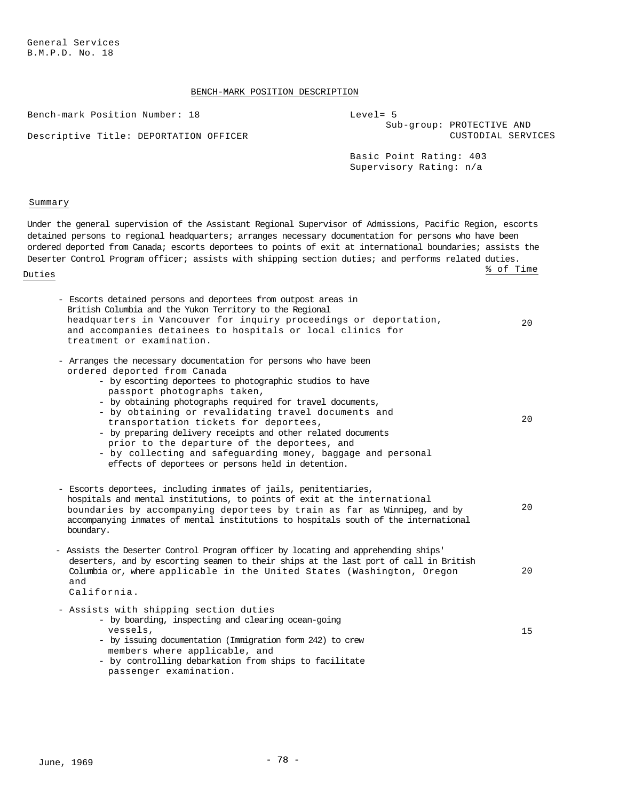General Services B.M.P.D. No. 18

Descriptive Title:

# BENCH-MARK POSITION DESCRIPTION

Bench-mark Position

| Number: 18          | $Level = 5$<br>Sub-group: PROTECTIVE AND           |
|---------------------|----------------------------------------------------|
| DEPORTATION OFFICER | CUSTODIAL SERVICES                                 |
|                     | Basic Point Rating: 403<br>Supervisory Rating: n/a |
|                     |                                                    |

### Summary

Under the general supervision of the Assistant Regional Supervisor of Admissions, Pacific Region, escorts detained persons to regional headquarters; arranges necessary documentation for persons who have been ordered deported from Canada; escorts deportees to points of exit at international boundaries; assists the Deserter Control Program officer; assists with shipping section duties; and performs related duties. Duties the set of the set of the set of the set of the set of the set of the set of the set of the set of the set of the set of the set of the set of the set of the set of the set of the set of the set of the set of the se

| - Escorts detained persons and deportees from outpost areas in<br>British Columbia and the Yukon Territory to the Regional<br>headquarters in Vancouver for inquiry proceedings or deportation,<br>and accompanies detainees to hospitals or local clinics for<br>treatment or examination.                                                                                                                                                                                                                                                                                                    | 20 |
|------------------------------------------------------------------------------------------------------------------------------------------------------------------------------------------------------------------------------------------------------------------------------------------------------------------------------------------------------------------------------------------------------------------------------------------------------------------------------------------------------------------------------------------------------------------------------------------------|----|
| - Arranges the necessary documentation for persons who have been<br>ordered deported from Canada<br>- by escorting deportees to photographic studios to have<br>passport photographs taken,<br>- by obtaining photographs required for travel documents,<br>- by obtaining or revalidating travel documents and<br>transportation tickets for deportees,<br>- by preparing delivery receipts and other related documents<br>prior to the departure of the deportees, and<br>- by collecting and safequarding money, baggage and personal<br>effects of deportees or persons held in detention. | 20 |
| - Escorts deportees, including inmates of jails, penitentiaries,<br>hospitals and mental institutions, to points of exit at the international<br>boundaries by accompanying deportees by train as far as Winnipeg, and by<br>accompanying inmates of mental institutions to hospitals south of the international<br>boundary.                                                                                                                                                                                                                                                                  | 20 |
| - Assists the Deserter Control Program officer by locating and apprehending ships'<br>deserters, and by escorting seamen to their ships at the last port of call in British<br>Columbia or, where applicable in the United States (Washington, Oregon<br>and<br>California.                                                                                                                                                                                                                                                                                                                    | 20 |
| - Assists with shipping section duties<br>- by boarding, inspecting and clearing ocean-going<br>vessels,<br>- by issuing documentation (Immigration form 242) to crew<br>members where applicable, and<br>- by controlling debarkation from ships to facilitate<br>passenger examination.                                                                                                                                                                                                                                                                                                      | 15 |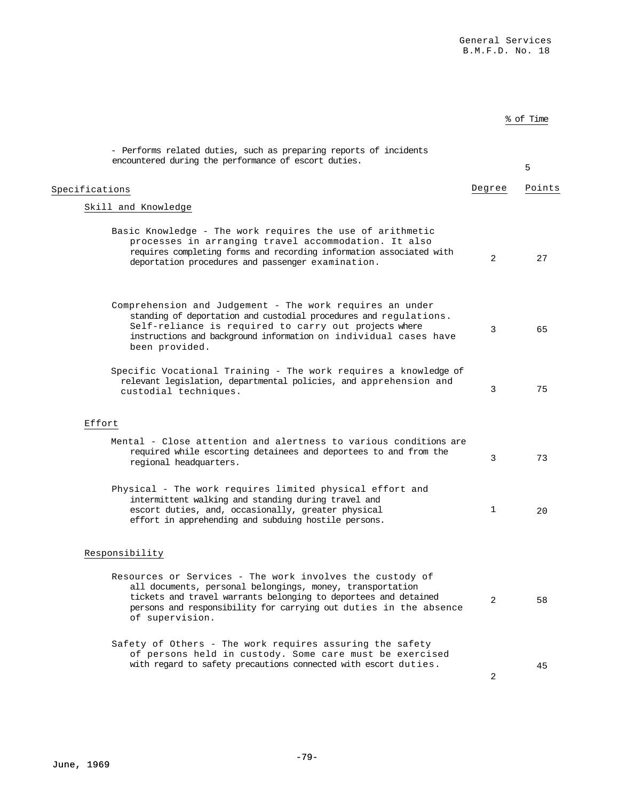% of Time

| - Performs related duties, such as preparing reports of incidents<br>encountered during the performance of escort duties.                                                                                                                                                        |        | 5      |
|----------------------------------------------------------------------------------------------------------------------------------------------------------------------------------------------------------------------------------------------------------------------------------|--------|--------|
| Specifications                                                                                                                                                                                                                                                                   | Degree | Points |
| Skill and Knowledge                                                                                                                                                                                                                                                              |        |        |
| Basic Knowledge - The work requires the use of arithmetic<br>processes in arranging travel accommodation. It also<br>requires completing forms and recording information associated with<br>deportation procedures and passenger examination.                                    | 2      | 27     |
| Comprehension and Judgement - The work requires an under<br>standing of deportation and custodial procedures and regulations.<br>Self-reliance is required to carry out projects where<br>instructions and background information on individual cases have<br>been provided.     | 3      | 65     |
| Specific Vocational Training - The work requires a knowledge of<br>relevant legislation, departmental policies, and apprehension and<br>custodial techniques.                                                                                                                    | 3      | 75     |
| Effort                                                                                                                                                                                                                                                                           |        |        |
| Mental - Close attention and alertness to various conditions are<br>required while escorting detainees and deportees to and from the<br>regional headquarters.                                                                                                                   | 3      | 73     |
| Physical - The work requires limited physical effort and<br>intermittent walking and standing during travel and<br>escort duties, and, occasionally, greater physical<br>effort in apprehending and subduing hostile persons.                                                    | 1      | 20     |
| Responsibility                                                                                                                                                                                                                                                                   |        |        |
| Resources or Services - The work involves the custody of<br>all documents, personal belongings, money, transportation<br>tickets and travel warrants belonging to deportees and detained<br>persons and responsibility for carrying out duties in the absence<br>of supervision. | 2      | 58     |
| Safety of Others - The work requires assuring the safety<br>of persons held in custody. Some care must be exercised<br>with regard to safety precautions connected with escort duties.                                                                                           | 2      | 45     |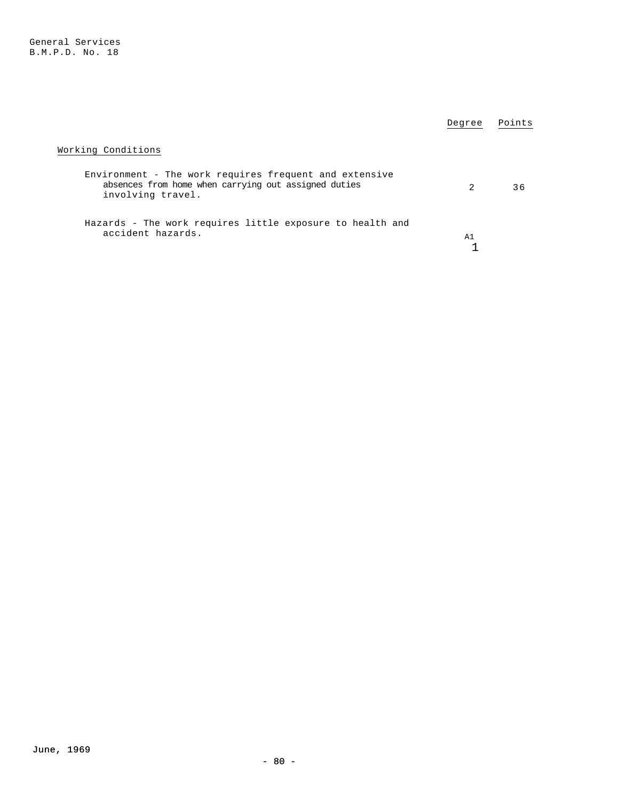|                                                                                                                                     | Degree | Points |
|-------------------------------------------------------------------------------------------------------------------------------------|--------|--------|
| Working Conditions                                                                                                                  |        |        |
| Environment - The work requires frequent and extensive<br>absences from home when carrying out assigned duties<br>involving travel. | 2      | 36     |
| Hazards - The work requires little exposure to health and<br>accident hazards.                                                      | A1     |        |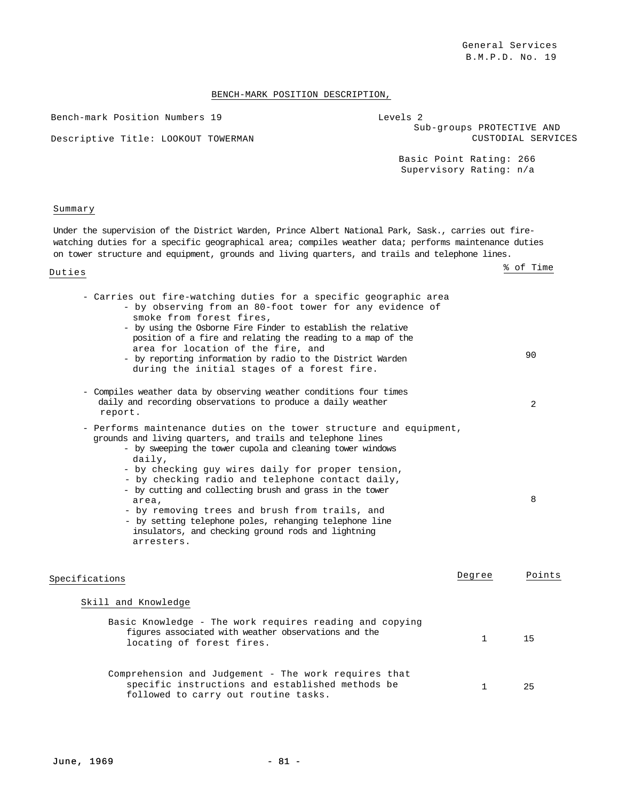### BENCH-MARK POSITION DESCRIPTION,

Bench-mark Position Numbers 19

Descriptive Title: LOOKOUT TOWERMAN

| Levels 2                  |
|---------------------------|
| Sub-groups PROTECTIVE AND |
| CUSTODIAL SERVICES        |
|                           |

Basic Point Rating: 266 Supervisory Rating: n/a

### Summary

Under the supervision of the District Warden, Prince Albert National Park, Sask., carries out firewatching duties for a specific geographical area; compiles weather data; performs maintenance duties on tower structure and equipment, grounds and living quarters, and trails and telephone lines.

| - Carries out fire-watching duties for a specific geographic area<br>- by observing from an 80-foot tower for any evidence of<br>smoke from forest fires,<br>- by using the Osborne Fire Finder to establish the relative<br>position of a fire and relating the reading to a map of the<br>area for location of the fire, and<br>- by reporting information by radio to the District Warden<br>during the initial stages of a forest fire.                                                                                                                             |        | 90     |
|-------------------------------------------------------------------------------------------------------------------------------------------------------------------------------------------------------------------------------------------------------------------------------------------------------------------------------------------------------------------------------------------------------------------------------------------------------------------------------------------------------------------------------------------------------------------------|--------|--------|
| - Compiles weather data by observing weather conditions four times<br>daily and recording observations to produce a daily weather<br>report.                                                                                                                                                                                                                                                                                                                                                                                                                            |        | 2      |
| - Performs maintenance duties on the tower structure and equipment,<br>grounds and living quarters, and trails and telephone lines<br>- by sweeping the tower cupola and cleaning tower windows<br>daily,<br>- by checking guy wires daily for proper tension,<br>- by checking radio and telephone contact daily,<br>- by cutting and collecting brush and grass in the tower<br>area.<br>- by removing trees and brush from trails, and<br>- by setting telephone poles, rehanging telephone line<br>insulators, and checking ground rods and lightning<br>arresters. |        | 8      |
| Specifications                                                                                                                                                                                                                                                                                                                                                                                                                                                                                                                                                          | Degree | Points |
| Skill and Knowledge                                                                                                                                                                                                                                                                                                                                                                                                                                                                                                                                                     |        |        |
| Basic Knowledge - The work requires reading and copying<br>figures associated with weather observations and the<br>locating of forest fires.                                                                                                                                                                                                                                                                                                                                                                                                                            | 1      | 15     |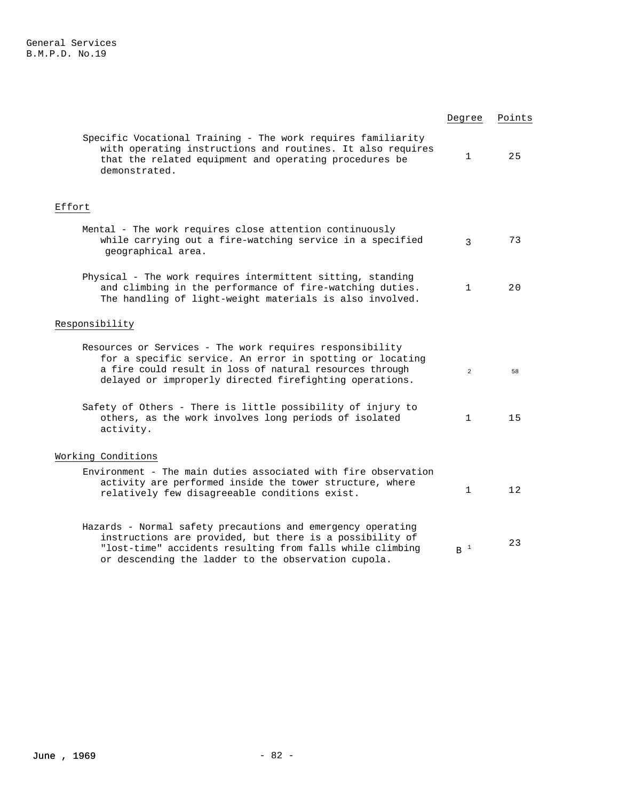|                                                                                                                                                                                                                                             | Degree            | Points |
|---------------------------------------------------------------------------------------------------------------------------------------------------------------------------------------------------------------------------------------------|-------------------|--------|
| Specific Vocational Training - The work requires familiarity<br>with operating instructions and routines. It also requires<br>that the related equipment and operating procedures be<br>demonstrated.                                       | $\mathbf 1$       | 25     |
| Effort                                                                                                                                                                                                                                      |                   |        |
| Mental - The work requires close attention continuously<br>while carrying out a fire-watching service in a specified<br>geographical area.                                                                                                  | $\mathcal{E}$     | 73     |
| Physical - The work requires intermittent sitting, standing<br>and climbing in the performance of fire-watching duties.<br>The handling of light-weight materials is also involved.                                                         | $\mathbf 1$       | 20     |
| Responsibility                                                                                                                                                                                                                              |                   |        |
| Resources or Services - The work requires responsibility<br>for a specific service. An error in spotting or locating<br>a fire could result in loss of natural resources through<br>delayed or improperly directed firefighting operations. | $\overline{a}$    | 58     |
| Safety of Others - There is little possibility of injury to<br>others, as the work involves long periods of isolated<br>activity.                                                                                                           | $\mathbf{1}$      | 15     |
| Working Conditions                                                                                                                                                                                                                          |                   |        |
| Environment - The main duties associated with fire observation<br>activity are performed inside the tower structure, where<br>relatively few disagreeable conditions exist.                                                                 | $\mathbf{1}$      | 12     |
| Hazards - Normal safety precautions and emergency operating<br>instructions are provided, but there is a possibility of<br>"lost-time" accidents resulting from falls while climbing<br>or descending the ladder to the observation cupola. | $\, {\bf B}^{-1}$ | 23     |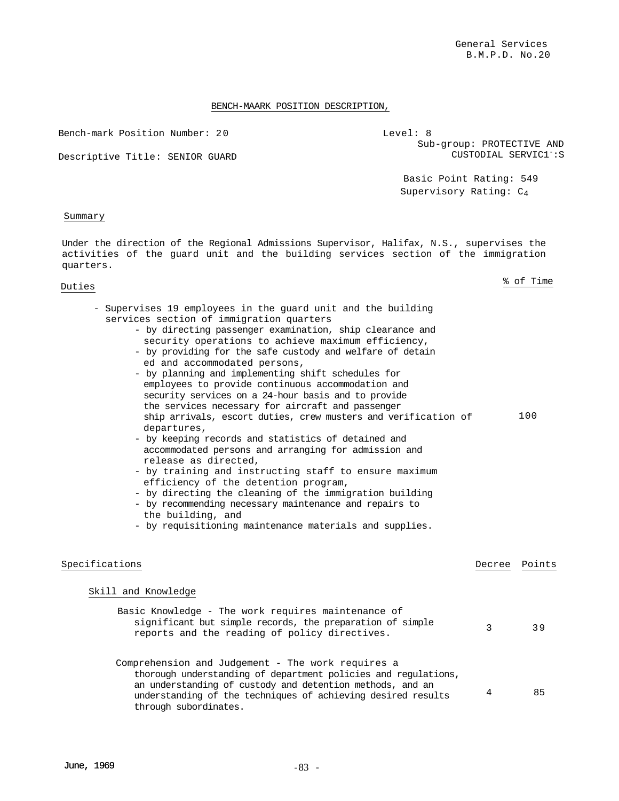### BENCH-MAARK POSITION DESCRIPTION,

Bench-mark Position Number: 2 0

Descriptive Title: SENIOR GUARD

Level: 8 Sub-group: PROTECTIVE AND CUSTODIAL SERVIC1<sup>-</sup>:S

> Basic Point Rating: 549 Supervisory Rating: C4

### Summary

Under the direction of the Regional Admissions Supervisor, Halifax, N.S., supervises the activities of the guard unit and the building services section of the immigration quarters.

- Supervises 19 employees in the guard unit and the building services section of immigration quarters - by directing passenger examination, ship clearance and
	- security operations to achieve maximum efficiency, - by providing for the safe custody and welfare of detain
	- ed and accommodated persons,
	- by planning and implementing shift schedules for employees to provide continuous accommodation and security services on a 24-hour basis and to provide the services necessary for aircraft and passenger ship arrivals, escort duties, crew musters and verification of departures, 100
	- by keeping records and statistics of detained and accommodated persons and arranging for admission and release as directed,
	- by training and instructing staff to ensure maximum efficiency of the detention program,
	- by directing the cleaning of the immigration building
	- by recommending necessary maintenance and repairs to the building, and
	- by requisitioning maintenance materials and supplies.

| Specifications                                                                                                                                                                                                                                                            | Decree | Points |
|---------------------------------------------------------------------------------------------------------------------------------------------------------------------------------------------------------------------------------------------------------------------------|--------|--------|
| Skill and Knowledge                                                                                                                                                                                                                                                       |        |        |
| Basic Knowledge - The work requires maintenance of<br>significant but simple records, the preparation of simple<br>reports and the reading of policy directives.                                                                                                          | 3      | 39     |
| Comprehension and Judgement - The work requires a<br>thorough understanding of department policies and regulations,<br>an understanding of custody and detention methods, and an<br>understanding of the techniques of achieving desired results<br>through subordinates. | 4      | 85     |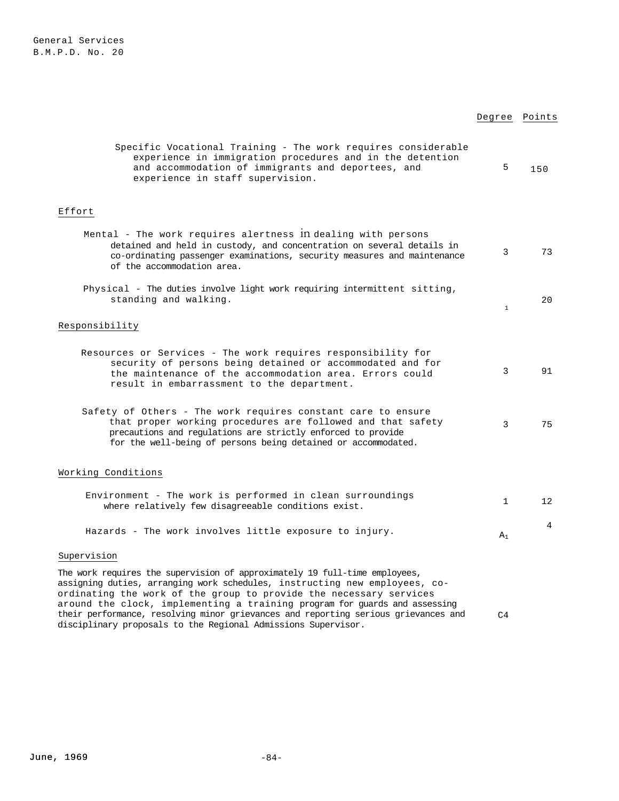# Degree Points

 $C<sub>4</sub>$ 

| Specific Vocational Training - The work requires considerable<br>experience in immigration procedures and in the detention<br>and accommodation of immigrants and deportees, and<br>experience in staff supervision.                                         | 5            | 150             |
|--------------------------------------------------------------------------------------------------------------------------------------------------------------------------------------------------------------------------------------------------------------|--------------|-----------------|
| Effort                                                                                                                                                                                                                                                       |              |                 |
| Mental - The work requires alertness 1n dealing with persons<br>detained and held in custody, and concentration on several details in<br>co-ordinating passenger examinations, security measures and maintenance<br>of the accommodation area.               | 3            | 73              |
| Physical - The duties involve light work requiring intermittent sitting,<br>standing and walking.                                                                                                                                                            | $\,1\,$      | 20              |
| Responsibility                                                                                                                                                                                                                                               |              |                 |
| Resources or Services - The work requires responsibility for<br>security of persons being detained or accommodated and for<br>the maintenance of the accommodation area. Errors could<br>result in embarrassment to the department.                          | 3            | 91              |
| Safety of Others - The work requires constant care to ensure<br>that proper working procedures are followed and that safety<br>precautions and regulations are strictly enforced to provide<br>for the well-being of persons being detained or accommodated. | 3            | 75              |
| Working Conditions                                                                                                                                                                                                                                           |              |                 |
| Environment - The work is performed in clean surroundings<br>where relatively few disagreeable conditions exist.                                                                                                                                             | $\mathbf{1}$ | 12 <sup>°</sup> |
| Hazards - The work involves little exposure to injury.                                                                                                                                                                                                       | $A_1$        | $4^{\circ}$     |
| Supervision                                                                                                                                                                                                                                                  |              |                 |
| The work requires the supervision of approximately 19 full-time employees,<br>assigning duties, arranging work schedules, instructing new employees, co-<br>ordinating the work of the group to provide the necessary services                               |              |                 |

ordinating the work of the group to provide the necessary services around the clock, implementing a training program for guards and assessing their performance, resolving minor grievances and reporting serious grievances and disciplinary proposals to the Regional Admissions Supervisor.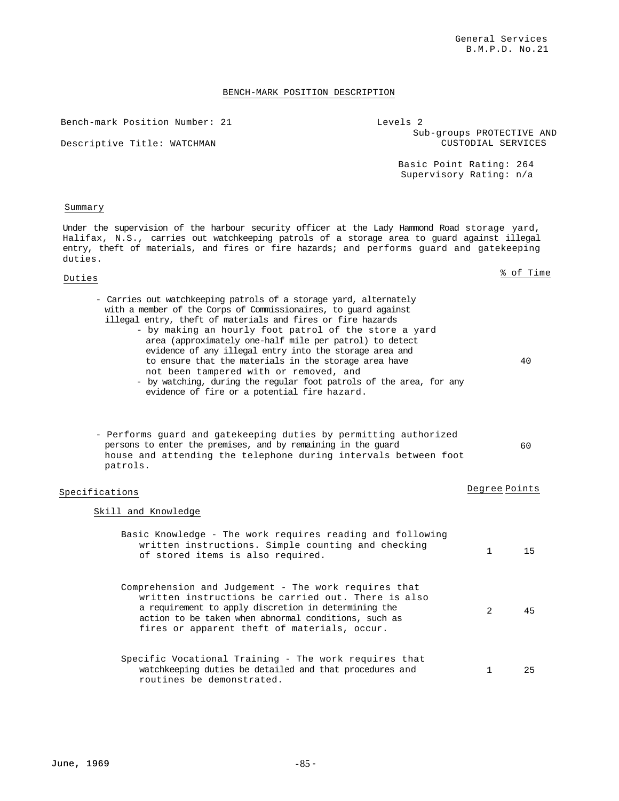### BENCH-MARK POSITION DESCRIPTION

Bench-mark Position Number: 21

Descriptive Title: WATCHMAN

Levels 2 Sub-groups PROTECTIVE AND CUSTODIAL SERVICES

> Basic Point Rating: 264 Supervisory Rating: n/a

#### Summary

Under the supervision of the harbour security officer at the Lady Hammond Road storage yard, Halifax, N.S., carries out watchkeeping patrols of a storage area to guard against illegal entry, theft of materials, and fires or fire hazards; and performs guard and gatekeeping duties.

> - by making an hourly foot patrol of the store a yard area (approximately one-half mile per patrol) to detect evidence of any illegal entry into the storage area and to ensure that the materials in the storage area have

- by watching, during the regular foot patrols of the area, for any

- Carries out watchkeeping patrols of a storage yard, alternately with a member of the Corps of Commissionaires, to guard against illegal entry, theft of materials and fires or fire hazards

not been tampered with or removed, and

evidence of fire or a potential fire hazard.

persons to enter the premises, and by remaining in the guard

routines be demonstrated.

- Performs guard and gatekeeping duties by permitting authorized

house and attending the telephone during intervals between foot

Duties % of Time

40

### $60$

# Specifications **Degree** Points **Degree** Points

# Skill and Knowledge

patrols.

| Basic Knowledge - The work requires reading and following<br>written instructions. Simple counting and checking<br>of stored items is also required.                                                                                                                       |                | 15 |
|----------------------------------------------------------------------------------------------------------------------------------------------------------------------------------------------------------------------------------------------------------------------------|----------------|----|
| Comprehension and Judgement - The work requires that<br>written instructions be carried out. There is also<br>a requirement to apply discretion in determining the<br>action to be taken when abnormal conditions, such as<br>fires or apparent theft of materials, occur. | $\mathfrak{D}$ | 45 |
| Specific Vocational Training - The work requires that<br>watchkeeping duties be detailed and that procedures and                                                                                                                                                           |                | 25 |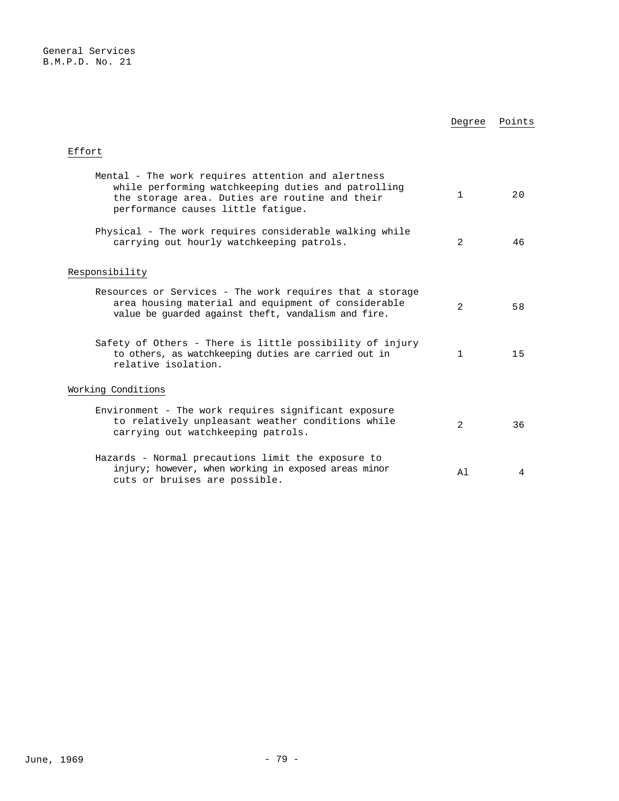|                                                                                                                                                                                                   | Degree       | Points |
|---------------------------------------------------------------------------------------------------------------------------------------------------------------------------------------------------|--------------|--------|
| Effort                                                                                                                                                                                            |              |        |
| Mental - The work requires attention and alertness<br>while performing watchkeeping duties and patrolling<br>the storage area. Duties are routine and their<br>performance causes little fatique. | 1            | 20     |
| Physical - The work requires considerable walking while<br>carrying out hourly watchkeeping patrols.                                                                                              | 2            | 46     |
| Responsibility                                                                                                                                                                                    |              |        |
| Resources or Services - The work requires that a storage<br>area housing material and equipment of considerable<br>value be quarded against theft, vandalism and fire.                            | 2            | 58     |
| Safety of Others - There is little possibility of injury<br>to others, as watchkeeping duties are carried out in<br>relative isolation.                                                           | $\mathbf{1}$ | 15     |
| Working Conditions                                                                                                                                                                                |              |        |
| Environment - The work requires significant exposure<br>to relatively unpleasant weather conditions while<br>carrying out watchkeeping patrols.                                                   | 2            | 36     |
| Hazards - Normal precautions limit the exposure to<br>injury; however, when working in exposed areas minor<br>cuts or bruises are possible.                                                       | A1           | 4      |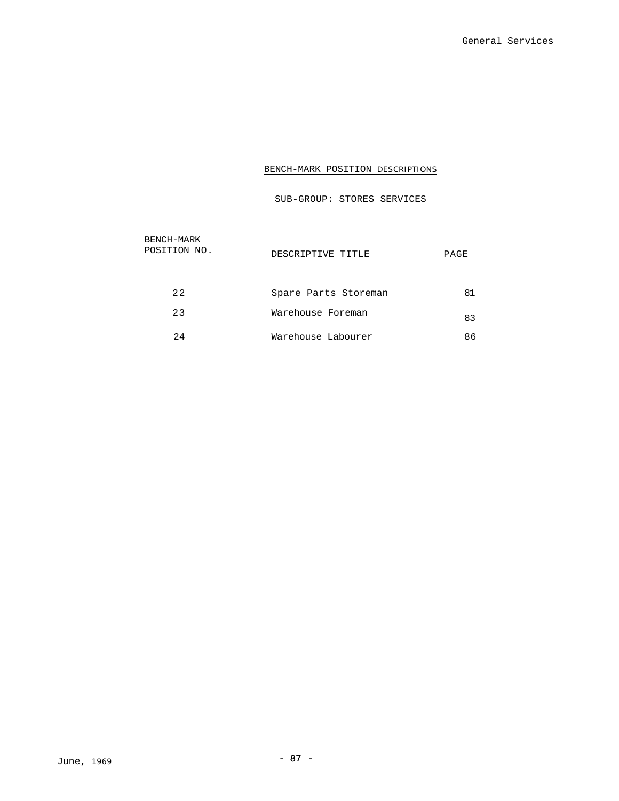# BENCH-MARK POSITION DESCRIPTIONS

# SUB-GROUP: STORES SERVICES

| BENCH-MARK<br>POSITION NO. | DESCRIPTIVE TITLE    | PAGE |
|----------------------------|----------------------|------|
| 22                         | Spare Parts Storeman | 81   |
| 23                         | Warehouse Foreman    | 83   |
| 2.4                        | Warehouse Labourer   | 86   |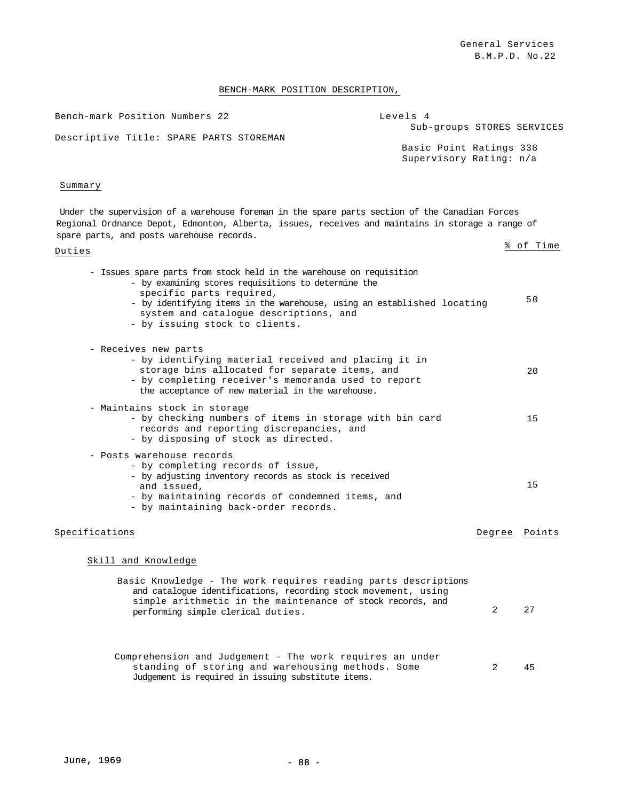# BENCH-MARK POSITION DESCRIPTION,

| Bench-mark Position Numbers 22          | Levels 4                   |
|-----------------------------------------|----------------------------|
|                                         | Sub-groups STORES SERVICES |
| Descriptive Title: SPARE PARTS STOREMAN |                            |
|                                         | Basic Point Ratings 338    |
|                                         | Supervisory Rating: n/a    |
|                                         |                            |

# Summary

Under the supervision of a warehouse foreman in the spare parts section of the Canadian Forces Regional Ordnance Depot, Edmonton, Alberta, issues, receives and maintains in storage a range of spare parts, and posts warehouse records.

| - Issues spare parts from stock held in the warehouse on requisition<br>- by examining stores requisitions to determine the<br>specific parts required,<br>- by identifying items in the warehouse, using an established locating<br>system and catalogue descriptions, and<br>- by issuing stock to clients. |                | 50     |
|---------------------------------------------------------------------------------------------------------------------------------------------------------------------------------------------------------------------------------------------------------------------------------------------------------------|----------------|--------|
| - Receives new parts<br>- by identifying material received and placing it in<br>storage bins allocated for separate items, and<br>- by completing receiver's memoranda used to report<br>the acceptance of new material in the warehouse.                                                                     |                | 20     |
| - Maintains stock in storage<br>- by checking numbers of items in storage with bin card<br>records and reporting discrepancies, and<br>- by disposing of stock as directed.                                                                                                                                   |                | 15     |
| - Posts warehouse records<br>- by completing records of issue,<br>- by adjusting inventory records as stock is received<br>and issued,<br>- by maintaining records of condemned items, and<br>- by maintaining back-order records.                                                                            |                | 15     |
| Specifications                                                                                                                                                                                                                                                                                                | Degree         | Points |
| Skill and Knowledge                                                                                                                                                                                                                                                                                           |                |        |
| Basic Knowledge - The work requires reading parts descriptions<br>and catalogue identifications, recording stock movement, using<br>simple arithmetic in the maintenance of stock records, and<br>performing simple clerical duties.                                                                          | $\overline{2}$ | 27     |
| Comprehension and Judgement - The work requires an under<br>standing of storing and warehousing methods. Some<br>Judgement is required in issuing substitute items.                                                                                                                                           | 2              | 45     |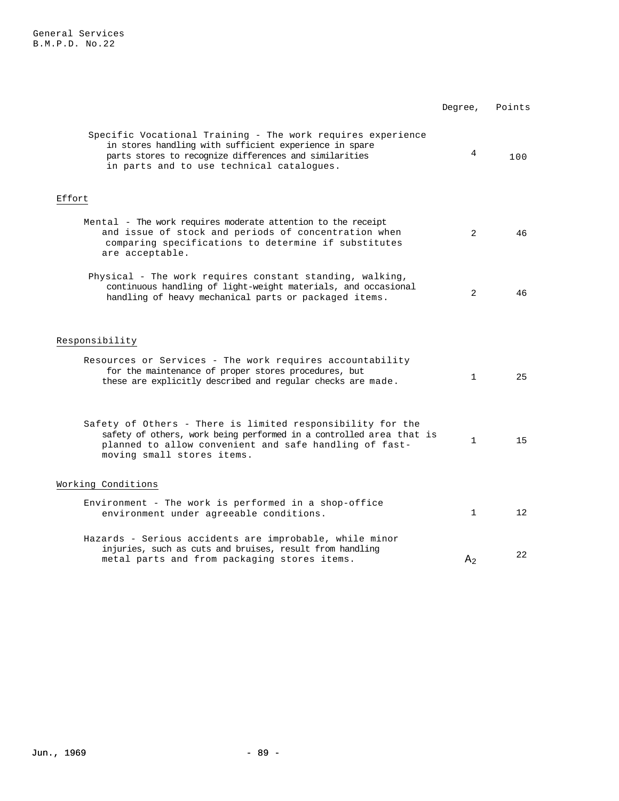General Services B.M.P.D. No.22

|                                                                                                                                                                                                                              | Degree,        | Points          |
|------------------------------------------------------------------------------------------------------------------------------------------------------------------------------------------------------------------------------|----------------|-----------------|
| Specific Vocational Training - The work requires experience<br>in stores handling with sufficient experience in spare<br>parts stores to recognize differences and similarities<br>in parts and to use technical catalogues. | 4              | 100             |
| Effort                                                                                                                                                                                                                       |                |                 |
| Mental - The work requires moderate attention to the receipt<br>and issue of stock and periods of concentration when<br>comparing specifications to determine if substitutes<br>are acceptable.                              | 2              | 46              |
| Physical - The work requires constant standing, walking,<br>continuous handling of light-weight materials, and occasional<br>handling of heavy mechanical parts or packaged items.                                           | 2              | 46              |
| Responsibility                                                                                                                                                                                                               |                |                 |
| Resources or Services - The work requires accountability<br>for the maintenance of proper stores procedures, but<br>these are explicitly described and regular checks are made.                                              | $\mathbf{1}$   | 25              |
| Safety of Others - There is limited responsibility for the<br>safety of others, work being performed in a controlled area that is<br>planned to allow convenient and safe handling of fast-<br>moving small stores items.    | $\mathbf{1}$   | 15              |
| Working Conditions                                                                                                                                                                                                           |                |                 |
| Environment - The work is performed in a shop-office<br>environment under agreeable conditions.                                                                                                                              | $\mathbf{1}$   | 12 <sup>°</sup> |
| Hazards - Serious accidents are improbable, while minor<br>injuries, such as cuts and bruises, result from handling<br>metal parts and from packaging stores items.                                                          | A <sub>2</sub> | 22              |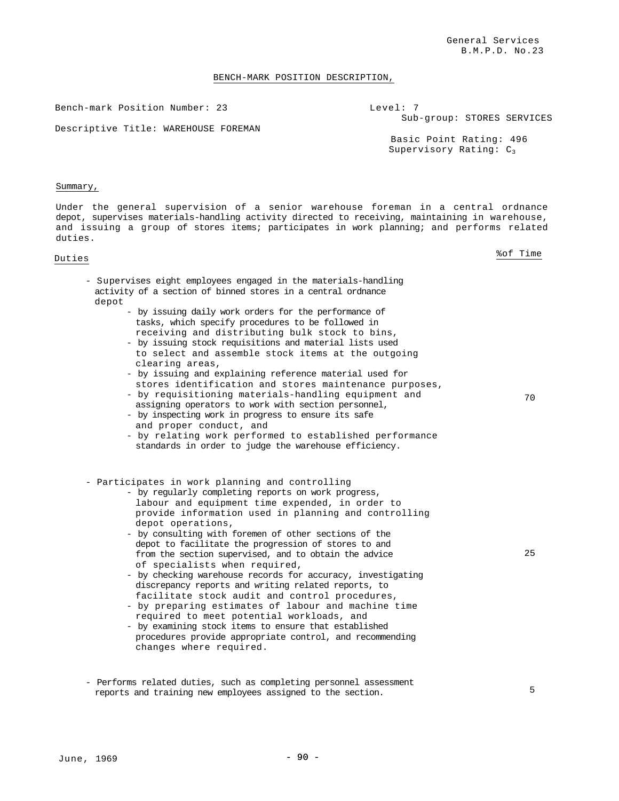#### BENCH-MARK POSITION DESCRIPTION,

Bench-mark Position Number: 23

Level: 7 Sub-group: STORES SERVICES

Descriptive Title: WAREHOUSE FOREMAN

Basic Point Rating: 496 Supervisory Rating:  $C_3$ 

#### Summary,

Under the general supervision of a senior warehouse foreman in a central ordnance depot, supervises materials-handling activity directed to receiving, maintaining in warehouse, and issuing a group of stores items; participates in work planning; and performs related duties.

Duties %of Time

70

- Supervises eight employees engaged in the materials-handling activity of a section of binned stores in a central ordnance depot
	- by issuing daily work orders for the performance of tasks, which specify procedures to be followed in receiving and distributing bulk stock to bins,
	- by issuing stock requisitions and material lists used to select and assemble stock items at the outgoing clearing areas,
	- by issuing and explaining reference material used for stores identification and stores maintenance purposes,
	- by requisitioning materials-handling equipment and
	- assigning operators to work with section personnel, - by inspecting work in progress to ensure its safe
	- and proper conduct, and
	- by relating work performed to established performance standards in order to judge the warehouse efficiency.
- Participates in work planning and controlling
	- by regularly completing reports on work progress, labour and equipment time expended, in order to provide information used in planning and controlling depot operations,
	- by consulting with foremen of other sections of the depot to facilitate the progression of stores to and from the section supervised, and to obtain the advice of specialists when required,
	- by checking warehouse records for accuracy, investigating discrepancy reports and writing related reports, to facilitate stock audit and control procedures,
	- by preparing estimates of labour and machine time required to meet potential workloads, and
	- by examining stock items to ensure that established procedures provide appropriate control, and recommending changes where required.
- Performs related duties, such as completing personnel assessment reports and training new employees assigned to the section.

25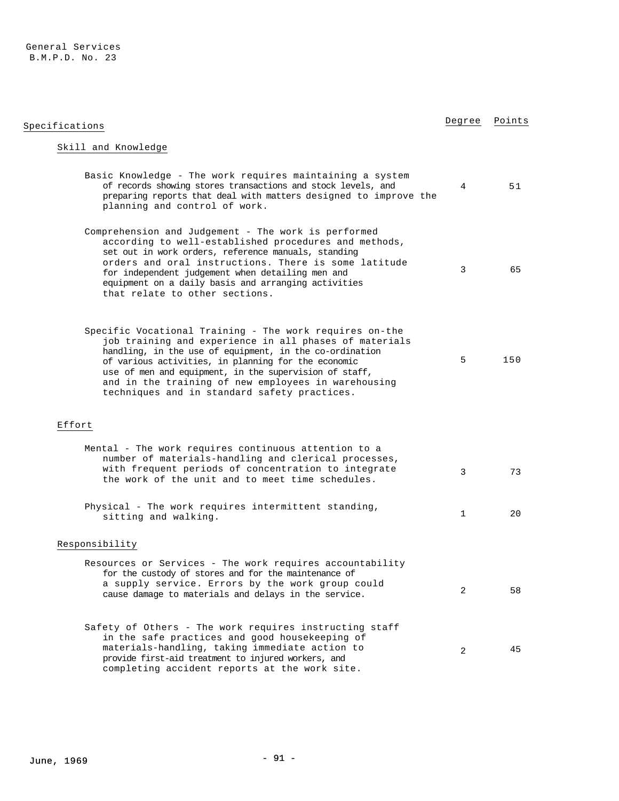### General Services B.M.P.D. No. 23

| Specifications                                                                                                                                                                                                                                                                                                                                                                                       | Degree       | Points |
|------------------------------------------------------------------------------------------------------------------------------------------------------------------------------------------------------------------------------------------------------------------------------------------------------------------------------------------------------------------------------------------------------|--------------|--------|
| Skill and Knowledge                                                                                                                                                                                                                                                                                                                                                                                  |              |        |
| Basic Knowledge - The work requires maintaining a system<br>of records showing stores transactions and stock levels, and<br>preparing reports that deal with matters designed to improve the<br>planning and control of work.                                                                                                                                                                        | 4            | 51     |
| Comprehension and Judgement - The work is performed<br>according to well-established procedures and methods,<br>set out in work orders, reference manuals, standing<br>orders and oral instructions. There is some latitude<br>for independent judgement when detailing men and<br>equipment on a daily basis and arranging activities<br>that relate to other sections.                             | 3            | 65     |
| Specific Vocational Training - The work requires on-the<br>job training and experience in all phases of materials<br>handling, in the use of equipment, in the co-ordination<br>of various activities, in planning for the economic<br>use of men and equipment, in the supervision of staff,<br>and in the training of new employees in warehousing<br>techniques and in standard safety practices. | 5            | 150    |
| Effort                                                                                                                                                                                                                                                                                                                                                                                               |              |        |
| Mental - The work requires continuous attention to a<br>number of materials-handling and clerical processes,<br>with frequent periods of concentration to integrate<br>the work of the unit and to meet time schedules.                                                                                                                                                                              | 3            | 73     |
| Physical - The work requires intermittent standing,<br>sitting and walking.                                                                                                                                                                                                                                                                                                                          | $\mathbf{1}$ | 20     |
| Responsibility                                                                                                                                                                                                                                                                                                                                                                                       |              |        |
| Resources or Services - The work requires accountability<br>for the custody of stores and for the maintenance of<br>a supply service. Errors by the work group could<br>cause damage to materials and delays in the service.                                                                                                                                                                         | 2            | 58     |
| Safety of Others - The work requires instructing staff<br>in the safe practices and good housekeeping of<br>materials-handling, taking immediate action to<br>provide first-aid treatment to injured workers, and<br>completing accident reports at the work site.                                                                                                                                   | 2            | 45     |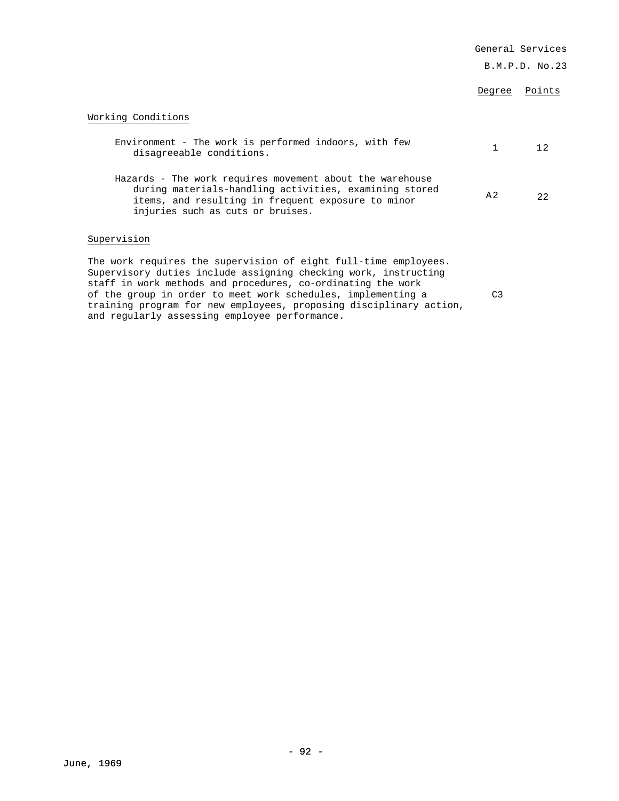|                                                                                                                                                                                                                                                                                                                                          |                | General Services |
|------------------------------------------------------------------------------------------------------------------------------------------------------------------------------------------------------------------------------------------------------------------------------------------------------------------------------------------|----------------|------------------|
|                                                                                                                                                                                                                                                                                                                                          |                | B.M.P.D. No.23   |
|                                                                                                                                                                                                                                                                                                                                          | Degree         | Points           |
| Working Conditions                                                                                                                                                                                                                                                                                                                       |                |                  |
| Environment - The work is performed indoors, with few<br>disagreeable conditions.                                                                                                                                                                                                                                                        | $\mathbf{1}$   | 12               |
| Hazards - The work requires movement about the warehouse<br>during materials-handling activities, examining stored<br>items, and resulting in frequent exposure to minor<br>injuries such as cuts or bruises.                                                                                                                            | A <sub>2</sub> | 22               |
| Supervision                                                                                                                                                                                                                                                                                                                              |                |                  |
| The work requires the supervision of eight full-time employees.<br>Supervisory duties include assigning checking work, instructing<br>staff in work methods and procedures, co-ordinating the work<br>of the group in order to meet work schedules, implementing a<br>training program for new employees, proposing disciplinary action, | C <sub>3</sub> |                  |

and regularly assessing employee performance.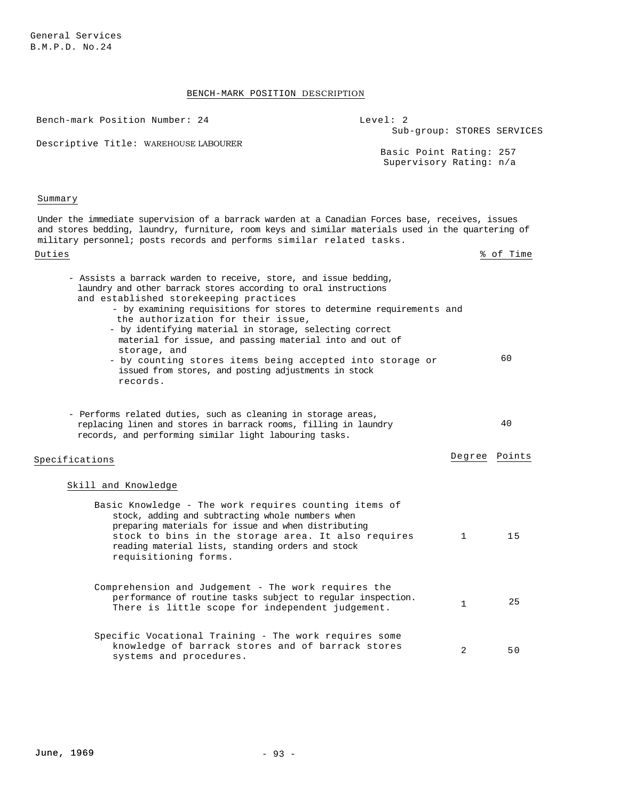# BENCH-MARK POSITION DESCRIPTION

| Bench-mark Position Number: 24                                                                                                                                                                                                                                                                                                                                                                                                                                                                                                                                      | Level: 2<br>Sub-group: STORES SERVICES             |           |
|---------------------------------------------------------------------------------------------------------------------------------------------------------------------------------------------------------------------------------------------------------------------------------------------------------------------------------------------------------------------------------------------------------------------------------------------------------------------------------------------------------------------------------------------------------------------|----------------------------------------------------|-----------|
| Descriptive Title: WAREHOUSE LABOURER                                                                                                                                                                                                                                                                                                                                                                                                                                                                                                                               | Basic Point Rating: 257<br>Supervisory Rating: n/a |           |
| Summary                                                                                                                                                                                                                                                                                                                                                                                                                                                                                                                                                             |                                                    |           |
| Under the immediate supervision of a barrack warden at a Canadian Forces base, receives, issues<br>and stores bedding, laundry, furniture, room keys and similar materials used in the quartering of<br>military personnel; posts records and performs similar related tasks.                                                                                                                                                                                                                                                                                       |                                                    |           |
| Duties                                                                                                                                                                                                                                                                                                                                                                                                                                                                                                                                                              |                                                    | % of Time |
| - Assists a barrack warden to receive, store, and issue bedding,<br>laundry and other barrack stores according to oral instructions<br>and established storekeeping practices<br>- by examining requisitions for stores to determine requirements and<br>the authorization for their issue,<br>- by identifying material in storage, selecting correct<br>material for issue, and passing material into and out of<br>storage, and<br>- by counting stores items being accepted into storage or<br>issued from stores, and posting adjustments in stock<br>records. |                                                    | 60        |
| - Performs related duties, such as cleaning in storage areas,<br>replacing linen and stores in barrack rooms, filling in laundry<br>records, and performing similar light labouring tasks.                                                                                                                                                                                                                                                                                                                                                                          |                                                    | 40        |
| Specifications                                                                                                                                                                                                                                                                                                                                                                                                                                                                                                                                                      | Degree                                             | Points    |
| Skill and Knowledge                                                                                                                                                                                                                                                                                                                                                                                                                                                                                                                                                 |                                                    |           |
| Basic Knowledge - The work requires counting items of<br>stock, adding and subtracting whole numbers when<br>preparing materials for issue and when distributing<br>stock to bins in the storage area. It also requires<br>reading material lists, standing orders and stock<br>requisitioning forms.                                                                                                                                                                                                                                                               | 1                                                  | 15        |
| Comprehension and Judgement - The work requires the<br>performance of routine tasks subject to regular inspection.<br>There is little scope for independent judgement.                                                                                                                                                                                                                                                                                                                                                                                              | $\mathbf{1}$                                       | 25        |
| Specific Vocational Training - The work requires some<br>knowledge of barrack stores and of barrack stores<br>systems and procedures.                                                                                                                                                                                                                                                                                                                                                                                                                               | 2                                                  | 50        |